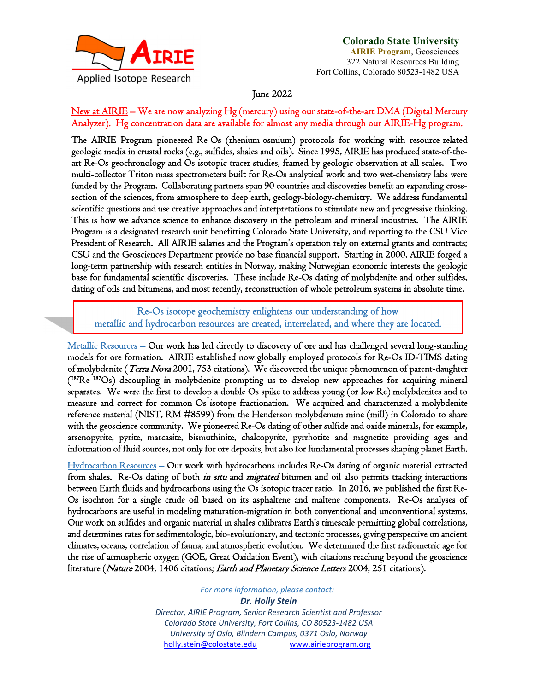

# **Colorado State University**

**AIRIE Program**, Geosciences 322 Natural Resources Building Fort Collins, Colorado 80523-1482 USA

June 2022

## New at AIRIE – We are now analyzing Hg (mercury) using our state-of-the-art DMA (Digital Mercury Analyzer). Hg concentration data are available for almost any media through our AIRIE-Hg program.

The AIRIE Program pioneered Re-Os (rhenium-osmium) protocols for working with resource-related geologic media in crustal rocks (e.g., sulfides, shales and oils). Since 1995, AIRIE has produced state-of-theart Re-Os geochronology and Os isotopic tracer studies, framed by geologic observation at all scales. Two multi-collector Triton mass spectrometers built for Re-Os analytical work and two wet-chemistry labs were funded by the Program. Collaborating partners span 90 countries and discoveries benefit an expanding crosssection of the sciences, from atmosphere to deep earth, geology-biology-chemistry. We address fundamental scientific questions and use creative approaches and interpretations to stimulate new and progressive thinking. This is how we advance science to enhance discovery in the petroleum and mineral industries. The AIRIE Program is a designated research unit benefitting Colorado State University, and reporting to the CSU Vice President of Research. All AIRIE salaries and the Program's operation rely on external grants and contracts; CSU and the Geosciences Department provide no base financial support. Starting in 2000, AIRIE forged a long-term partnership with research entities in Norway, making Norwegian economic interests the geologic base for fundamental scientific discoveries. These include Re-Os dating of molybdenite and other sulfides, dating of oils and bitumens, and most recently, reconstruction of whole petroleum systems in absolute time.

Re-Os isotope geochemistry enlightens our understanding of how metallic and hydrocarbon resources are created, interrelated, and where they are located.

Metallic Resources – Our work has led directly to discovery of ore and has challenged several long-standing models for ore formation. AIRIE established now globally employed protocols for Re-Os ID-TIMS dating of molybdenite (*Terra Nova* 2001, 753 citations). We discovered the unique phenomenon of parent-daughter (187Re-187Os) decoupling in molybdenite prompting us to develop new approaches for acquiring mineral separates. We were the first to develop a double Os spike to address young (or low Re) molybdenites and to measure and correct for common Os isotope fractionation. We acquired and characterized a molybdenite reference material (NIST, RM #8599) from the Henderson molybdenum mine (mill) in Colorado to share with the geoscience community. We pioneered Re-Os dating of other sulfide and oxide minerals, for example, arsenopyrite, pyrite, marcasite, bismuthinite, chalcopyrite, pyrrhotite and magnetite providing ages and information of fluid sources, not only for ore deposits, but also for fundamental processes shaping planet Earth.

Hydrocarbon Resources – Our work with hydrocarbons includes Re-Os dating of organic material extracted from shales. Re-Os dating of both *in situ* and *migrated* bitumen and oil also permits tracking interactions between Earth fluids and hydrocarbons using the Os isotopic tracer ratio. In 2016, we published the first Re-Os isochron for a single crude oil based on its asphaltene and maltene components. Re-Os analyses of hydrocarbons are useful in modeling maturation-migration in both conventional and unconventional systems. Our work on sulfides and organic material in shales calibrates Earth's timescale permitting global correlations, and determines rates for sedimentologic, bio-evolutionary, and tectonic processes, giving perspective on ancient climates, oceans, correlation of fauna, and atmospheric evolution. We determined the first radiometric age for the rise of atmospheric oxygen (GOE, Great Oxidation Event), with citations reaching beyond the geoscience literature (Nature 2004, 1406 citations; Earth and Planetary Science Letters 2004, 251 citations).

*For more information, please contact:*

*Dr. Holly Stein Director, AIRIE Program, Senior Research Scientist and Professor Colorado State University, Fort Collins, CO 80523‐1482 USA University of Oslo, Blindern Campus, 0371 Oslo, Norway* holly.stein@colostate.edu www.airieprogram.org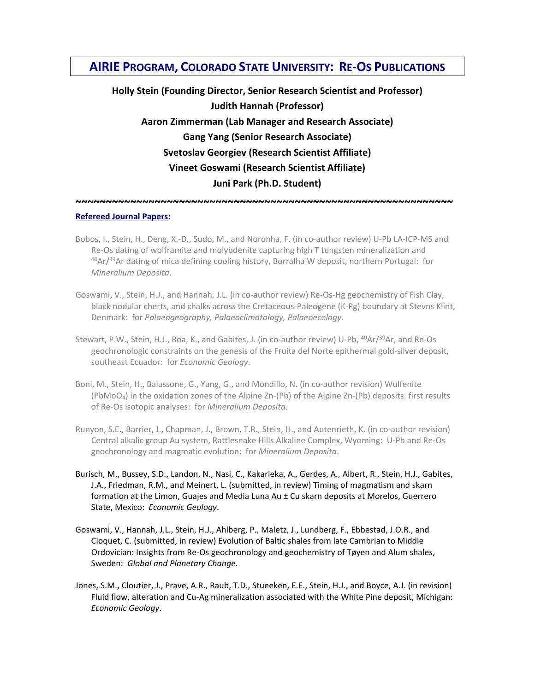# **AIRIE PROGRAM, COLORADO STATE UNIVERSITY: RE‐OS PUBLICATIONS**

**Holly Stein (Founding Director, Senior Research Scientist and Professor) Judith Hannah (Professor) Aaron Zimmerman (Lab Manager and Research Associate) Gang Yang (Senior Research Associate) Svetoslav Georgiev (Research Scientist Affiliate) Vineet Goswami (Research Scientist Affiliate) Juni Park (Ph.D. Student)**

### **~~~~~~~~~~~~~~~~~~~~~~~~~~~~~~~~~~~~~~~~~~~~~~~~~~~~~~~~~~~~~~ Refereed Journal Papers:**

- Bobos, I., Stein, H., Deng, X.-D., Sudo, M., and Noronha, F. (in co-author review) U-Pb LA-ICP-MS and Re-Os dating of wolframite and molybdenite capturing high T tungsten mineralization and 40Ar/<sup>39</sup>Ar dating of mica defining cooling history, Borralha W deposit, northern Portugal: for *Mineralium Deposita*.
- Goswami, V., Stein, H.J., and Hannah, J.L. (in co-author review) Re-Os-Hg geochemistry of Fish Clay, black nodular cherts, and chalks across the Cretaceous‐Paleogene (K‐Pg) boundary at Stevns Klint, Denmark: for *Palaeogeography, Palaeoclimatology, Palaeoecology.*
- Stewart, P.W., Stein, H.J., Roa, K., and Gabites, J. (in co-author review) U-Pb, <sup>40</sup>Ar/<sup>39</sup>Ar, and Re-Os geochronologic constraints on the genesis of the Fruita del Norte epithermal gold‐silver deposit, southeast Ecuador: for *Economic Geology*.
- Boni, M., Stein, H., Balassone, G., Yang, G., and Mondillo, N. (in co-author revision) Wulfenite (PbMoO4) in the oxidation zones of the Alpine Zn‐(Pb) of the Alpine Zn‐(Pb) deposits: first results of Re‐Os isotopic analyses: for *Mineralium Deposita*.
- Runyon, S.E., Barrier, J., Chapman, J., Brown, T.R., Stein, H., and Autenrieth, K. (in co-author revision) Central alkalic group Au system, Rattlesnake Hills Alkaline Complex, Wyoming: U‐Pb and Re‐Os geochronology and magmatic evolution: for *Mineralium Deposita*.
- Burisch, M., Bussey, S.D., Landon, N., Nasi, C., Kakarieka, A., Gerdes, A., Albert, R., Stein, H.J., Gabites, J.A., Friedman, R.M., and Meinert, L. (submitted, in review) Timing of magmatism and skarn formation at the Limon, Guajes and Media Luna Au ± Cu skarn deposits at Morelos, Guerrero State, Mexico: *Economic Geology*.
- Goswami, V., Hannah, J.L., Stein, H.J., Ahlberg, P., Maletz, J., Lundberg, F., Ebbestad, J.O.R., and Cloquet, C. (submitted, in review) Evolution of Baltic shales from late Cambrian to Middle Ordovician: Insights from Re‐Os geochronology and geochemistry of Tøyen and Alum shales, Sweden: *Global and Planetary Change.*
- Jones, S.M., Cloutier, J., Prave, A.R., Raub, T.D., Stueeken, E.E., Stein, H.J., and Boyce, A.J. (in revision) Fluid flow, alteration and Cu‐Ag mineralization associated with the White Pine deposit, Michigan: *Economic Geology*.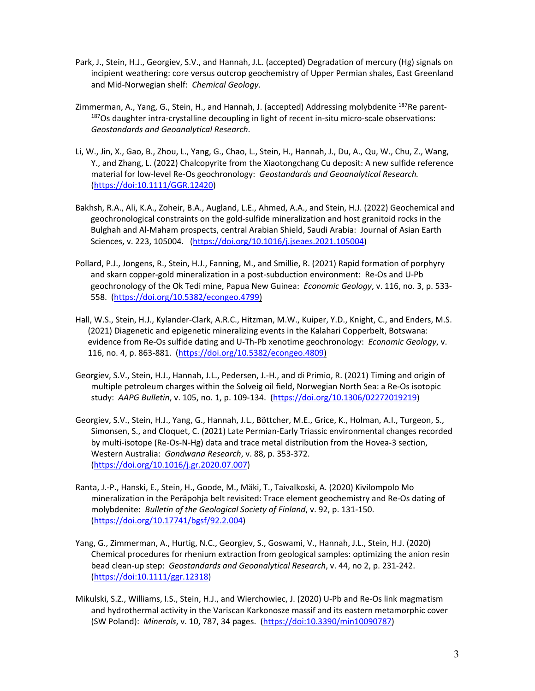- Park, J., Stein, H.J., Georgiev, S.V., and Hannah, J.L. (accepted) Degradation of mercury (Hg) signals on incipient weathering: core versus outcrop geochemistry of Upper Permian shales, East Greenland and Mid‐Norwegian shelf: *Chemical Geology*.
- Zimmerman, A., Yang, G., Stein, H., and Hannah, J. (accepted) Addressing molybdenite <sup>187</sup>Re parent-<sup>187</sup>Os daughter intra-crystalline decoupling in light of recent in-situ micro-scale observations: *Geostandards and Geoanalytical Research*.
- Li, W., Jin, X., Gao, B., Zhou, L., Yang, G., Chao, L., Stein, H., Hannah, J., Du, A., Qu, W., Chu, Z., Wang, Y., and Zhang, L. (2022) Chalcopyrite from the Xiaotongchang Cu deposit: A new sulfide reference material for low‐level Re‐Os geochronology: *Geostandards and Geoanalytical Research.* (https://doi:10.1111/GGR.12420)
- Bakhsh, R.A., Ali, K.A., Zoheir, B.A., Augland, L.E., Ahmed, A.A., and Stein, H.J. (2022) Geochemical and geochronological constraints on the gold‐sulfide mineralization and host granitoid rocks in the Bulghah and Al‐Maham prospects, central Arabian Shield, Saudi Arabia: Journal of Asian Earth Sciences, v. 223, 105004. (https://doi.org/10.1016/j.jseaes.2021.105004)
- Pollard, P.J., Jongens, R., Stein, H.J., Fanning, M., and Smillie, R. (2021) Rapid formation of porphyry and skarn copper-gold mineralization in a post-subduction environment: Re-Os and U-Pb geochronology of the Ok Tedi mine, Papua New Guinea: *Economic Geology*, v. 116, no. 3, p. 533‐ 558. (https://doi.org/10.5382/econgeo.4799)
- Hall, W.S., Stein, H.J., Kylander‐Clark, A.R.C., Hitzman, M.W., Kuiper, Y.D., Knight, C., and Enders, M.S. (2021) Diagenetic and epigenetic mineralizing events in the Kalahari Copperbelt, Botswana: evidence from Re‐Os sulfide dating and U‐Th‐Pb xenotime geochronology: *Economic Geology*, v. 116, no. 4, p. 863‐881. (https://doi.org/10.5382/econgeo.4809)
- Georgiev, S.V., Stein, H.J., Hannah, J.L., Pedersen, J.‐H., and di Primio, R. (2021) Timing and origin of multiple petroleum charges within the Solveig oil field, Norwegian North Sea: a Re‐Os isotopic study: *AAPG Bulletin*, v. 105, no. 1, p. 109‐134. (https://doi.org/10.1306/02272019219)
- Georgiev, S.V., Stein, H.J., Yang, G., Hannah, J.L., Böttcher, M.E., Grice, K., Holman, A.I., Turgeon, S., Simonsen, S., and Cloquet, C. (2021) Late Permian‐Early Triassic environmental changes recorded by multi‐isotope (Re‐Os‐N‐Hg) data and trace metal distribution from the Hovea‐3 section, Western Australia: *Gondwana Research*, v. 88, p. 353‐372. (https://doi.org/10.1016/j.gr.2020.07.007)
- Ranta, J.‐P., Hanski, E., Stein, H., Goode, M., Mäki, T., Taivalkoski, A. (2020) Kivilompolo Mo mineralization in the Peräpohja belt revisited: Trace element geochemistry and Re‐Os dating of molybdenite: *Bulletin of the Geological Society of Finland*, v. 92, p. 131‐150. (https://doi.org/10.17741/bgsf/92.2.004)
- Yang, G., Zimmerman, A., Hurtig, N.C., Georgiev, S., Goswami, V., Hannah, J.L., Stein, H.J. (2020) Chemical procedures for rhenium extraction from geological samples: optimizing the anion resin bead clean‐up step: *Geostandards and Geoanalytical Research*, v. 44, no 2, p. 231‐242. (https://doi:10.1111/ggr.12318)
- Mikulski, S.Z., Williams, I.S., Stein, H.J., and Wierchowiec, J. (2020) U‐Pb and Re‐Os link magmatism and hydrothermal activity in the Variscan Karkonosze massif and its eastern metamorphic cover (SW Poland): *Minerals*, v. 10, 787, 34 pages. (https://doi:10.3390/min10090787)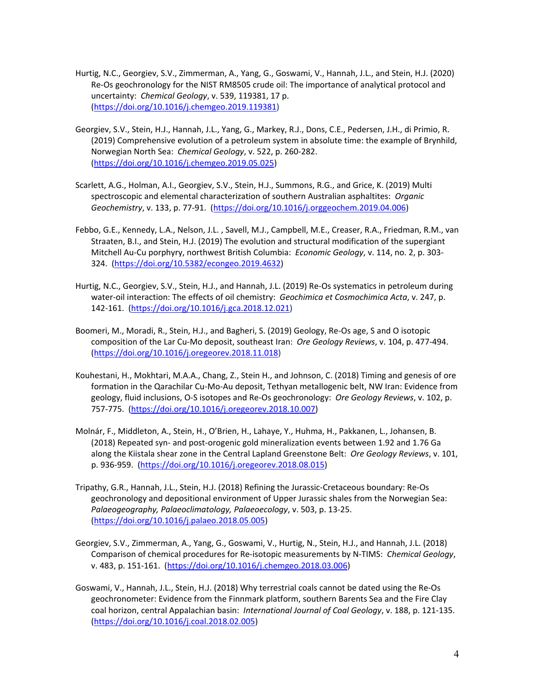- Hurtig, N.C., Georgiev, S.V., Zimmerman, A., Yang, G., Goswami, V., Hannah, J.L., and Stein, H.J. (2020) Re‐Os geochronology for the NIST RM8505 crude oil: The importance of analytical protocol and uncertainty: *Chemical Geology*, v. 539, 119381, 17 p. (https://doi.org/10.1016/j.chemgeo.2019.119381)
- Georgiev, S.V., Stein, H.J., Hannah, J.L., Yang, G., Markey, R.J., Dons, C.E., Pedersen, J.H., di Primio, R. (2019) Comprehensive evolution of a petroleum system in absolute time: the example of Brynhild, Norwegian North Sea: *Chemical Geology*, v. 522, p. 260‐282. (https://doi.org/10.1016/j.chemgeo.2019.05.025)
- Scarlett, A.G., Holman, A.I., Georgiev, S.V., Stein, H.J., Summons, R.G., and Grice, K. (2019) Multi spectroscopic and elemental characterization of southern Australian asphaltites: *Organic Geochemistry*, v. 133, p. 77‐91. (https://doi.org/10.1016/j.orggeochem.2019.04.006)
- Febbo, G.E., Kennedy, L.A., Nelson, J.L. , Savell, M.J., Campbell, M.E., Creaser, R.A., Friedman, R.M., van Straaten, B.I., and Stein, H.J. (2019) The evolution and structural modification of the supergiant Mitchell Au‐Cu porphyry, northwest British Columbia: *Economic Geology*, v. 114, no. 2, p. 303‐ 324. (https://doi.org/10.5382/econgeo.2019.4632)
- Hurtig, N.C., Georgiev, S.V., Stein, H.J., and Hannah, J.L. (2019) Re‐Os systematics in petroleum during water‐oil interaction: The effects of oil chemistry: *Geochimica et Cosmochimica Acta*, v. 247, p. 142‐161. (https://doi.org/10.1016/j.gca.2018.12.021)
- Boomeri, M., Moradi, R., Stein, H.J., and Bagheri, S. (2019) Geology, Re‐Os age, S and O isotopic composition of the Lar Cu‐Mo deposit, southeast Iran: *Ore Geology Reviews*, v. 104, p. 477‐494. (https://doi.org/10.1016/j.oregeorev.2018.11.018)
- Kouhestani, H., Mokhtari, M.A.A., Chang, Z., Stein H., and Johnson, C. (2018) Timing and genesis of ore formation in the Qarachilar Cu‐Mo‐Au deposit, Tethyan metallogenic belt, NW Iran: Evidence from geology, fluid inclusions, O‐S isotopes and Re‐Os geochronology: *Ore Geology Reviews*, v. 102, p. 757‐775. (https://doi.org/10.1016/j.oregeorev.2018.10.007)
- Molnár, F., Middleton, A., Stein, H., O'Brien, H., Lahaye, Y., Huhma, H., Pakkanen, L., Johansen, B. (2018) Repeated syn‐ and post‐orogenic gold mineralization events between 1.92 and 1.76 Ga along the Kiistala shear zone in the Central Lapland Greenstone Belt: *Ore Geology Reviews*, v. 101, p. 936‐959. (https://doi.org/10.1016/j.oregeorev.2018.08.015)
- Tripathy, G.R., Hannah, J.L., Stein, H.J. (2018) Refining the Jurassic‐Cretaceous boundary: Re‐Os geochronology and depositional environment of Upper Jurassic shales from the Norwegian Sea: *Palaeogeography, Palaeoclimatology, Palaeoecology*, v. 503, p. 13‐25. (https://doi.org/10.1016/j.palaeo.2018.05.005)
- Georgiev, S.V., Zimmerman, A., Yang, G., Goswami, V., Hurtig, N., Stein, H.J., and Hannah, J.L. (2018) Comparison of chemical procedures for Re‐isotopic measurements by N‐TIMS: *Chemical Geology*, v. 483, p. 151‐161. (https://doi.org/10.1016/j.chemgeo.2018.03.006)
- Goswami, V., Hannah, J.L., Stein, H.J. (2018) Why terrestrial coals cannot be dated using the Re‐Os geochronometer: Evidence from the Finnmark platform, southern Barents Sea and the Fire Clay coal horizon, central Appalachian basin: *International Journal of Coal Geology*, v. 188, p. 121‐135. (https://doi.org/10.1016/j.coal.2018.02.005)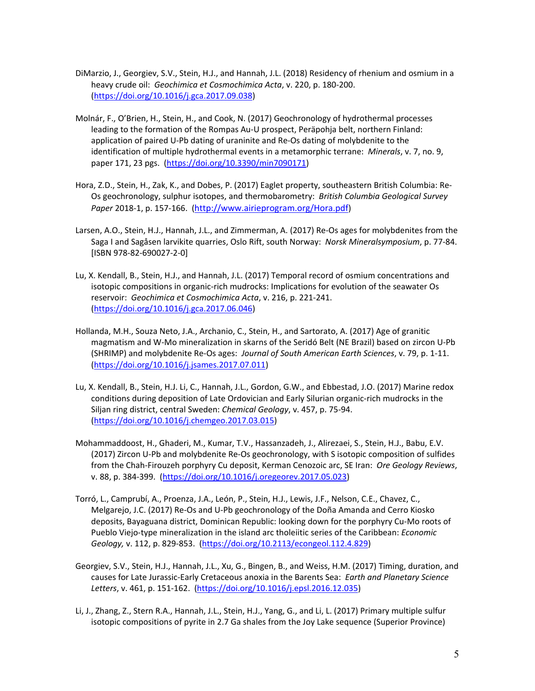- DiMarzio, J., Georgiev, S.V., Stein, H.J., and Hannah, J.L. (2018) Residency of rhenium and osmium in a heavy crude oil: *Geochimica et Cosmochimica Acta*, v. 220, p. 180‐200. (https://doi.org/10.1016/j.gca.2017.09.038)
- Molnár, F., O'Brien, H., Stein, H., and Cook, N. (2017) Geochronology of hydrothermal processes leading to the formation of the Rompas Au‐U prospect, Peräpohja belt, northern Finland: application of paired U‐Pb dating of uraninite and Re‐Os dating of molybdenite to the identification of multiple hydrothermal events in a metamorphic terrane: *Minerals*, v. 7, no. 9, paper 171, 23 pgs. (https://doi.org/10.3390/min7090171)
- Hora, Z.D., Stein, H., Zak, K., and Dobes, P. (2017) Eaglet property, southeastern British Columbia: Re‐ Os geochronology, sulphur isotopes, and thermobarometry: *British Columbia Geological Survey Paper* 2018‐1, p. 157‐166. (http://www.airieprogram.org/Hora.pdf)
- Larsen, A.O., Stein, H.J., Hannah, J.L., and Zimmerman, A. (2017) Re‐Os ages for molybdenites from the Saga I and Sagåsen larvikite quarries, Oslo Rift, south Norway: *Norsk Mineralsymposium*, p. 77‐84. [ISBN 978‐82‐690027‐2‐0]
- Lu, X. Kendall, B., Stein, H.J., and Hannah, J.L. (2017) Temporal record of osmium concentrations and isotopic compositions in organic-rich mudrocks: Implications for evolution of the seawater Os reservoir: *Geochimica et Cosmochimica Acta*, v. 216, p. 221‐241. (https://doi.org/10.1016/j.gca.2017.06.046)
- Hollanda, M.H., Souza Neto, J.A., Archanio, C., Stein, H., and Sartorato, A. (2017) Age of granitic magmatism and W‐Mo mineralization in skarns of the Seridó Belt (NE Brazil) based on zircon U‐Pb (SHRIMP) and molybdenite Re‐Os ages: *Journal of South American Earth Sciences*, v. 79, p. 1‐11. (https://doi.org/10.1016/j.jsames.2017.07.011)
- Lu, X. Kendall, B., Stein, H.J. Li, C., Hannah, J.L., Gordon, G.W., and Ebbestad, J.O. (2017) Marine redox conditions during deposition of Late Ordovician and Early Silurian organic‐rich mudrocks in the Siljan ring district, central Sweden: *Chemical Geology*, v. 457, p. 75‐94. (https://doi.org/10.1016/j.chemgeo.2017.03.015)
- Mohammaddoost, H., Ghaderi, M., Kumar, T.V., Hassanzadeh, J., Alirezaei, S., Stein, H.J., Babu, E.V. (2017) Zircon U‐Pb and molybdenite Re‐Os geochronology, with S isotopic composition of sulfides from the Chah‐Firouzeh porphyry Cu deposit, Kerman Cenozoic arc, SE Iran: *Ore Geology Reviews*, v. 88, p. 384‐399. (https://doi.org/10.1016/j.oregeorev.2017.05.023)
- Torró, L., Camprubí, A., Proenza, J.A., León, P., Stein, H.J., Lewis, J.F., Nelson, C.E., Chavez, C., Melgarejo, J.C. (2017) Re‐Os and U‐Pb geochronology of the Doña Amanda and Cerro Kiosko deposits, Bayaguana district, Dominican Republic: looking down for the porphyry Cu‐Mo roots of Pueblo Viejo‐type mineralization in the island arc tholeiitic series of the Caribbean: *Economic Geology,* v. 112, p. 829‐853. (https://doi.org/10.2113/econgeol.112.4.829)
- Georgiev, S.V., Stein, H.J., Hannah, J.L., Xu, G., Bingen, B., and Weiss, H.M. (2017) Timing, duration, and causes for Late Jurassic‐Early Cretaceous anoxia in the Barents Sea: *Earth and Planetary Science Letters*, v. 461, p. 151‐162. (https://doi.org/10.1016/j.epsl.2016.12.035)
- Li, J., Zhang, Z., Stern R.A., Hannah, J.L., Stein, H.J., Yang, G., and Li, L. (2017) Primary multiple sulfur isotopic compositions of pyrite in 2.7 Ga shales from the Joy Lake sequence (Superior Province)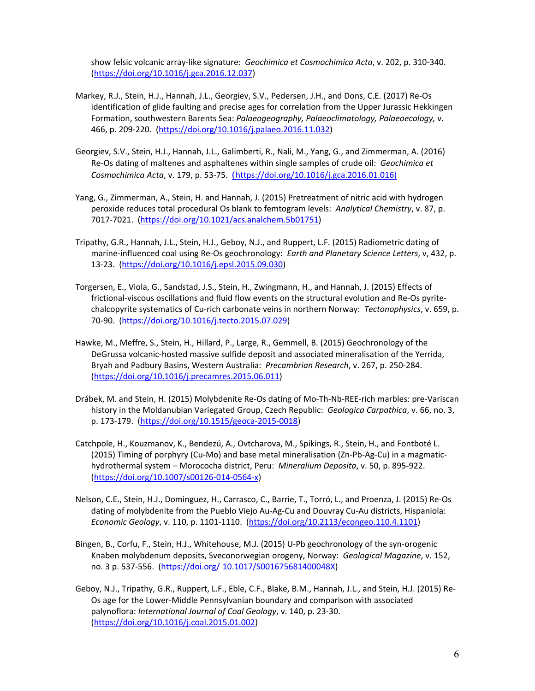show felsic volcanic array‐like signature: *Geochimica et Cosmochimica Acta*, v. 202, p. 310‐340. (https://doi.org/10.1016/j.gca.2016.12.037)

- Markey, R.J., Stein, H.J., Hannah, J.L., Georgiev, S.V., Pedersen, J.H., and Dons, C.E. (2017) Re‐Os identification of glide faulting and precise ages for correlation from the Upper Jurassic Hekkingen Formation, southwestern Barents Sea: *Palaeogeography, Palaeoclimatology, Palaeoecology,* v. 466, p. 209‐220. (https://doi.org/10.1016/j.palaeo.2016.11.032)
- Georgiev, S.V., Stein, H.J., Hannah, J.L., Galimberti, R., Nali, M., Yang, G., and Zimmerman, A. (2016) Re‐Os dating of maltenes and asphaltenes within single samples of crude oil: *Geochimica et Cosmochimica Acta*, v. 179, p. 53‐75. (https://doi.org/10.1016/j.gca.2016.01.016)
- Yang, G., Zimmerman, A., Stein, H. and Hannah, J. (2015) Pretreatment of nitric acid with hydrogen peroxide reduces total procedural Os blank to femtogram levels: *Analytical Chemistry*, v. 87, p. 7017‐7021. (https://doi.org/10.1021/acs.analchem.5b01751)
- Tripathy, G.R., Hannah, J.L., Stein, H.J., Geboy, N.J., and Ruppert, L.F. (2015) Radiometric dating of marine‐influenced coal using Re‐Os geochronology: *Earth and Planetary Science Letters*, v, 432, p. 13‐23. (https://doi.org/10.1016/j.epsl.2015.09.030)
- Torgersen, E., Viola, G., Sandstad, J.S., Stein, H., Zwingmann, H., and Hannah, J. (2015) Effects of frictional‐viscous oscillations and fluid flow events on the structural evolution and Re‐Os pyrite‐ chalcopyrite systematics of Cu‐rich carbonate veins in northern Norway: *Tectonophysics*, v. 659, p. 70‐90. (https://doi.org/10.1016/j.tecto.2015.07.029)
- Hawke, M., Meffre, S., Stein, H., Hillard, P., Large, R., Gemmell, B. (2015) Geochronology of the DeGrussa volcanic‐hosted massive sulfide deposit and associated mineralisation of the Yerrida, Bryah and Padbury Basins, Western Australia: *Precambrian Research*, v. 267, p. 250‐284. (https://doi.org/10.1016/j.precamres.2015.06.011)
- Drábek, M. and Stein, H. (2015) Molybdenite Re‐Os dating of Mo‐Th‐Nb‐REE‐rich marbles: pre‐Variscan history in the Moldanubian Variegated Group, Czech Republic: *Geologica Carpathica*, v. 66, no. 3, p. 173‐179. (https://doi.org/10.1515/geoca‐2015‐0018)
- Catchpole, H., Kouzmanov, K., Bendezú, A., Ovtcharova, M., Spikings, R., Stein, H., and Fontboté L. (2015) Timing of porphyry (Cu‐Mo) and base metal mineralisation (Zn‐Pb‐Ag‐Cu) in a magmatic‐ hydrothermal system – Morococha district, Peru: *Mineralium Deposita*, v. 50, p. 895‐922. (https://doi.org/10.1007/s00126‐014‐0564‐x)
- Nelson, C.E., Stein, H.J., Dominguez, H., Carrasco, C., Barrie, T., Torró, L., and Proenza, J. (2015) Re‐Os dating of molybdenite from the Pueblo Viejo Au‐Ag‐Cu and Douvray Cu‐Au districts, Hispaniola: *Economic Geology*, v. 110, p. 1101‐1110. (https://doi.org/10.2113/econgeo.110.4.1101)
- Bingen, B., Corfu, F., Stein, H.J., Whitehouse, M.J. (2015) U‐Pb geochronology of the syn‐orogenic Knaben molybdenum deposits, Sveconorwegian orogeny, Norway: *Geological Magazine*, v. 152, no. 3 p. 537‐556. (https://doi.org/ 10.1017/S001675681400048X)
- Geboy, N.J., Tripathy, G.R., Ruppert, L.F., Eble, C.F., Blake, B.M., Hannah, J.L., and Stein, H.J. (2015) Re‐ Os age for the Lower‐Middle Pennsylvanian boundary and comparison with associated palynoflora: *International Journal of Coal Geology*, v. 140, p. 23‐30. (https://doi.org/10.1016/j.coal.2015.01.002)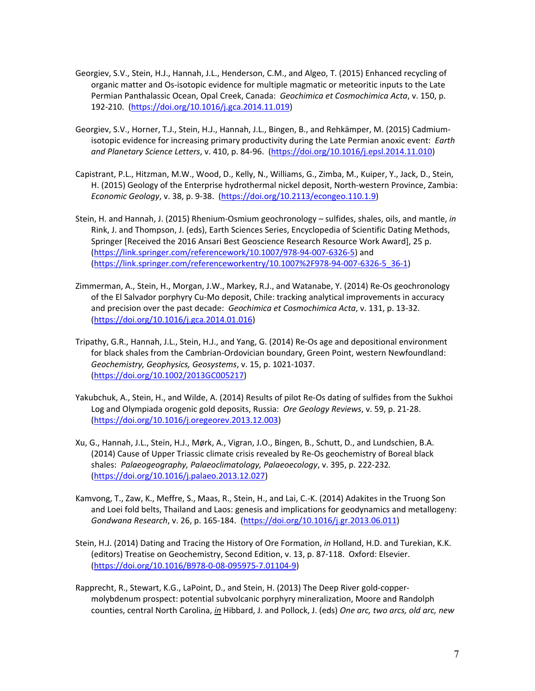- Georgiev, S.V., Stein, H.J., Hannah, J.L., Henderson, C.M., and Algeo, T. (2015) Enhanced recycling of organic matter and Os‐isotopic evidence for multiple magmatic or meteoritic inputs to the Late Permian Panthalassic Ocean, Opal Creek, Canada: *Geochimica et Cosmochimica Acta*, v. 150, p. 192‐210. (https://doi.org/10.1016/j.gca.2014.11.019)
- Georgiev, S.V., Horner, T.J., Stein, H.J., Hannah, J.L., Bingen, B., and Rehkämper, M. (2015) Cadmium‐ isotopic evidence for increasing primary productivity during the Late Permian anoxic event: *Earth and Planetary Science Letters*, v. 410, p. 84‐96. (https://doi.org/10.1016/j.epsl.2014.11.010)
- Capistrant, P.L., Hitzman, M.W., Wood, D., Kelly, N., Williams, G., Zimba, M., Kuiper, Y., Jack, D., Stein, H. (2015) Geology of the Enterprise hydrothermal nickel deposit, North‐western Province, Zambia: *Economic Geology*, v. 38, p. 9‐38. (https://doi.org/10.2113/econgeo.110.1.9)
- Stein, H. and Hannah, J. (2015) Rhenium‐Osmium geochronology sulfides, shales, oils, and mantle, *in* Rink, J. and Thompson, J. (eds), Earth Sciences Series, Encyclopedia of Scientific Dating Methods, Springer [Received the 2016 Ansari Best Geoscience Research Resource Work Award], 25 p. (https://link.springer.com/referencework/10.1007/978‐94‐007‐6326‐5) and (https://link.springer.com/referenceworkentry/10.1007%2F978‐94‐007‐6326‐5\_36‐1)
- Zimmerman, A., Stein, H., Morgan, J.W., Markey, R.J., and Watanabe, Y. (2014) Re‐Os geochronology of the El Salvador porphyry Cu‐Mo deposit, Chile: tracking analytical improvements in accuracy and precision over the past decade: *Geochimica et Cosmochimica Acta*, v. 131, p. 13‐32. (https://doi.org/10.1016/j.gca.2014.01.016)
- Tripathy, G.R., Hannah, J.L., Stein, H.J., and Yang, G. (2014) Re‐Os age and depositional environment for black shales from the Cambrian‐Ordovician boundary, Green Point, western Newfoundland: *Geochemistry, Geophysics, Geosystems*, v. 15, p. 1021‐1037. (https://doi.org/10.1002/2013GC005217)
- Yakubchuk, A., Stein, H., and Wilde, A. (2014) Results of pilot Re‐Os dating of sulfides from the Sukhoi Log and Olympiada orogenic gold deposits, Russia: *Ore Geology Reviews*, v. 59, p. 21‐28. (https://doi.org/10.1016/j.oregeorev.2013.12.003)
- Xu, G., Hannah, J.L., Stein, H.J., Mørk, A., Vigran, J.O., Bingen, B., Schutt, D., and Lundschien, B.A. (2014) Cause of Upper Triassic climate crisis revealed by Re‐Os geochemistry of Boreal black shales: *Palaeogeography, Palaeoclimatology, Palaeoecology*, v. 395, p. 222‐232*.* (https://doi.org/10.1016/j.palaeo.2013.12.027)
- Kamvong, T., Zaw, K., Meffre, S., Maas, R., Stein, H., and Lai, C.‐K. (2014) Adakites in the Truong Son and Loei fold belts, Thailand and Laos: genesis and implications for geodynamics and metallogeny: *Gondwana Research*, v. 26, p. 165‐184. (https://doi.org/10.1016/j.gr.2013.06.011)
- Stein, H.J. (2014) Dating and Tracing the History of Ore Formation, *in* Holland, H.D. and Turekian, K.K. (editors) Treatise on Geochemistry, Second Edition, v. 13, p. 87‐118. Oxford: Elsevier. (https://doi.org/10.1016/B978‐0‐08‐095975‐7.01104‐9)
- Rapprecht, R., Stewart, K.G., LaPoint, D., and Stein, H. (2013) The Deep River gold‐copper‐ molybdenum prospect: potential subvolcanic porphyry mineralization, Moore and Randolph counties, central North Carolina, *in* Hibbard, J. and Pollock, J. (eds) *One arc, two arcs, old arc, new*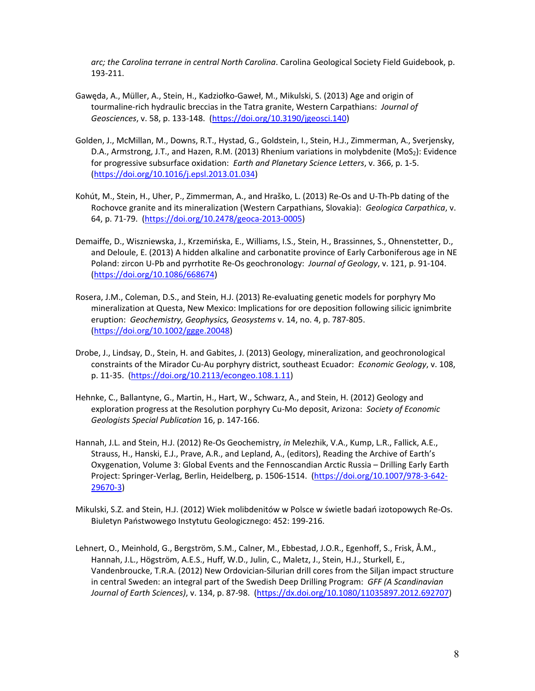*arc; the Carolina terrane in central North Carolina*. Carolina Geological Society Field Guidebook, p. 193‐211.

- Gawęda, A., Müller, A., Stein, H., Kadziołko‐Gaweł, M., Mikulski, S. (2013) Age and origin of tourmaline‐rich hydraulic breccias in the Tatra granite, Western Carpathians: *Journal of Geosciences*, v. 58, p. 133‐148. (https://doi.org/10.3190/jgeosci.140)
- Golden, J., McMillan, M., Downs, R.T., Hystad, G., Goldstein, I., Stein, H.J., Zimmerman, A., Sverjensky, D.A., Armstrong, J.T., and Hazen, R.M. (2013) Rhenium variations in molybdenite (MoS<sub>2</sub>): Evidence for progressive subsurface oxidation: *Earth and Planetary Science Letters*, v. 366, p. 1‐5. (https://doi.org/10.1016/j.epsl.2013.01.034)
- Kohút, M., Stein, H., Uher, P., Zimmerman, A., and Hraško, L. (2013) Re‐Os and U‐Th‐Pb dating of the Rochovce granite and its mineralization (Western Carpathians, Slovakia): *Geologica Carpathica*, v. 64, p. 71‐79. (https://doi.org/10.2478/geoca‐2013‐0005)
- Demaiffe, D., Wiszniewska, J., Krzemińska, E., Williams, I.S., Stein, H., Brassinnes, S., Ohnenstetter, D., and Deloule, E. (2013) A hidden alkaline and carbonatite province of Early Carboniferous age in NE Poland: zircon U‐Pb and pyrrhotite Re‐Os geochronology: *Journal of Geology*, v. 121, p. 91‐104. (https://doi.org/10.1086/668674)
- Rosera, J.M., Coleman, D.S., and Stein, H.J. (2013) Re‐evaluating genetic models for porphyry Mo mineralization at Questa, New Mexico: Implications for ore deposition following silicic ignimbrite eruption: *Geochemistry, Geophysics, Geosystems* v. 14, no. 4, p. 787‐805. (https://doi.org/10.1002/ggge.20048)
- Drobe, J., Lindsay, D., Stein, H. and Gabites, J. (2013) Geology, mineralization, and geochronological constraints of the Mirador Cu‐Au porphyry district, southeast Ecuador: *Economic Geology*, v. 108, p. 11‐35. (https://doi.org/10.2113/econgeo.108.1.11)
- Hehnke, C., Ballantyne, G., Martin, H., Hart, W., Schwarz, A., and Stein, H. (2012) Geology and exploration progress at the Resolution porphyry Cu‐Mo deposit, Arizona: *Society of Economic Geologists Special Publication* 16, p. 147‐166.
- Hannah, J.L. and Stein, H.J. (2012) Re‐Os Geochemistry, *in* Melezhik, V.A., Kump, L.R., Fallick, A.E., Strauss, H., Hanski, E.J., Prave, A.R., and Lepland, A., (editors), Reading the Archive of Earth's Oxygenation, Volume 3: Global Events and the Fennoscandian Arctic Russia – Drilling Early Earth Project: Springer‐Verlag, Berlin, Heidelberg, p. 1506‐1514. (https://doi.org/10.1007/978‐3‐642‐ 29670‐3)
- Mikulski, S.Z. and Stein, H.J. (2012) Wiek molibdenitów w Polsce w świetle badań izotopowych Re‐Os. Biuletyn Państwowego Instytutu Geologicznego: 452: 199‐216.
- Lehnert, O., Meinhold, G., Bergström, S.M., Calner, M., Ebbestad, J.O.R., Egenhoff, S., Frisk, Å.M., Hannah, J.L., Högström, A.E.S., Huff, W.D., Julin, C., Maletz, J., Stein, H.J., Sturkell, E., Vandenbroucke, T.R.A. (2012) New Ordovician‐Silurian drill cores from the Siljan impact structure in central Sweden: an integral part of the Swedish Deep Drilling Program: *GFF (A Scandinavian Journal of Earth Sciences)*, v. 134, p. 87‐98. (https://dx.doi.org/10.1080/11035897.2012.692707)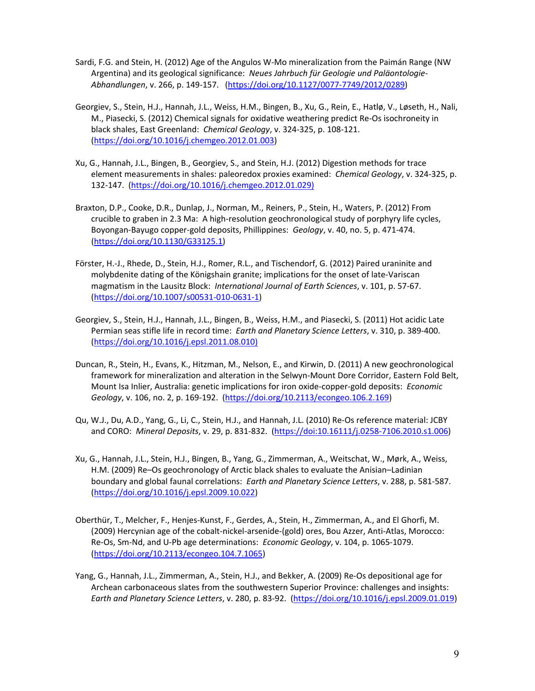- Sardi, F.G. and Stein, H. (2012) Age of the Angulos W‐Mo mineralization from the Paimán Range (NW Argentina) and its geological significance: *Neues Jahrbuch für Geologie und Paläontologie‐ Abhandlungen*, v. 266, p. 149‐157. (https://doi.org/10.1127/0077‐7749/2012/0289)
- Georgiev, S., Stein, H.J., Hannah, J.L., Weiss, H.M., Bingen, B., Xu, G., Rein, E., Hatlø, V., Løseth, H., Nali, M., Piasecki, S. (2012) Chemical signals for oxidative weathering predict Re‐Os isochroneity in black shales, East Greenland: *Chemical Geology*, v. 324‐325, p. 108‐121. (https://doi.org/10.1016/j.chemgeo.2012.01.003)
- Xu, G., Hannah, J.L., Bingen, B., Georgiev, S., and Stein, H.J. (2012) Digestion methods for trace element measurements in shales: paleoredox proxies examined: *Chemical Geology*, v. 324‐325, p. 132‐147. (https://doi.org/10.1016/j.chemgeo.2012.01.029)
- Braxton, D.P., Cooke, D.R., Dunlap, J., Norman, M., Reiners, P., Stein, H., Waters, P. (2012) From crucible to graben in 2.3 Ma: A high-resolution geochronological study of porphyry life cycles, Boyongan‐Bayugo copper‐gold deposits, Phillippines: *Geology*, v. 40, no. 5, p. 471‐474. (https://doi.org/10.1130/G33125.1)
- Förster, H.‐J., Rhede, D., Stein, H.J., Romer, R.L., and Tischendorf, G. (2012) Paired uraninite and molybdenite dating of the Königshain granite; implications for the onset of late‐Variscan magmatism in the Lausitz Block: *International Journal of Earth Sciences*, v. 101, p. 57‐67. (https://doi.org/10.1007/s00531‐010‐0631‐1)
- Georgiev, S., Stein, H.J., Hannah, J.L., Bingen, B., Weiss, H.M., and Piasecki, S. (2011) Hot acidic Late Permian seas stifle life in record time: *Earth and Planetary Science Letters*, v. 310, p. 389‐400. (https://doi.org/10.1016/j.epsl.2011.08.010)
- Duncan, R., Stein, H., Evans, K., Hitzman, M., Nelson, E., and Kirwin, D. (2011) A new geochronological framework for mineralization and alteration in the Selwyn‐Mount Dore Corridor, Eastern Fold Belt, Mount Isa Inlier, Australia: genetic implications for iron oxide‐copper‐gold deposits: *Economic Geology*, v. 106, no. 2, p. 169‐192. (https://doi.org/10.2113/econgeo.106.2.169)
- Qu, W.J., Du, A.D., Yang, G., Li, C., Stein, H.J., and Hannah, J.L. (2010) Re‐Os reference material: JCBY and CORO: *Mineral Deposits*, v. 29, p. 831‐832. (https://doi:10.16111/j.0258‐7106.2010.s1.006)
- Xu, G., Hannah, J.L., Stein, H.J., Bingen, B., Yang, G., Zimmerman, A., Weitschat, W., Mørk, A., Weiss, H.M. (2009) Re–Os geochronology of Arctic black shales to evaluate the Anisian–Ladinian boundary and global faunal correlations: *Earth and Planetary Science Letters*, v. 288, p. 581‐587. (https://doi.org/10.1016/j.epsl.2009.10.022)
- Oberthür, T., Melcher, F., Henjes‐Kunst, F., Gerdes, A., Stein, H., Zimmerman, A., and El Ghorfi, M. (2009) Hercynian age of the cobalt‐nickel‐arsenide‐(gold) ores, Bou Azzer, Anti‐Atlas, Morocco: Re‐Os, Sm‐Nd, and U‐Pb age determinations: *Economic Geology*, v. 104, p. 1065‐1079. (https://doi.org/10.2113/econgeo.104.7.1065)
- Yang, G., Hannah, J.L., Zimmerman, A., Stein, H.J., and Bekker, A. (2009) Re‐Os depositional age for Archean carbonaceous slates from the southwestern Superior Province: challenges and insights: *Earth and Planetary Science Letters*, v. 280, p. 83‐92. (https://doi.org/10.1016/j.epsl.2009.01.019)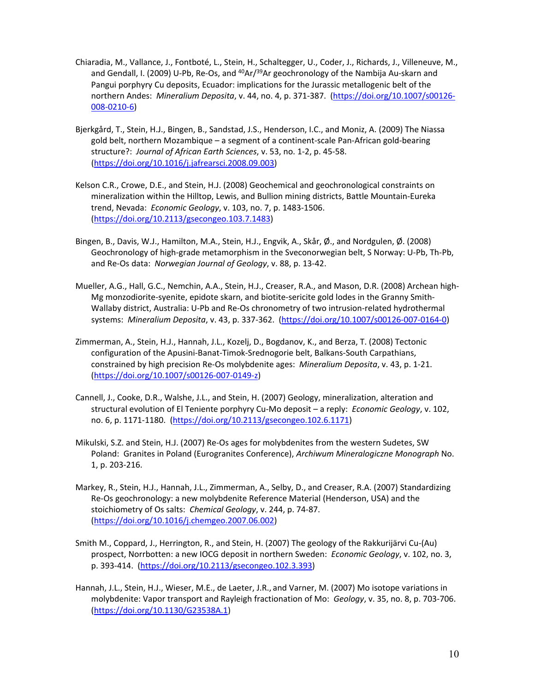- Chiaradia, M., Vallance, J., Fontboté, L., Stein, H., Schaltegger, U., Coder, J., Richards, J., Villeneuve, M., and Gendall, I. (2009) U-Pb, Re-Os, and  $40Ar/39Ar$  geochronology of the Nambija Au-skarn and Pangui porphyry Cu deposits, Ecuador: implications for the Jurassic metallogenic belt of the northern Andes: *Mineralium Deposita*, v. 44, no. 4, p. 371‐387. (https://doi.org/10.1007/s00126‐ 008‐0210‐6)
- Bjerkgård, T., Stein, H.J., Bingen, B., Sandstad, J.S., Henderson, I.C., and Moniz, A. (2009) The Niassa gold belt, northern Mozambique – a segment of a continent‐scale Pan‐African gold‐bearing structure?: *Journal of African Earth Sciences*, v. 53, no. 1‐2, p. 45‐58. (https://doi.org/10.1016/j.jafrearsci.2008.09.003)
- Kelson C.R., Crowe, D.E., and Stein, H.J. (2008) Geochemical and geochronological constraints on mineralization within the Hilltop, Lewis, and Bullion mining districts, Battle Mountain‐Eureka trend, Nevada: *Economic Geology*, v. 103, no. 7, p. 1483‐1506. (https://doi.org/10.2113/gsecongeo.103.7.1483)
- Bingen, B., Davis, W.J., Hamilton, M.A., Stein, H.J., Engvik, A., Skår, Ø., and Nordgulen, Ø. (2008) Geochronology of high‐grade metamorphism in the Sveconorwegian belt, S Norway: U‐Pb, Th‐Pb, and Re‐Os data: *Norwegian Journal of Geology*, v. 88, p. 13‐42.
- Mueller, A.G., Hall, G.C., Nemchin, A.A., Stein, H.J., Creaser, R.A., and Mason, D.R. (2008) Archean high‐ Mg monzodiorite‐syenite, epidote skarn, and biotite‐sericite gold lodes in the Granny Smith‐ Wallaby district, Australia: U‐Pb and Re‐Os chronometry of two intrusion‐related hydrothermal systems: *Mineralium Deposita*, v. 43, p. 337‐362. (https://doi.org/10.1007/s00126‐007‐0164‐0)
- Zimmerman, A., Stein, H.J., Hannah, J.L., Kozelj, D., Bogdanov, K., and Berza, T. (2008) Tectonic configuration of the Apusini‐Banat‐Timok‐Srednogorie belt, Balkans‐South Carpathians, constrained by high precision Re‐Os molybdenite ages: *Mineralium Deposita*, v. 43, p. 1‐21. (https://doi.org/10.1007/s00126‐007‐0149‐z)
- Cannell, J., Cooke, D.R., Walshe, J.L., and Stein, H. (2007) Geology, mineralization, alteration and structural evolution of El Teniente porphyry Cu‐Mo deposit – a reply: *Economic Geology*, v. 102, no. 6, p. 1171‐1180. (https://doi.org/10.2113/gsecongeo.102.6.1171)
- Mikulski, S.Z. and Stein, H.J. (2007) Re‐Os ages for molybdenites from the western Sudetes, SW Poland: Granites in Poland (Eurogranites Conference), *Archiwum Mineralogiczne Monograph* No. 1, p. 203‐216.
- Markey, R., Stein, H.J., Hannah, J.L., Zimmerman, A., Selby, D., and Creaser, R.A. (2007) Standardizing Re‐Os geochronology: a new molybdenite Reference Material (Henderson, USA) and the stoichiometry of Os salts: *Chemical Geology*, v. 244, p. 74‐87. (https://doi.org/10.1016/j.chemgeo.2007.06.002)
- Smith M., Coppard, J., Herrington, R., and Stein, H. (2007) The geology of the Rakkurijärvi Cu‐(Au) prospect, Norrbotten: a new IOCG deposit in northern Sweden: *Economic Geology*, v. 102, no. 3, p. 393‐414. (https://doi.org/10.2113/gsecongeo.102.3.393)
- Hannah, J.L., Stein, H.J., Wieser, M.E., de Laeter, J.R., and Varner, M. (2007) Mo isotope variations in molybdenite: Vapor transport and Rayleigh fractionation of Mo: *Geology*, v. 35, no. 8, p. 703‐706. (https://doi.org/10.1130/G23538A.1)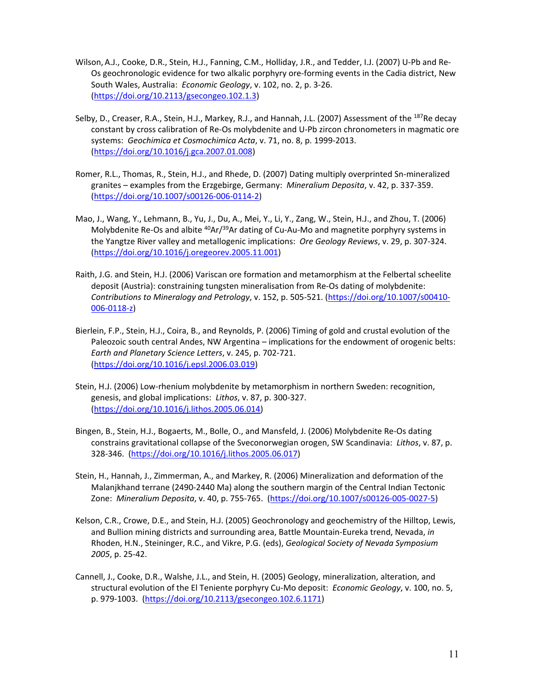- Wilson, A.J., Cooke, D.R., Stein, H.J., Fanning, C.M., Holliday, J.R., and Tedder, I.J. (2007) U‐Pb and Re‐ Os geochronologic evidence for two alkalic porphyry ore‐forming events in the Cadia district, New South Wales, Australia: *Economic Geology*, v. 102, no. 2, p. 3‐26. (https://doi.org/10.2113/gsecongeo.102.1.3)
- Selby, D., Creaser, R.A., Stein, H.J., Markey, R.J., and Hannah, J.L. (2007) Assessment of the <sup>187</sup>Re decay constant by cross calibration of Re‐Os molybdenite and U‐Pb zircon chronometers in magmatic ore systems: *Geochimica et Cosmochimica Acta*, v. 71, no. 8, p. 1999‐2013. (https://doi.org/10.1016/j.gca.2007.01.008)
- Romer, R.L., Thomas, R., Stein, H.J., and Rhede, D. (2007) Dating multiply overprinted Sn‐mineralized granites – examples from the Erzgebirge, Germany: *Mineralium Deposita*, v. 42, p. 337‐359. (https://doi.org/10.1007/s00126‐006‐0114‐2)
- Mao, J., Wang, Y., Lehmann, B., Yu, J., Du, A., Mei, Y., Li, Y., Zang, W., Stein, H.J., and Zhou, T. (2006) Molybdenite Re-Os and albite <sup>40</sup>Ar/<sup>39</sup>Ar dating of Cu-Au-Mo and magnetite porphyry systems in the Yangtze River valley and metallogenic implications: *Ore Geology Reviews*, v. 29, p. 307‐324. (https://doi.org/10.1016/j.oregeorev.2005.11.001)
- Raith, J.G. and Stein, H.J. (2006) Variscan ore formation and metamorphism at the Felbertal scheelite deposit (Austria): constraining tungsten mineralisation from Re‐Os dating of molybdenite: *Contributions to Mineralogy and Petrology*, v. 152, p. 505‐521. (https://doi.org/10.1007/s00410‐ 006‐0118‐z)
- Bierlein, F.P., Stein, H.J., Coira, B., and Reynolds, P. (2006) Timing of gold and crustal evolution of the Paleozoic south central Andes, NW Argentina – implications for the endowment of orogenic belts: *Earth and Planetary Science Letters*, v. 245, p. 702‐721. (https://doi.org/10.1016/j.epsl.2006.03.019)
- Stein, H.J. (2006) Low-rhenium molybdenite by metamorphism in northern Sweden: recognition, genesis, and global implications: *Lithos*, v. 87, p. 300‐327. (https://doi.org/10.1016/j.lithos.2005.06.014)
- Bingen, B., Stein, H.J., Bogaerts, M., Bolle, O., and Mansfeld, J. (2006) Molybdenite Re‐Os dating constrains gravitational collapse of the Sveconorwegian orogen, SW Scandinavia: *Lithos*, v. 87, p. 328‐346. (https://doi.org/10.1016/j.lithos.2005.06.017)
- Stein, H., Hannah, J., Zimmerman, A., and Markey, R. (2006) Mineralization and deformation of the Malanjkhand terrane (2490‐2440 Ma) along the southern margin of the Central Indian Tectonic Zone: *Mineralium Deposita*, v. 40, p. 755‐765. (https://doi.org/10.1007/s00126‐005‐0027‐5)
- Kelson, C.R., Crowe, D.E., and Stein, H.J. (2005) Geochronology and geochemistry of the Hilltop, Lewis, and Bullion mining districts and surrounding area, Battle Mountain‐Eureka trend, Nevada, *in* Rhoden, H.N., Steininger, R.C., and Vikre, P.G. (eds), *Geological Society of Nevada Symposium 2005*, p. 25‐42.
- Cannell, J., Cooke, D.R., Walshe, J.L., and Stein, H. (2005) Geology, mineralization, alteration, and structural evolution of the El Teniente porphyry Cu‐Mo deposit: *Economic Geology*, v. 100, no. 5, p. 979‐1003. (https://doi.org/10.2113/gsecongeo.102.6.1171)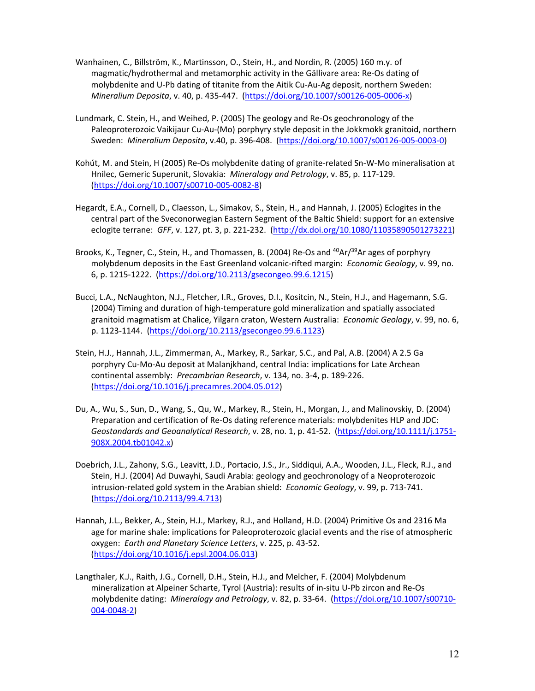- Wanhainen, C., Billström, K., Martinsson, O., Stein, H., and Nordin, R. (2005) 160 m.y. of magmatic/hydrothermal and metamorphic activity in the Gällivare area: Re‐Os dating of molybdenite and U‐Pb dating of titanite from the Aitik Cu‐Au‐Ag deposit, northern Sweden: *Mineralium Deposita*, v. 40, p. 435‐447. (https://doi.org/10.1007/s00126‐005‐0006‐x)
- Lundmark, C. Stein, H., and Weihed, P. (2005) The geology and Re‐Os geochronology of the Paleoproterozoic Vaikijaur Cu-Au-(Mo) porphyry style deposit in the Jokkmokk granitoid, northern Sweden: *Mineralium Deposita*, v.40, p. 396‐408. (https://doi.org/10.1007/s00126‐005‐0003‐0)
- Kohút, M. and Stein, H (2005) Re‐Os molybdenite dating of granite‐related Sn‐W‐Mo mineralisation at Hnilec, Gemeric Superunit, Slovakia: *Mineralogy and Petrology*, v. 85, p. 117‐129. (https://doi.org/10.1007/s00710‐005‐0082‐8)
- Hegardt, E.A., Cornell, D., Claesson, L., Simakov, S., Stein, H., and Hannah, J. (2005) Eclogites in the central part of the Sveconorwegian Eastern Segment of the Baltic Shield: support for an extensive eclogite terrane: *GFF*, v. 127, pt. 3, p. 221‐232. (http://dx.doi.org/10.1080/11035890501273221)
- Brooks, K., Tegner, C., Stein, H., and Thomassen, B. (2004) Re-Os and <sup>40</sup>Ar/<sup>39</sup>Ar ages of porphyry molybdenum deposits in the East Greenland volcanic‐rifted margin: *Economic Geology*, v. 99, no. 6, p. 1215‐1222. (https://doi.org/10.2113/gsecongeo.99.6.1215)
- Bucci, L.A., NcNaughton, N.J., Fletcher, I.R., Groves, D.I., Kositcin, N., Stein, H.J., and Hagemann, S.G. (2004) Timing and duration of high‐temperature gold mineralization and spatially associated granitoid magmatism at Chalice, Yilgarn craton, Western Australia: *Economic Geology*, v. 99, no. 6, p. 1123‐1144. (https://doi.org/10.2113/gsecongeo.99.6.1123)
- Stein, H.J., Hannah, J.L., Zimmerman, A., Markey, R., Sarkar, S.C., and Pal, A.B. (2004) A 2.5 Ga porphyry Cu‐Mo‐Au deposit at Malanjkhand, central India: implications for Late Archean continental assembly: *Precambrian Research*, v. 134, no. 3‐4, p. 189‐226. (https://doi.org/10.1016/j.precamres.2004.05.012)
- Du, A., Wu, S., Sun, D., Wang, S., Qu, W., Markey, R., Stein, H., Morgan, J., and Malinovskiy, D. (2004) Preparation and certification of Re‐Os dating reference materials: molybdenites HLP and JDC: *Geostandards and Geoanalytical Research*, v. 28, no. 1, p. 41‐52. (https://doi.org/10.1111/j.1751‐ 908X.2004.tb01042.x)
- Doebrich, J.L., Zahony, S.G., Leavitt, J.D., Portacio, J.S., Jr., Siddiqui, A.A., Wooden, J.L., Fleck, R.J., and Stein, H.J. (2004) Ad Duwayhi, Saudi Arabia: geology and geochronology of a Neoproterozoic intrusion‐related gold system in the Arabian shield: *Economic Geology*, v. 99, p. 713‐741. (https://doi.org/10.2113/99.4.713)
- Hannah, J.L., Bekker, A., Stein, H.J., Markey, R.J., and Holland, H.D. (2004) Primitive Os and 2316 Ma age for marine shale: implications for Paleoproterozoic glacial events and the rise of atmospheric oxygen: *Earth and Planetary Science Letters*, v. 225, p. 43‐52. (https://doi.org/10.1016/j.epsl.2004.06.013)
- Langthaler, K.J., Raith, J.G., Cornell, D.H., Stein, H.J., and Melcher, F. (2004) Molybdenum mineralization at Alpeiner Scharte, Tyrol (Austria): results of in‐situ U‐Pb zircon and Re‐Os molybdenite dating: *Mineralogy and Petrology*, v. 82, p. 33‐64. (https://doi.org/10.1007/s00710‐ 004‐0048‐2)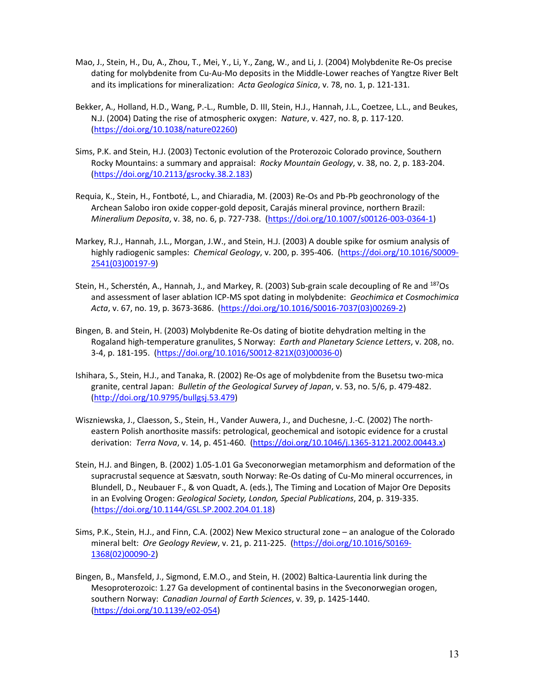- Mao, J., Stein, H., Du, A., Zhou, T., Mei, Y., Li, Y., Zang, W., and Li, J. (2004) Molybdenite Re‐Os precise dating for molybdenite from Cu‐Au‐Mo deposits in the Middle‐Lower reaches of Yangtze River Belt and its implications for mineralization: *Acta Geologica Sinica*, v. 78, no. 1, p. 121‐131.
- Bekker, A., Holland, H.D., Wang, P.‐L., Rumble, D. III, Stein, H.J., Hannah, J.L., Coetzee, L.L., and Beukes, N.J. (2004) Dating the rise of atmospheric oxygen: *Nature*, v. 427, no. 8, p. 117‐120. (https://doi.org/10.1038/nature02260)
- Sims, P.K. and Stein, H.J. (2003) Tectonic evolution of the Proterozoic Colorado province, Southern Rocky Mountains: a summary and appraisal: *Rocky Mountain Geology*, v. 38, no. 2, p. 183‐204. (https://doi.org/10.2113/gsrocky.38.2.183)
- Requia, K., Stein, H., Fontboté, L., and Chiaradia, M. (2003) Re‐Os and Pb‐Pb geochronology of the Archean Salobo iron oxide copper‐gold deposit, Carajás mineral province, northern Brazil: *Mineralium Deposita*, v. 38, no. 6, p. 727‐738. (https://doi.org/10.1007/s00126‐003‐0364‐1)
- Markey, R.J., Hannah, J.L., Morgan, J.W., and Stein, H.J. (2003) A double spike for osmium analysis of highly radiogenic samples: *Chemical Geology*, v. 200, p. 395‐406. (https://doi.org/10.1016/S0009‐ 2541(03)00197‐9)
- Stein, H., Scherstén, A., Hannah, J., and Markey, R. (2003) Sub‐grain scale decoupling of Re and 187Os and assessment of laser ablation ICP‐MS spot dating in molybdenite: *Geochimica et Cosmochimica Acta*, v. 67, no. 19, p. 3673‐3686. (https://doi.org/10.1016/S0016‐7037(03)00269‐2)
- Bingen, B. and Stein, H. (2003) Molybdenite Re‐Os dating of biotite dehydration melting in the Rogaland high‐temperature granulites, S Norway: *Earth and Planetary Science Letters*, v. 208, no. 3‐4, p. 181‐195. (https://doi.org/10.1016/S0012‐821X(03)00036‐0)
- Ishihara, S., Stein, H.J., and Tanaka, R. (2002) Re‐Os age of molybdenite from the Busetsu two‐mica granite, central Japan: *Bulletin of the Geological Survey of Japan*, v. 53, no. 5/6, p. 479‐482. (http://doi.org/10.9795/bullgsj.53.479)
- Wiszniewska, J., Claesson, S., Stein, H., Vander Auwera, J., and Duchesne, J.‐C. (2002) The north‐ eastern Polish anorthosite massifs: petrological, geochemical and isotopic evidence for a crustal derivation: *Terra Nova*, v. 14, p. 451‐460. (https://doi.org/10.1046/j.1365‐3121.2002.00443.x)
- Stein, H.J. and Bingen, B. (2002) 1.05‐1.01 Ga Sveconorwegian metamorphism and deformation of the supracrustal sequence at Sæsvatn, south Norway: Re‐Os dating of Cu‐Mo mineral occurrences, in Blundell, D., Neubauer F., & von Quadt, A. (eds.), The Timing and Location of Major Ore Deposits in an Evolving Orogen: *Geological Society, London, Special Publications*, 204, p. 319‐335. (https://doi.org/10.1144/GSL.SP.2002.204.01.18)
- Sims, P.K., Stein, H.J., and Finn, C.A. (2002) New Mexico structural zone an analogue of the Colorado mineral belt: *Ore Geology Review*, v. 21, p. 211‐225. (https://doi.org/10.1016/S0169‐ 1368(02)00090‐2)
- Bingen, B., Mansfeld, J., Sigmond, E.M.O., and Stein, H. (2002) Baltica‐Laurentia link during the Mesoproterozoic: 1.27 Ga development of continental basins in the Sveconorwegian orogen, southern Norway: *Canadian Journal of Earth Sciences*, v. 39, p. 1425‐1440. (https://doi.org/10.1139/e02‐054)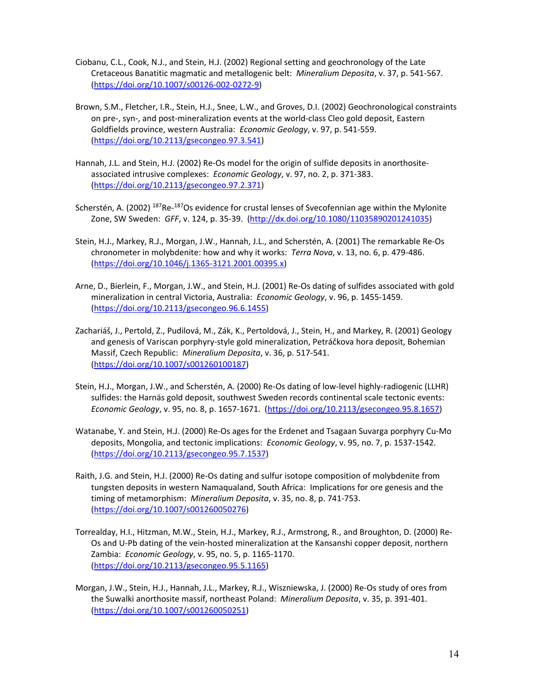- Ciobanu, C.L., Cook, N.J., and Stein, H.J. (2002) Regional setting and geochronology of the Late Cretaceous Banatitic magmatic and metallogenic belt: *Mineralium Deposita*, v. 37, p. 541‐567. (https://doi.org/10.1007/s00126‐002‐0272‐9)
- Brown, S.M., Fletcher, I.R., Stein, H.J., Snee, L.W., and Groves, D.I. (2002) Geochronological constraints on pre‐, syn‐, and post‐mineralization events at the world‐class Cleo gold deposit, Eastern Goldfields province, western Australia: *Economic Geology*, v. 97, p. 541‐559. (https://doi.org/10.2113/gsecongeo.97.3.541)
- Hannah, J.L. and Stein, H.J. (2002) Re-Os model for the origin of sulfide deposits in anorthositeassociated intrusive complexes: *Economic Geology*, v. 97, no. 2, p. 371‐383. (https://doi.org/10.2113/gsecongeo.97.2.371)
- Scherstén, A. (2002) <sup>187</sup>Re-<sup>187</sup>Os evidence for crustal lenses of Svecofennian age within the Mylonite Zone, SW Sweden: *GFF*, v. 124, p. 35‐39. (http://dx.doi.org/10.1080/11035890201241035)
- Stein, H.J., Markey, R.J., Morgan, J.W., Hannah, J.L., and Scherstén, A. (2001) The remarkable Re‐Os chronometer in molybdenite: how and why it works: *Terra Nova*, v. 13, no. 6, p. 479‐486. (https://doi.org/10.1046/j.1365‐3121.2001.00395.x)
- Arne, D., Bierlein, F., Morgan, J.W., and Stein, H.J. (2001) Re‐Os dating of sulfides associated with gold mineralization in central Victoria, Australia: *Economic Geology*, v. 96, p. 1455‐1459. (https://doi.org/10.2113/gsecongeo.96.6.1455)
- Zachariáš, J., Pertold, Z., Pudilová, M., Zák, K., Pertoldová, J., Stein, H., and Markey, R. (2001) Geology and genesis of Variscan porphyry‐style gold mineralization, Petráčkova hora deposit, Bohemian Massif, Czech Republic: *Mineralium Deposita*, v. 36, p. 517‐541. (https://doi.org/10.1007/s001260100187)
- Stein, H.J., Morgan, J.W., and Scherstén, A. (2000) Re‐Os dating of low‐level highly‐radiogenic (LLHR) sulfides: the Harnäs gold deposit, southwest Sweden records continental scale tectonic events: *Economic Geology*, v. 95, no. 8, p. 1657‐1671. (https://doi.org/10.2113/gsecongeo.95.8.1657)
- Watanabe, Y. and Stein, H.J. (2000) Re‐Os ages for the Erdenet and Tsagaan Suvarga porphyry Cu‐Mo deposits, Mongolia, and tectonic implications: *Economic Geology*, v. 95, no. 7, p. 1537‐1542. (https://doi.org/10.2113/gsecongeo.95.7.1537)
- Raith, J.G. and Stein, H.J. (2000) Re‐Os dating and sulfur isotope composition of molybdenite from tungsten deposits in western Namaqualand, South Africa: Implications for ore genesis and the timing of metamorphism: *Mineralium Deposita*, v. 35, no. 8, p. 741‐753. (https://doi.org/10.1007/s001260050276)
- Torrealday, H.I., Hitzman, M.W., Stein, H.J., Markey, R.J., Armstrong, R., and Broughton, D. (2000) Re‐ Os and U‐Pb dating of the vein‐hosted mineralization at the Kansanshi copper deposit, northern Zambia: *Economic Geology*, v. 95, no. 5, p. 1165‐1170. (https://doi.org/10.2113/gsecongeo.95.5.1165)
- Morgan, J.W., Stein, H.J., Hannah, J.L., Markey, R.J., Wiszniewska, J. (2000) Re‐Os study of ores from the Suwalki anorthosite massif, northeast Poland: *Mineralium Deposita*, v. 35, p. 391‐401. (https://doi.org/10.1007/s001260050251)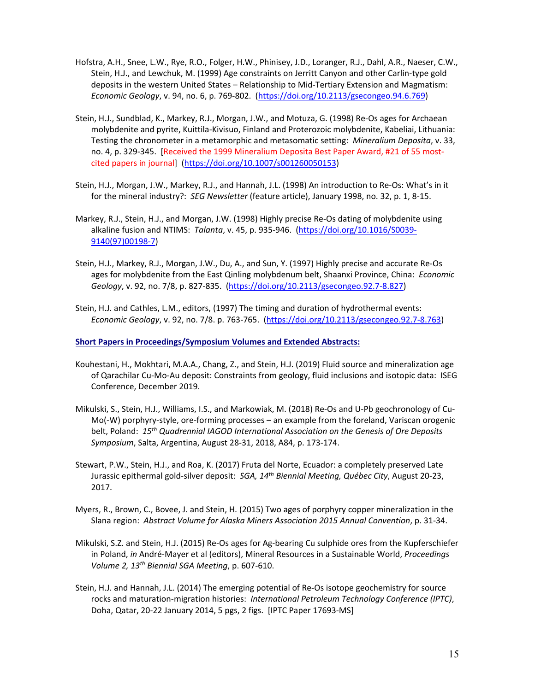- Hofstra, A.H., Snee, L.W., Rye, R.O., Folger, H.W., Phinisey, J.D., Loranger, R.J., Dahl, A.R., Naeser, C.W., Stein, H.J., and Lewchuk, M. (1999) Age constraints on Jerritt Canyon and other Carlin‐type gold deposits in the western United States – Relationship to Mid‐Tertiary Extension and Magmatism: *Economic Geology*, v. 94, no. 6, p. 769‐802. (https://doi.org/10.2113/gsecongeo.94.6.769)
- Stein, H.J., Sundblad, K., Markey, R.J., Morgan, J.W., and Motuza, G. (1998) Re‐Os ages for Archaean molybdenite and pyrite, Kuittila‐Kivisuo, Finland and Proterozoic molybdenite, Kabeliai, Lithuania: Testing the chronometer in a metamorphic and metasomatic setting: *Mineralium Deposita*, v. 33, no. 4, p. 329-345. [Received the 1999 Mineralium Deposita Best Paper Award, #21 of 55 mostcited papers in journal] (https://doi.org/10.1007/s001260050153)
- Stein, H.J., Morgan, J.W., Markey, R.J., and Hannah, J.L. (1998) An introduction to Re‐Os: What's in it for the mineral industry?: *SEG Newsletter* (feature article), January 1998, no. 32, p. 1, 8‐15.
- Markey, R.J., Stein, H.J., and Morgan, J.W. (1998) Highly precise Re‐Os dating of molybdenite using alkaline fusion and NTIMS: *Talanta*, v. 45, p. 935‐946. (https://doi.org/10.1016/S0039‐ 9140(97)00198‐7)
- Stein, H.J., Markey, R.J., Morgan, J.W., Du, A., and Sun, Y. (1997) Highly precise and accurate Re‐Os ages for molybdenite from the East Qinling molybdenum belt, Shaanxi Province, China: *Economic Geology*, v. 92, no. 7/8, p. 827‐835. (https://doi.org/10.2113/gsecongeo.92.7‐8.827)
- Stein, H.J. and Cathles, L.M., editors, (1997) The timing and duration of hydrothermal events: *Economic Geology*, v. 92, no. 7/8. p. 763‐765. (https://doi.org/10.2113/gsecongeo.92.7‐8.763)

**Short Papers in Proceedings/Symposium Volumes and Extended Abstracts:**

- Kouhestani, H., Mokhtari, M.A.A., Chang, Z., and Stein, H.J. (2019) Fluid source and mineralization age of Qarachilar Cu‐Mo‐Au deposit: Constraints from geology, fluid inclusions and isotopic data: ISEG Conference, December 2019.
- Mikulski, S., Stein, H.J., Williams, I.S., and Markowiak, M. (2018) Re‐Os and U‐Pb geochronology of Cu‐ Mo(‐W) porphyry‐style, ore‐forming processes – an example from the foreland, Variscan orogenic belt, Poland: *15th Quadrennial IAGOD International Association on the Genesis of Ore Deposits Symposium*, Salta, Argentina, August 28‐31, 2018, A84, p. 173‐174.
- Stewart, P.W., Stein, H.J., and Roa, K. (2017) Fruta del Norte, Ecuador: a completely preserved Late Jurassic epithermal gold‐silver deposit: *SGA, 14th Biennial Meeting, Québec City*, August 20‐23, 2017.
- Myers, R., Brown, C., Bovee, J. and Stein, H. (2015) Two ages of porphyry copper mineralization in the Slana region: *Abstract Volume for Alaska Miners Association 2015 Annual Convention*, p. 31‐34.
- Mikulski, S.Z. and Stein, H.J. (2015) Re‐Os ages for Ag‐bearing Cu sulphide ores from the Kupferschiefer in Poland, *in* André‐Mayer et al (editors), Mineral Resources in a Sustainable World, *Proceedings Volume 2, 13th Biennial SGA Meeting*, p. 607‐610.
- Stein, H.J. and Hannah, J.L. (2014) The emerging potential of Re‐Os isotope geochemistry for source rocks and maturation‐migration histories: *International Petroleum Technology Conference (IPTC)*, Doha, Qatar, 20‐22 January 2014, 5 pgs, 2 figs. [IPTC Paper 17693‐MS]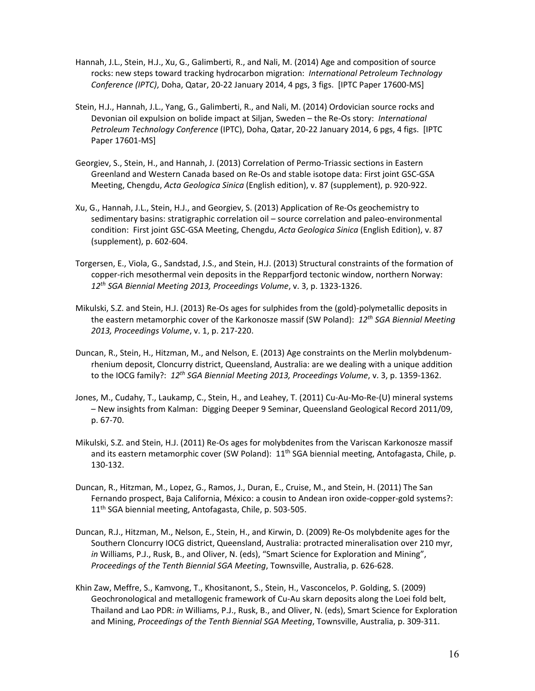- Hannah, J.L., Stein, H.J., Xu, G., Galimberti, R., and Nali, M. (2014) Age and composition of source rocks: new steps toward tracking hydrocarbon migration: *International Petroleum Technology Conference (IPTC)*, Doha, Qatar, 20‐22 January 2014, 4 pgs, 3 figs. [IPTC Paper 17600‐MS]
- Stein, H.J., Hannah, J.L., Yang, G., Galimberti, R., and Nali, M. (2014) Ordovician source rocks and Devonian oil expulsion on bolide impact at Siljan, Sweden – the Re‐Os story: *International Petroleum Technology Conference* (IPTC), Doha, Qatar, 20‐22 January 2014, 6 pgs, 4 figs. [IPTC Paper 17601‐MS]
- Georgiev, S., Stein, H., and Hannah, J. (2013) Correlation of Permo‐Triassic sections in Eastern Greenland and Western Canada based on Re‐Os and stable isotope data: First joint GSC‐GSA Meeting, Chengdu, *Acta Geologica Sinica* (English edition), v. 87 (supplement), p. 920‐922.
- Xu, G., Hannah, J.L., Stein, H.J., and Georgiev, S. (2013) Application of Re‐Os geochemistry to sedimentary basins: stratigraphic correlation oil – source correlation and paleo-environmental condition: First joint GSC‐GSA Meeting, Chengdu, *Acta Geologica Sinica* (English Edition), v. 87 (supplement), p. 602‐604.
- Torgersen, E., Viola, G., Sandstad, J.S., and Stein, H.J. (2013) Structural constraints of the formation of copper-rich mesothermal vein deposits in the Repparfjord tectonic window, northern Norway: *12th SGA Biennial Meeting 2013, Proceedings Volume*, v. 3, p. 1323‐1326.
- Mikulski, S.Z. and Stein, H.J. (2013) Re‐Os ages for sulphides from the (gold)‐polymetallic deposits in the eastern metamorphic cover of the Karkonosze massif (SW Poland): *12th SGA Biennial Meeting 2013, Proceedings Volume*, v. 1, p. 217‐220.
- Duncan, R., Stein, H., Hitzman, M., and Nelson, E. (2013) Age constraints on the Merlin molybdenum‐ rhenium deposit, Cloncurry district, Queensland, Australia: are we dealing with a unique addition to the IOCG family?: *12th SGA Biennial Meeting 2013, Proceedings Volume*, v. 3, p. 1359‐1362.
- Jones, M., Cudahy, T., Laukamp, C., Stein, H., and Leahey, T. (2011) Cu‐Au‐Mo‐Re‐(U) mineral systems – New insights from Kalman: Digging Deeper 9 Seminar, Queensland Geological Record 2011/09, p. 67‐70.
- Mikulski, S.Z. and Stein, H.J. (2011) Re‐Os ages for molybdenites from the Variscan Karkonosze massif and its eastern metamorphic cover (SW Poland):  $11<sup>th</sup>$  SGA biennial meeting, Antofagasta, Chile, p. 130‐132.
- Duncan, R., Hitzman, M., Lopez, G., Ramos, J., Duran, E., Cruise, M., and Stein, H. (2011) The San Fernando prospect, Baja California, México: a cousin to Andean iron oxide‐copper‐gold systems?: 11th SGA biennial meeting, Antofagasta, Chile, p. 503‐505.
- Duncan, R.J., Hitzman, M., Nelson, E., Stein, H., and Kirwin, D. (2009) Re‐Os molybdenite ages for the Southern Cloncurry IOCG district, Queensland, Australia: protracted mineralisation over 210 myr, *in* Williams, P.J., Rusk, B., and Oliver, N. (eds), "Smart Science for Exploration and Mining", *Proceedings of the Tenth Biennial SGA Meeting*, Townsville, Australia, p. 626‐628.
- Khin Zaw, Meffre, S., Kamvong, T., Khositanont, S., Stein, H., Vasconcelos, P. Golding, S. (2009) Geochronological and metallogenic framework of Cu‐Au skarn deposits along the Loei fold belt, Thailand and Lao PDR: *in* Williams, P.J., Rusk, B., and Oliver, N. (eds), Smart Science for Exploration and Mining, *Proceedings of the Tenth Biennial SGA Meeting*, Townsville, Australia, p. 309‐311.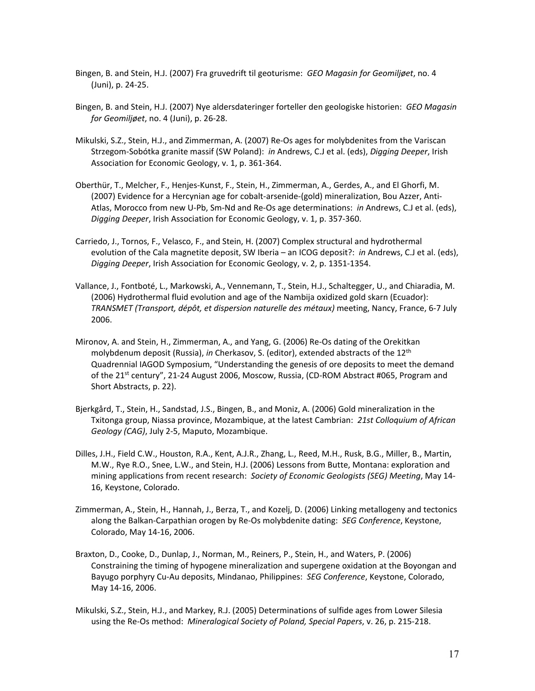- Bingen, B. and Stein, H.J. (2007) Fra gruvedrift til geoturisme: *GEO Magasin for Geomiljøet*, no. 4 (Juni), p. 24‐25.
- Bingen, B. and Stein, H.J. (2007) Nye aldersdateringer forteller den geologiske historien: *GEO Magasin for Geomiljøet*, no. 4 (Juni), p. 26‐28.
- Mikulski, S.Z., Stein, H.J., and Zimmerman, A. (2007) Re‐Os ages for molybdenites from the Variscan Strzegom‐Sobótka granite massif (SW Poland): *in* Andrews, C.J et al. (eds), *Digging Deeper*, Irish Association for Economic Geology, v. 1, p. 361‐364.
- Oberthür, T., Melcher, F., Henjes‐Kunst, F., Stein, H., Zimmerman, A., Gerdes, A., and El Ghorfi, M. (2007) Evidence for a Hercynian age for cobalt‐arsenide‐(gold) mineralization, Bou Azzer, Anti‐ Atlas, Morocco from new U‐Pb, Sm‐Nd and Re‐Os age determinations: *in* Andrews, C.J et al. (eds), *Digging Deeper*, Irish Association for Economic Geology, v. 1, p. 357‐360.
- Carriedo, J., Tornos, F., Velasco, F., and Stein, H. (2007) Complex structural and hydrothermal evolution of the Cala magnetite deposit, SW Iberia – an ICOG deposit?: *in* Andrews, C.J et al. (eds), *Digging Deeper*, Irish Association for Economic Geology, v. 2, p. 1351‐1354.
- Vallance, J., Fontboté, L., Markowski, A., Vennemann, T., Stein, H.J., Schaltegger, U., and Chiaradia, M. (2006) Hydrothermal fluid evolution and age of the Nambija oxidized gold skarn (Ecuador): *TRANSMET (Transport, dépôt, et dispersion naturelle des métaux)* meeting, Nancy, France, 6‐7 July 2006.
- Mironov, A. and Stein, H., Zimmerman, A., and Yang, G. (2006) Re‐Os dating of the Orekitkan molybdenum deposit (Russia), *in* Cherkasov, S. (editor), extended abstracts of the 12th Quadrennial IAGOD Symposium, "Understanding the genesis of ore deposits to meet the demand of the 21<sup>st</sup> century", 21-24 August 2006, Moscow, Russia, (CD-ROM Abstract #065, Program and Short Abstracts, p. 22).
- Bjerkgård, T., Stein, H., Sandstad, J.S., Bingen, B., and Moniz, A. (2006) Gold mineralization in the Txitonga group, Niassa province, Mozambique, at the latest Cambrian: *21st Colloquium of African Geology (CAG)*, July 2‐5, Maputo, Mozambique.
- Dilles, J.H., Field C.W., Houston, R.A., Kent, A.J.R., Zhang, L., Reed, M.H., Rusk, B.G., Miller, B., Martin, M.W., Rye R.O., Snee, L.W., and Stein, H.J. (2006) Lessons from Butte, Montana: exploration and mining applications from recent research: *Society of Economic Geologists (SEG) Meeting*, May 14‐ 16, Keystone, Colorado.
- Zimmerman, A., Stein, H., Hannah, J., Berza, T., and Kozelj, D. (2006) Linking metallogeny and tectonics along the Balkan‐Carpathian orogen by Re‐Os molybdenite dating: *SEG Conference*, Keystone, Colorado, May 14‐16, 2006.
- Braxton, D., Cooke, D., Dunlap, J., Norman, M., Reiners, P., Stein, H., and Waters, P. (2006) Constraining the timing of hypogene mineralization and supergene oxidation at the Boyongan and Bayugo porphyry Cu‐Au deposits, Mindanao, Philippines: *SEG Conference*, Keystone, Colorado, May 14‐16, 2006.
- Mikulski, S.Z., Stein, H.J., and Markey, R.J. (2005) Determinations of sulfide ages from Lower Silesia using the Re‐Os method: *Mineralogical Society of Poland, Special Papers*, v. 26, p. 215‐218.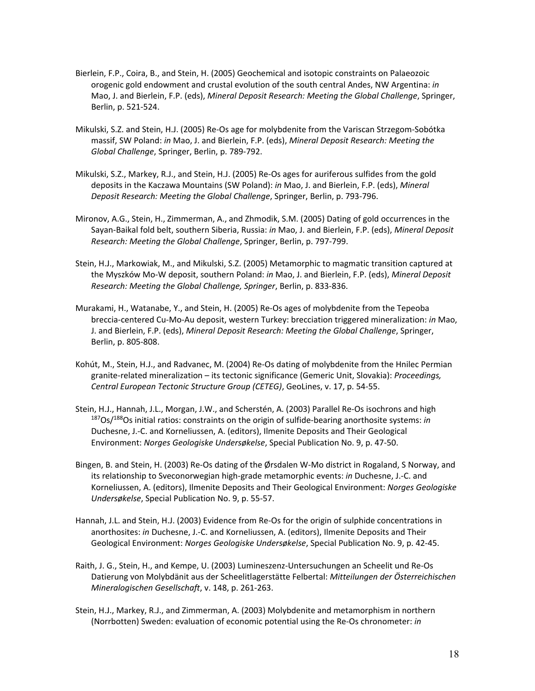- Bierlein, F.P., Coira, B., and Stein, H. (2005) Geochemical and isotopic constraints on Palaeozoic orogenic gold endowment and crustal evolution of the south central Andes, NW Argentina: *in* Mao, J. and Bierlein, F.P. (eds), *Mineral Deposit Research: Meeting the Global Challenge*, Springer, Berlin, p. 521‐524.
- Mikulski, S.Z. and Stein, H.J. (2005) Re‐Os age for molybdenite from the Variscan Strzegom‐Sobótka massif, SW Poland: *in* Mao, J. and Bierlein, F.P. (eds), *Mineral Deposit Research: Meeting the Global Challenge*, Springer, Berlin, p. 789‐792.
- Mikulski, S.Z., Markey, R.J., and Stein, H.J. (2005) Re‐Os ages for auriferous sulfides from the gold deposits in the Kaczawa Mountains (SW Poland): *in* Mao, J. and Bierlein, F.P. (eds), *Mineral Deposit Research: Meeting the Global Challenge*, Springer, Berlin, p. 793‐796.
- Mironov, A.G., Stein, H., Zimmerman, A., and Zhmodik, S.M. (2005) Dating of gold occurrences in the Sayan‐Baikal fold belt, southern Siberia, Russia: *in* Mao, J. and Bierlein, F.P. (eds), *Mineral Deposit Research: Meeting the Global Challenge*, Springer, Berlin, p. 797‐799.
- Stein, H.J., Markowiak, M., and Mikulski, S.Z. (2005) Metamorphic to magmatic transition captured at the Myszków Mo‐W deposit, southern Poland: *in* Mao, J. and Bierlein, F.P. (eds), *Mineral Deposit Research: Meeting the Global Challenge, Springer*, Berlin, p. 833‐836.
- Murakami, H., Watanabe, Y., and Stein, H. (2005) Re‐Os ages of molybdenite from the Tepeoba breccia‐centered Cu‐Mo‐Au deposit, western Turkey: brecciation triggered mineralization: *in* Mao, J. and Bierlein, F.P. (eds), *Mineral Deposit Research: Meeting the Global Challenge*, Springer, Berlin, p. 805‐808.
- Kohút, M., Stein, H.J., and Radvanec, M. (2004) Re‐Os dating of molybdenite from the Hnilec Permian granite‐related mineralization – its tectonic significance (Gemeric Unit, Slovakia): *Proceedings, Central European Tectonic Structure Group (CETEG)*, GeoLines, v. 17, p. 54‐55.
- Stein, H.J., Hannah, J.L., Morgan, J.W., and Scherstén, A. (2003) Parallel Re‐Os isochrons and high 187Os/188Os initial ratios: constraints on the origin of sulfide‐bearing anorthosite systems: *in* Duchesne, J.‐C. and Korneliussen, A. (editors), Ilmenite Deposits and Their Geological Environment: *Norges Geologiske Undersøkelse*, Special Publication No. 9, p. 47‐50.
- Bingen, B. and Stein, H. (2003) Re‐Os dating of the Ørsdalen W‐Mo district in Rogaland, S Norway, and its relationship to Sveconorwegian high‐grade metamorphic events: *in* Duchesne, J.‐C. and Korneliussen, A. (editors), Ilmenite Deposits and Their Geological Environment: *Norges Geologiske Undersøkelse*, Special Publication No. 9, p. 55‐57.
- Hannah, J.L. and Stein, H.J. (2003) Evidence from Re‐Os for the origin of sulphide concentrations in anorthosites: *in* Duchesne, J.‐C. and Korneliussen, A. (editors), Ilmenite Deposits and Their Geological Environment: *Norges Geologiske Undersøkelse*, Special Publication No. 9, p. 42‐45.
- Raith, J. G., Stein, H., and Kempe, U. (2003) Lumineszenz‐Untersuchungen an Scheelit und Re‐Os Datierung von Molybdänit aus der Scheelitlagerstätte Felbertal: *Mitteilungen der Österreichischen Mineralogischen Gesellschaft*, v. 148, p. 261‐263.
- Stein, H.J., Markey, R.J., and Zimmerman, A. (2003) Molybdenite and metamorphism in northern (Norrbotten) Sweden: evaluation of economic potential using the Re‐Os chronometer: *in*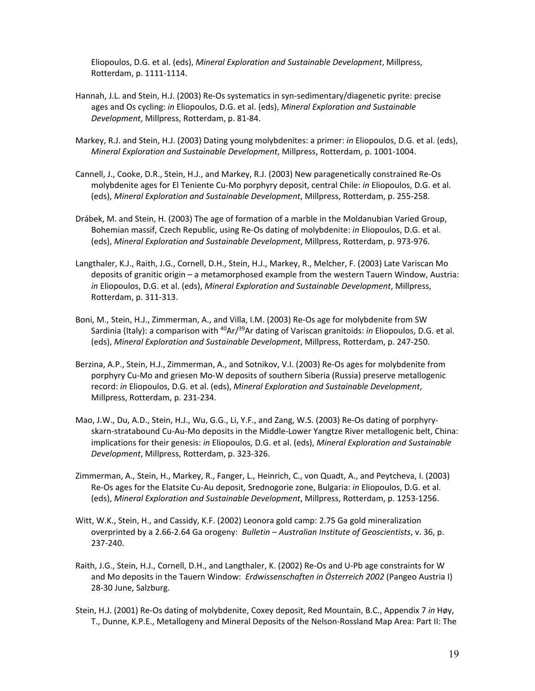Eliopoulos, D.G. et al. (eds), *Mineral Exploration and Sustainable Development*, Millpress, Rotterdam, p. 1111‐1114.

- Hannah, J.L. and Stein, H.J. (2003) Re‐Os systematics in syn‐sedimentary/diagenetic pyrite: precise ages and Os cycling: *in* Eliopoulos, D.G. et al. (eds), *Mineral Exploration and Sustainable Development*, Millpress, Rotterdam, p. 81‐84.
- Markey, R.J. and Stein, H.J. (2003) Dating young molybdenites: a primer: *in* Eliopoulos, D.G. et al. (eds), *Mineral Exploration and Sustainable Development*, Millpress, Rotterdam, p. 1001‐1004.
- Cannell, J., Cooke, D.R., Stein, H.J., and Markey, R.J. (2003) New paragenetically constrained Re‐Os molybdenite ages for El Teniente Cu‐Mo porphyry deposit, central Chile: *in* Eliopoulos, D.G. et al. (eds), *Mineral Exploration and Sustainable Development*, Millpress, Rotterdam, p. 255‐258.
- Drábek, M. and Stein, H. (2003) The age of formation of a marble in the Moldanubian Varied Group, Bohemian massif, Czech Republic, using Re‐Os dating of molybdenite: *in* Eliopoulos, D.G. et al. (eds), *Mineral Exploration and Sustainable Development*, Millpress, Rotterdam, p. 973‐976.
- Langthaler, K.J., Raith, J.G., Cornell, D.H., Stein, H.J., Markey, R., Melcher, F. (2003) Late Variscan Mo deposits of granitic origin – a metamorphosed example from the western Tauern Window, Austria: *in* Eliopoulos, D.G. et al. (eds), *Mineral Exploration and Sustainable Development*, Millpress, Rotterdam, p. 311‐313.
- Boni, M., Stein, H.J., Zimmerman, A., and Villa, I.M. (2003) Re‐Os age for molybdenite from SW Sardinia (Italy): a comparison with <sup>40</sup>Ar/<sup>39</sup>Ar dating of Variscan granitoids: *in* Eliopoulos, D.G. et al. (eds), *Mineral Exploration and Sustainable Development*, Millpress, Rotterdam, p. 247‐250.
- Berzina, A.P., Stein, H.J., Zimmerman, A., and Sotnikov, V.I. (2003) Re‐Os ages for molybdenite from porphyry Cu‐Mo and griesen Mo‐W deposits of southern Siberia (Russia) preserve metallogenic record: *in* Eliopoulos, D.G. et al. (eds), *Mineral Exploration and Sustainable Development*, Millpress, Rotterdam, p. 231‐234.
- Mao, J.W., Du, A.D., Stein, H.J., Wu, G.G., Li, Y.F., and Zang, W.S. (2003) Re‐Os dating of porphyry‐ skarn‐stratabound Cu‐Au‐Mo deposits in the Middle‐Lower Yangtze River metallogenic belt, China: implications for their genesis: *in* Eliopoulos, D.G. et al. (eds), *Mineral Exploration and Sustainable Development*, Millpress, Rotterdam, p. 323‐326.
- Zimmerman, A., Stein, H., Markey, R., Fanger, L., Heinrich, C., von Quadt, A., and Peytcheva, I. (2003) Re‐Os ages for the Elatsite Cu‐Au deposit, Srednogorie zone, Bulgaria: *in* Eliopoulos, D.G. et al. (eds), *Mineral Exploration and Sustainable Development*, Millpress, Rotterdam, p. 1253‐1256.
- Witt, W.K., Stein, H., and Cassidy, K.F. (2002) Leonora gold camp: 2.75 Ga gold mineralization overprinted by a 2.66‐2.64 Ga orogeny: *Bulletin – Australian Institute of Geoscientists*, v. 36, p. 237‐240.
- Raith, J.G., Stein, H.J., Cornell, D.H., and Langthaler, K. (2002) Re‐Os and U‐Pb age constraints for W and Mo deposits in the Tauern Window: *Erdwissenschaften in Österreich 2002* (Pangeo Austria I) 28‐30 June, Salzburg.
- Stein, H.J. (2001) Re‐Os dating of molybdenite, Coxey deposit, Red Mountain, B.C., Appendix 7 *in* Høy, T., Dunne, K.P.E., Metallogeny and Mineral Deposits of the Nelson‐Rossland Map Area: Part II: The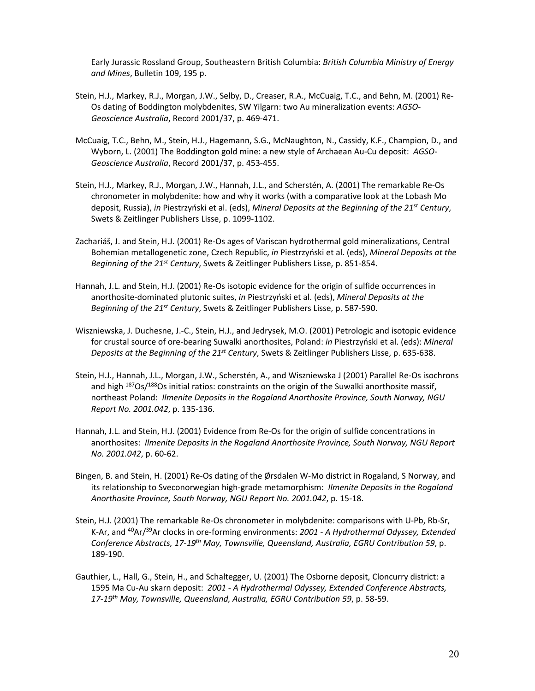Early Jurassic Rossland Group, Southeastern British Columbia: *British Columbia Ministry of Energy and Mines*, Bulletin 109, 195 p.

- Stein, H.J., Markey, R.J., Morgan, J.W., Selby, D., Creaser, R.A., McCuaig, T.C., and Behn, M. (2001) Re‐ Os dating of Boddington molybdenites, SW Yilgarn: two Au mineralization events: *AGSO‐ Geoscience Australia*, Record 2001/37, p. 469‐471.
- McCuaig, T.C., Behn, M., Stein, H.J., Hagemann, S.G., McNaughton, N., Cassidy, K.F., Champion, D., and Wyborn, L. (2001) The Boddington gold mine: a new style of Archaean Au‐Cu deposit: *AGSO‐ Geoscience Australia*, Record 2001/37, p. 453‐455.
- Stein, H.J., Markey, R.J., Morgan, J.W., Hannah, J.L., and Scherstén, A. (2001) The remarkable Re‐Os chronometer in molybdenite: how and why it works (with a comparative look at the Lobash Mo deposit, Russia), *in* Piestrzyński et al. (eds), *Mineral Deposits at the Beginning of the 21st Century*, Swets & Zeitlinger Publishers Lisse, p. 1099‐1102.
- Zachariáš, J. and Stein, H.J. (2001) Re‐Os ages of Variscan hydrothermal gold mineralizations, Central Bohemian metallogenetic zone, Czech Republic, *in* Piestrzyński et al. (eds), *Mineral Deposits at the Beginning of the 21st Century*, Swets & Zeitlinger Publishers Lisse, p. 851‐854.
- Hannah, J.L. and Stein, H.J. (2001) Re-Os isotopic evidence for the origin of sulfide occurrences in anorthosite‐dominated plutonic suites, *in* Piestrzyński et al. (eds), *Mineral Deposits at the Beginning of the 21st Century*, Swets & Zeitlinger Publishers Lisse, p. 587‐590.
- Wiszniewska, J. Duchesne, J.‐C., Stein, H.J., and Jedrysek, M.O. (2001) Petrologic and isotopic evidence for crustal source of ore‐bearing Suwalki anorthosites, Poland: *in* Piestrzyński et al. (eds): *Mineral Deposits at the Beginning of the 21st Century*, Swets & Zeitlinger Publishers Lisse, p. 635‐638.
- Stein, H.J., Hannah, J.L., Morgan, J.W., Scherstén, A., and Wiszniewska J (2001) Parallel Re‐Os isochrons and high <sup>187</sup>Os/<sup>188</sup>Os initial ratios: constraints on the origin of the Suwalki anorthosite massif, northeast Poland: *Ilmenite Deposits in the Rogaland Anorthosite Province, South Norway, NGU Report No. 2001.042*, p. 135‐136.
- Hannah, J.L. and Stein, H.J. (2001) Evidence from Re‐Os for the origin of sulfide concentrations in anorthosites: *Ilmenite Deposits in the Rogaland Anorthosite Province, South Norway, NGU Report No. 2001.042*, p. 60‐62.
- Bingen, B. and Stein, H. (2001) Re‐Os dating of the Ørsdalen W‐Mo district in Rogaland, S Norway, and its relationship to Sveconorwegian high‐grade metamorphism: *Ilmenite Deposits in the Rogaland Anorthosite Province, South Norway, NGU Report No. 2001.042*, p. 15‐18.
- Stein, H.J. (2001) The remarkable Re‐Os chronometer in molybdenite: comparisons with U‐Pb, Rb‐Sr, K‐Ar, and 40Ar/39Ar clocks in ore‐forming environments: *2001 ‐ A Hydrothermal Odyssey, Extended Conference Abstracts, 17‐19th May, Townsville, Queensland, Australia, EGRU Contribution 59*, p. 189‐190.
- Gauthier, L., Hall, G., Stein, H., and Schaltegger, U. (2001) The Osborne deposit, Cloncurry district: a 1595 Ma Cu‐Au skarn deposit: *2001 ‐ A Hydrothermal Odyssey, Extended Conference Abstracts, 17‐19th May, Townsville, Queensland, Australia, EGRU Contribution 59*, p. 58‐59.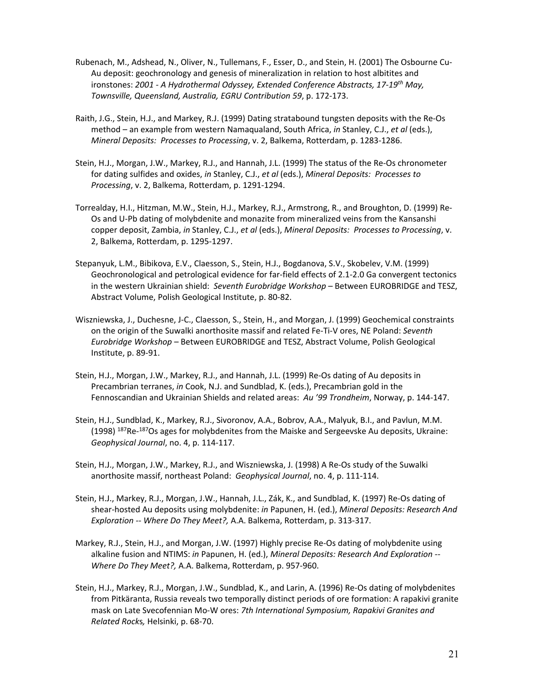- Rubenach, M., Adshead, N., Oliver, N., Tullemans, F., Esser, D., and Stein, H. (2001) The Osbourne Cu‐ Au deposit: geochronology and genesis of mineralization in relation to host albitites and ironstones: *2001 ‐ A Hydrothermal Odyssey, Extended Conference Abstracts, 17‐19th May, Townsville, Queensland, Australia, EGRU Contribution 59*, p. 172‐173.
- Raith, J.G., Stein, H.J., and Markey, R.J. (1999) Dating stratabound tungsten deposits with the Re‐Os method – an example from western Namaqualand, South Africa, *in* Stanley, C.J., *et al* (eds.), *Mineral Deposits: Processes to Processing*, v. 2, Balkema, Rotterdam, p. 1283‐1286.
- Stein, H.J., Morgan, J.W., Markey, R.J., and Hannah, J.L. (1999) The status of the Re‐Os chronometer for dating sulfides and oxides, *in* Stanley, C.J., *et al* (eds.), *Mineral Deposits: Processes to Processing*, v. 2, Balkema, Rotterdam, p. 1291‐1294.
- Torrealday, H.I., Hitzman, M.W., Stein, H.J., Markey, R.J., Armstrong, R., and Broughton, D. (1999) Re‐ Os and U‐Pb dating of molybdenite and monazite from mineralized veins from the Kansanshi copper deposit, Zambia, *in* Stanley, C.J., *et al* (eds.), *Mineral Deposits: Processes to Processing*, v. 2, Balkema, Rotterdam, p. 1295‐1297.
- Stepanyuk, L.M., Bibikova, E.V., Claesson, S., Stein, H.J., Bogdanova, S.V., Skobelev, V.M. (1999) Geochronological and petrological evidence for far-field effects of 2.1-2.0 Ga convergent tectonics in the western Ukrainian shield: *Seventh Eurobridge Workshop* – Between EUROBRIDGE and TESZ, Abstract Volume, Polish Geological Institute, p. 80‐82.
- Wiszniewska, J., Duchesne, J‐C., Claesson, S., Stein, H., and Morgan, J. (1999) Geochemical constraints on the origin of the Suwalki anorthosite massif and related Fe‐Ti‐V ores, NE Poland: *Seventh Eurobridge Workshop* – Between EUROBRIDGE and TESZ, Abstract Volume, Polish Geological Institute, p. 89‐91.
- Stein, H.J., Morgan, J.W., Markey, R.J., and Hannah, J.L. (1999) Re‐Os dating of Au deposits in Precambrian terranes, *in* Cook, N.J. and Sundblad, K. (eds.), Precambrian gold in the Fennoscandian and Ukrainian Shields and related areas: *Au '99 Trondheim*, Norway, p. 144‐147.
- Stein, H.J., Sundblad, K., Markey, R.J., Sivoronov, A.A., Bobrov, A.A., Malyuk, B.I., and Pavlun, M.M. (1998) <sup>187</sup>Re-<sup>187</sup>Os ages for molybdenites from the Maiske and Sergeevske Au deposits, Ukraine: *Geophysical Journal*, no. 4, p. 114‐117.
- Stein, H.J., Morgan, J.W., Markey, R.J., and Wiszniewska, J. (1998) A Re‐Os study of the Suwalki anorthosite massif, northeast Poland: *Geophysical Journal*, no. 4, p. 111‐114.
- Stein, H.J., Markey, R.J., Morgan, J.W., Hannah, J.L., Zák, K., and Sundblad, K. (1997) Re‐Os dating of shear‐hosted Au deposits using molybdenite: *in* Papunen, H. (ed.), *Mineral Deposits: Research And Exploration ‐‐ Where Do They Meet?,* A.A. Balkema, Rotterdam, p. 313‐317.
- Markey, R.J., Stein, H.J., and Morgan, J.W. (1997) Highly precise Re‐Os dating of molybdenite using alkaline fusion and NTIMS: *in* Papunen, H. (ed.), *Mineral Deposits: Research And Exploration ‐‐ Where Do They Meet?,* A.A. Balkema, Rotterdam, p. 957‐960.
- Stein, H.J., Markey, R.J., Morgan, J.W., Sundblad, K., and Larin, A. (1996) Re‐Os dating of molybdenites from Pitkäranta, Russia reveals two temporally distinct periods of ore formation: A rapakivi granite mask on Late Svecofennian Mo‐W ores: *7th International Symposium, Rapakivi Granites and Related Rock*s*,* Helsinki, p. 68‐70.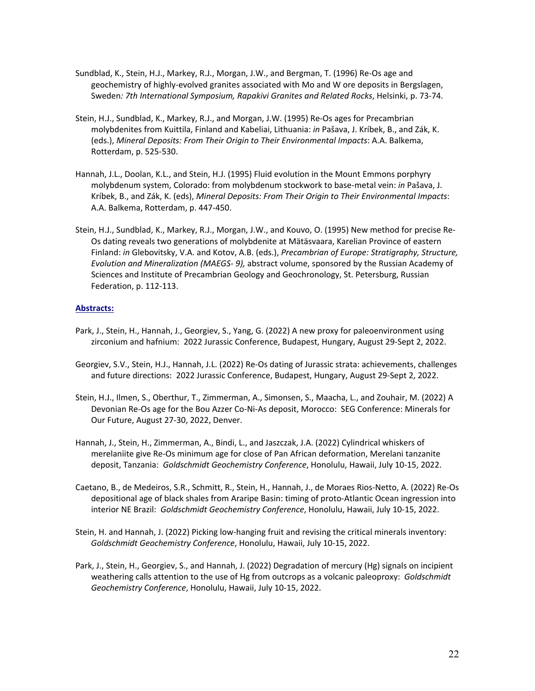- Sundblad, K., Stein, H.J., Markey, R.J., Morgan, J.W., and Bergman, T. (1996) Re‐Os age and geochemistry of highly‐evolved granites associated with Mo and W ore deposits in Bergslagen, Sweden*: 7th International Symposium, Rapakivi Granites and Related Rocks*, Helsinki, p. 73‐74.
- Stein, H.J., Sundblad, K., Markey, R.J., and Morgan, J.W. (1995) Re‐Os ages for Precambrian molybdenites from Kuittila, Finland and Kabeliai, Lithuania: *in* Pašava, J. Kríbek, B., and Zák, K. (eds.), *Mineral Deposits: From Their Origin to Their Environmental Impacts*: A.A. Balkema, Rotterdam, p. 525‐530.
- Hannah, J.L., Doolan, K.L., and Stein, H.J. (1995) Fluid evolution in the Mount Emmons porphyry molybdenum system, Colorado: from molybdenum stockwork to base‐metal vein: *in* Pašava, J. Kríbek, B., and Zák, K. (eds), *Mineral Deposits: From Their Origin to Their Environmental Impacts*: A.A. Balkema, Rotterdam, p. 447‐450.
- Stein, H.J., Sundblad, K., Markey, R.J., Morgan, J.W., and Kouvo, O. (1995) New method for precise Re‐ Os dating reveals two generations of molybdenite at Mätäsvaara, Karelian Province of eastern Finland: *in* Glebovitsky, V.A. and Kotov, A.B. (eds.), *Precambrian of Europe: Stratigraphy, Structure, Evolution and Mineralization (MAEGS‐ 9),* abstract volume, sponsored by the Russian Academy of Sciences and Institute of Precambrian Geology and Geochronology, St. Petersburg, Russian Federation, p. 112‐113.

### **Abstracts:**

- Park, J., Stein, H., Hannah, J., Georgiev, S., Yang, G. (2022) A new proxy for paleoenvironment using zirconium and hafnium: 2022 Jurassic Conference, Budapest, Hungary, August 29‐Sept 2, 2022.
- Georgiev, S.V., Stein, H.J., Hannah, J.L. (2022) Re‐Os dating of Jurassic strata: achievements, challenges and future directions: 2022 Jurassic Conference, Budapest, Hungary, August 29‐Sept 2, 2022.
- Stein, H.J., Ilmen, S., Oberthur, T., Zimmerman, A., Simonsen, S., Maacha, L., and Zouhair, M. (2022) A Devonian Re‐Os age for the Bou Azzer Co‐Ni‐As deposit, Morocco: SEG Conference: Minerals for Our Future, August 27‐30, 2022, Denver.
- Hannah, J., Stein, H., Zimmerman, A., Bindi, L., and Jaszczak, J.A. (2022) Cylindrical whiskers of merelaniite give Re‐Os minimum age for close of Pan African deformation, Merelani tanzanite deposit, Tanzania: *Goldschmidt Geochemistry Conference*, Honolulu, Hawaii, July 10‐15, 2022.
- Caetano, B., de Medeiros, S.R., Schmitt, R., Stein, H., Hannah, J., de Moraes Rios‐Netto, A. (2022) Re‐Os depositional age of black shales from Araripe Basin: timing of proto‐Atlantic Ocean ingression into interior NE Brazil: *Goldschmidt Geochemistry Conference*, Honolulu, Hawaii, July 10‐15, 2022.
- Stein, H. and Hannah, J. (2022) Picking low‐hanging fruit and revising the critical minerals inventory: *Goldschmidt Geochemistry Conference*, Honolulu, Hawaii, July 10‐15, 2022.
- Park, J., Stein, H., Georgiev, S., and Hannah, J. (2022) Degradation of mercury (Hg) signals on incipient weathering calls attention to the use of Hg from outcrops as a volcanic paleoproxy: *Goldschmidt Geochemistry Conference*, Honolulu, Hawaii, July 10‐15, 2022.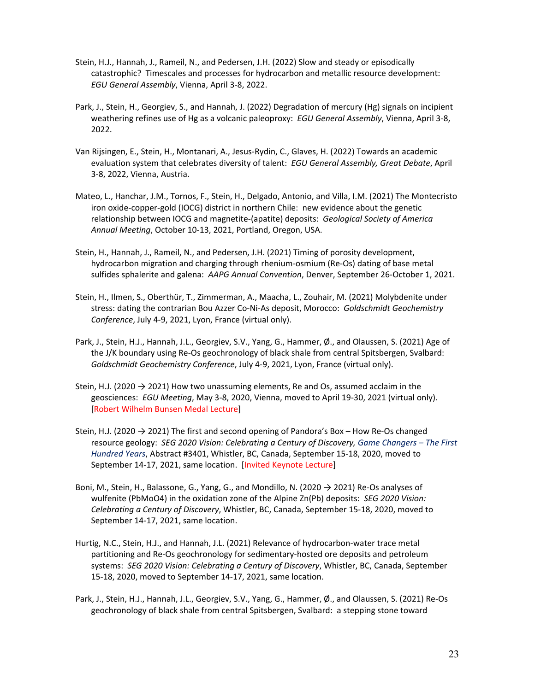- Stein, H.J., Hannah, J., Rameil, N., and Pedersen, J.H. (2022) Slow and steady or episodically catastrophic? Timescales and processes for hydrocarbon and metallic resource development: *EGU General Assembly*, Vienna, April 3‐8, 2022.
- Park, J., Stein, H., Georgiev, S., and Hannah, J. (2022) Degradation of mercury (Hg) signals on incipient weathering refines use of Hg as a volcanic paleoproxy: *EGU General Assembly*, Vienna, April 3‐8, 2022.
- Van Rijsingen, E., Stein, H., Montanari, A., Jesus‐Rydin, C., Glaves, H. (2022) Towards an academic evaluation system that celebrates diversity of talent: *EGU General Assembly, Great Debate*, April 3‐8, 2022, Vienna, Austria.
- Mateo, L., Hanchar, J.M., Tornos, F., Stein, H., Delgado, Antonio, and Villa, I.M. (2021) The Montecristo iron oxide‐copper‐gold (IOCG) district in northern Chile: new evidence about the genetic relationship between IOCG and magnetite‐(apatite) deposits: *Geological Society of America Annual Meeting*, October 10‐13, 2021, Portland, Oregon, USA.
- Stein, H., Hannah, J., Rameil, N., and Pedersen, J.H. (2021) Timing of porosity development, hydrocarbon migration and charging through rhenium‐osmium (Re‐Os) dating of base metal sulfides sphalerite and galena: *AAPG Annual Convention*, Denver, September 26‐October 1, 2021.
- Stein, H., Ilmen, S., Oberthür, T., Zimmerman, A., Maacha, L., Zouhair, M. (2021) Molybdenite under stress: dating the contrarian Bou Azzer Co‐Ni‐As deposit, Morocco: *Goldschmidt Geochemistry Conference*, July 4‐9, 2021, Lyon, France (virtual only).
- Park, J., Stein, H.J., Hannah, J.L., Georgiev, S.V., Yang, G., Hammer, Ø., and Olaussen, S. (2021) Age of the J/K boundary using Re‐Os geochronology of black shale from central Spitsbergen, Svalbard: *Goldschmidt Geochemistry Conference*, July 4‐9, 2021, Lyon, France (virtual only).
- Stein, H.J. (2020  $\rightarrow$  2021) How two unassuming elements, Re and Os, assumed acclaim in the geosciences: *EGU Meeting*, May 3‐8, 2020, Vienna, moved to April 19‐30, 2021 (virtual only). [Robert Wilhelm Bunsen Medal Lecture]
- Stein, H.J. (2020 → 2021) The first and second opening of Pandora's Box How Re‐Os changed resource geology: *SEG 2020 Vision: Celebrating a Century of Discovery, Game Changers – The First Hundred Years*, Abstract #3401, Whistler, BC, Canada, September 15‐18, 2020, moved to September 14‐17, 2021, same location. [Invited Keynote Lecture]
- Boni, M., Stein, H., Balassone, G., Yang, G., and Mondillo, N. (2020 → 2021) Re‐Os analyses of wulfenite (PbMoO4) in the oxidation zone of the Alpine Zn(Pb) deposits: *SEG 2020 Vision: Celebrating a Century of Discovery*, Whistler, BC, Canada, September 15‐18, 2020, moved to September 14‐17, 2021, same location.
- Hurtig, N.C., Stein, H.J., and Hannah, J.L. (2021) Relevance of hydrocarbon‐water trace metal partitioning and Re‐Os geochronology for sedimentary‐hosted ore deposits and petroleum systems: *SEG 2020 Vision: Celebrating a Century of Discovery*, Whistler, BC, Canada, September 15‐18, 2020, moved to September 14‐17, 2021, same location.
- Park, J., Stein, H.J., Hannah, J.L., Georgiev, S.V., Yang, G., Hammer, Ø., and Olaussen, S. (2021) Re‐Os geochronology of black shale from central Spitsbergen, Svalbard: a stepping stone toward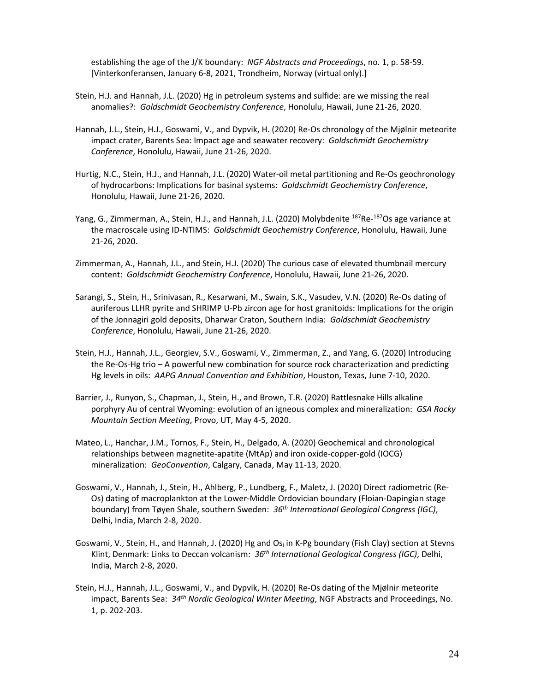establishing the age of the J/K boundary: *NGF Abstracts and Proceedings*, no. 1, p. 58‐59. [Vinterkonferansen, January 6‐8, 2021, Trondheim, Norway (virtual only).]

- Stein, H.J. and Hannah, J.L. (2020) Hg in petroleum systems and sulfide: are we missing the real anomalies?: *Goldschmidt Geochemistry Conference*, Honolulu, Hawaii, June 21‐26, 2020.
- Hannah, J.L., Stein, H.J., Goswami, V., and Dypvik, H. (2020) Re‐Os chronology of the Mjølnir meteorite impact crater, Barents Sea: Impact age and seawater recovery: *Goldschmidt Geochemistry Conference*, Honolulu, Hawaii, June 21‐26, 2020.
- Hurtig, N.C., Stein, H.J., and Hannah, J.L. (2020) Water‐oil metal partitioning and Re‐Os geochronology of hydrocarbons: Implications for basinal systems: *Goldschmidt Geochemistry Conference*, Honolulu, Hawaii, June 21‐26, 2020.
- Yang, G., Zimmerman, A., Stein, H.J., and Hannah, J.L. (2020) Molybdenite <sup>187</sup>Re-<sup>187</sup>Os age variance at the macroscale using ID‐NTIMS: *Goldschmidt Geochemistry Conference*, Honolulu, Hawaii, June 21‐26, 2020.
- Zimmerman, A., Hannah, J.L., and Stein, H.J. (2020) The curious case of elevated thumbnail mercury content: *Goldschmidt Geochemistry Conference*, Honolulu, Hawaii, June 21‐26, 2020.
- Sarangi, S., Stein, H., Srinivasan, R., Kesarwani, M., Swain, S.K., Vasudev, V.N. (2020) Re‐Os dating of auriferous LLHR pyrite and SHRIMP U‐Pb zircon age for host granitoids: Implications for the origin of the Jonnagiri gold deposits, Dharwar Craton, Southern India: *Goldschmidt Geochemistry Conference*, Honolulu, Hawaii, June 21‐26, 2020.
- Stein, H.J., Hannah, J.L., Georgiev, S.V., Goswami, V., Zimmerman, Z., and Yang, G. (2020) Introducing the Re‐Os‐Hg trio – A powerful new combination for source rock characterization and predicting Hg levels in oils: *AAPG Annual Convention and Exhibition*, Houston, Texas, June 7‐10, 2020.
- Barrier, J., Runyon, S., Chapman, J., Stein, H., and Brown, T.R. (2020) Rattlesnake Hills alkaline porphyry Au of central Wyoming: evolution of an igneous complex and mineralization: *GSA Rocky Mountain Section Meeting*, Provo, UT, May 4‐5, 2020.
- Mateo, L., Hanchar, J.M., Tornos, F., Stein, H., Delgado, A. (2020) Geochemical and chronological relationships between magnetite‐apatite (MtAp) and iron oxide‐copper‐gold (IOCG) mineralization: *GeoConvention*, Calgary, Canada, May 11‐13, 2020.
- Goswami, V., Hannah, J., Stein, H., Ahlberg, P., Lundberg, F., Maletz, J. (2020) Direct radiometric (Re‐ Os) dating of macroplankton at the Lower‐Middle Ordovician boundary (Floian‐Dapingian stage boundary) from Tøyen Shale, southern Sweden: *36th International Geological Congress (IGC)*, Delhi, India, March 2‐8, 2020.
- Goswami, V., Stein, H., and Hannah, J. (2020) Hg and Os<sub>i</sub> in K-Pg boundary (Fish Clay) section at Stevns Klint, Denmark: Links to Deccan volcanism: *36th International Geological Congress (IGC)*, Delhi, India, March 2‐8, 2020.
- Stein, H.J., Hannah, J.L., Goswami, V., and Dypvik, H. (2020) Re‐Os dating of the Mjølnir meteorite impact, Barents Sea: *34th Nordic Geological Winter Meeting*, NGF Abstracts and Proceedings, No. 1, p. 202‐203.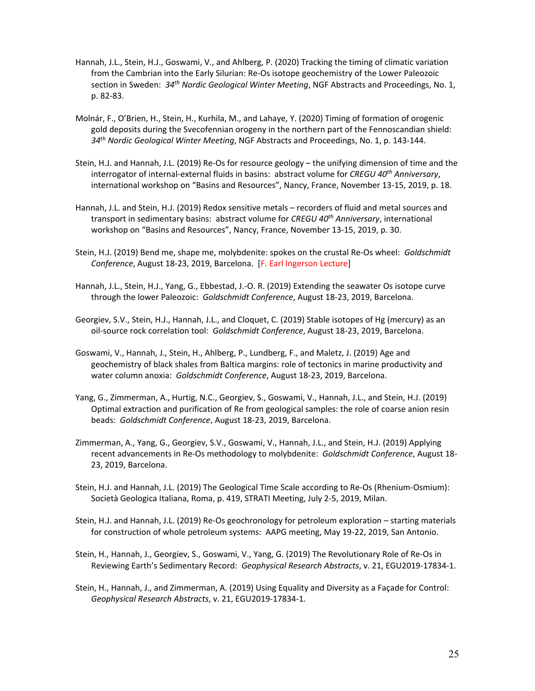- Hannah, J.L., Stein, H.J., Goswami, V., and Ahlberg, P. (2020) Tracking the timing of climatic variation from the Cambrian into the Early Silurian: Re‐Os isotope geochemistry of the Lower Paleozoic section in Sweden: *34th Nordic Geological Winter Meeting*, NGF Abstracts and Proceedings, No. 1, p. 82‐83.
- Molnár, F., O'Brien, H., Stein, H., Kurhila, M., and Lahaye, Y. (2020) Timing of formation of orogenic gold deposits during the Svecofennian orogeny in the northern part of the Fennoscandian shield: *34th Nordic Geological Winter Meeting*, NGF Abstracts and Proceedings, No. 1, p. 143‐144.
- Stein, H.J. and Hannah, J.L. (2019) Re‐Os for resource geology the unifying dimension of time and the interrogator of internal‐external fluids in basins: abstract volume for *CREGU 40th Anniversary*, international workshop on "Basins and Resources", Nancy, France, November 13‐15, 2019, p. 18.
- Hannah, J.L. and Stein, H.J. (2019) Redox sensitive metals recorders of fluid and metal sources and transport in sedimentary basins: abstract volume for *CREGU 40th Anniversary*, international workshop on "Basins and Resources", Nancy, France, November 13‐15, 2019, p. 30.
- Stein, H.J. (2019) Bend me, shape me, molybdenite: spokes on the crustal Re‐Os wheel: *Goldschmidt Conference*, August 18‐23, 2019, Barcelona. [F. Earl Ingerson Lecture]
- Hannah, J.L., Stein, H.J., Yang, G., Ebbestad, J.‐O. R. (2019) Extending the seawater Os isotope curve through the lower Paleozoic: *Goldschmidt Conference*, August 18‐23, 2019, Barcelona.
- Georgiev, S.V., Stein, H.J., Hannah, J.L., and Cloquet, C. (2019) Stable isotopes of Hg (mercury) as an oil‐source rock correlation tool: *Goldschmidt Conference*, August 18‐23, 2019, Barcelona.
- Goswami, V., Hannah, J., Stein, H., Ahlberg, P., Lundberg, F., and Maletz, J. (2019) Age and geochemistry of black shales from Baltica margins: role of tectonics in marine productivity and water column anoxia: *Goldschmidt Conference*, August 18‐23, 2019, Barcelona.
- Yang, G., Zimmerman, A., Hurtig, N.C., Georgiev, S., Goswami, V., Hannah, J.L., and Stein, H.J. (2019) Optimal extraction and purification of Re from geological samples: the role of coarse anion resin beads: *Goldschmidt Conference*, August 18‐23, 2019, Barcelona.
- Zimmerman, A., Yang, G., Georgiev, S.V., Goswami, V., Hannah, J.L., and Stein, H.J. (2019) Applying recent advancements in Re‐Os methodology to molybdenite: *Goldschmidt Conference*, August 18‐ 23, 2019, Barcelona.
- Stein, H.J. and Hannah, J.L. (2019) The Geological Time Scale according to Re‐Os (Rhenium‐Osmium): Società Geologica Italiana, Roma, p. 419, STRATI Meeting, July 2‐5, 2019, Milan.
- Stein, H.J. and Hannah, J.L. (2019) Re‐Os geochronology for petroleum exploration starting materials for construction of whole petroleum systems: AAPG meeting, May 19‐22, 2019, San Antonio.
- Stein, H., Hannah, J., Georgiev, S., Goswami, V., Yang, G. (2019) The Revolutionary Role of Re‐Os in Reviewing Earth's Sedimentary Record: *Geophysical Research Abstracts*, v. 21, EGU2019‐17834‐1.
- Stein, H., Hannah, J., and Zimmerman, A. (2019) Using Equality and Diversity as a Façade for Control: *Geophysical Research Abstracts*, v. 21, EGU2019‐17834‐1.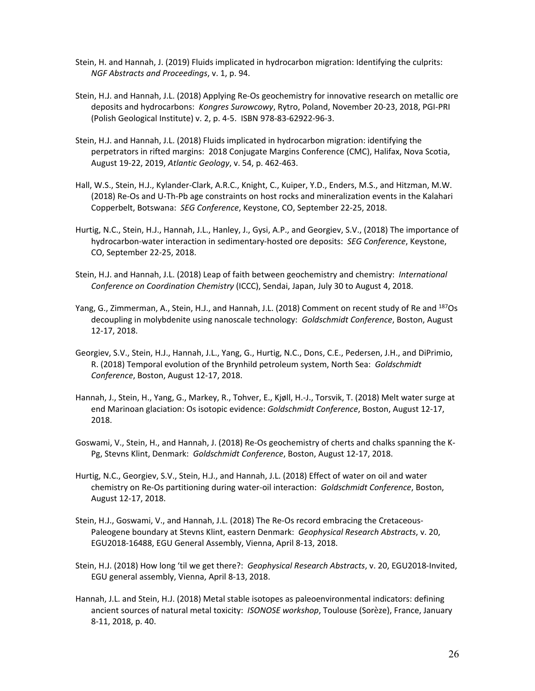- Stein, H. and Hannah, J. (2019) Fluids implicated in hydrocarbon migration: Identifying the culprits: *NGF Abstracts and Proceedings*, v. 1, p. 94.
- Stein, H.J. and Hannah, J.L. (2018) Applying Re‐Os geochemistry for innovative research on metallic ore deposits and hydrocarbons: *Kongres Surowcowy*, Rytro, Poland, November 20‐23, 2018, PGI‐PRI (Polish Geological Institute) v. 2, p. 4‐5. ISBN 978‐83‐62922‐96‐3.
- Stein, H.J. and Hannah, J.L. (2018) Fluids implicated in hydrocarbon migration: identifying the perpetrators in rifted margins: 2018 Conjugate Margins Conference (CMC), Halifax, Nova Scotia, August 19‐22, 2019, *Atlantic Geology*, v. 54, p. 462‐463.
- Hall, W.S., Stein, H.J., Kylander‐Clark, A.R.C., Knight, C., Kuiper, Y.D., Enders, M.S., and Hitzman, M.W. (2018) Re-Os and U-Th-Pb age constraints on host rocks and mineralization events in the Kalahari Copperbelt, Botswana: *SEG Conference*, Keystone, CO, September 22‐25, 2018.
- Hurtig, N.C., Stein, H.J., Hannah, J.L., Hanley, J., Gysi, A.P., and Georgiev, S.V., (2018) The importance of hydrocarbon‐water interaction in sedimentary‐hosted ore deposits: *SEG Conference*, Keystone, CO, September 22‐25, 2018.
- Stein, H.J. and Hannah, J.L. (2018) Leap of faith between geochemistry and chemistry: *International Conference on Coordination Chemistry* (ICCC), Sendai, Japan, July 30 to August 4, 2018.
- Yang, G., Zimmerman, A., Stein, H.J., and Hannah, J.L. (2018) Comment on recent study of Re and 187Os decoupling in molybdenite using nanoscale technology: *Goldschmidt Conference*, Boston, August 12‐17, 2018.
- Georgiev, S.V., Stein, H.J., Hannah, J.L., Yang, G., Hurtig, N.C., Dons, C.E., Pedersen, J.H., and DiPrimio, R. (2018) Temporal evolution of the Brynhild petroleum system, North Sea: *Goldschmidt Conference*, Boston, August 12‐17, 2018.
- Hannah, J., Stein, H., Yang, G., Markey, R., Tohver, E., Kjøll, H.‐J., Torsvik, T. (2018) Melt water surge at end Marinoan glaciation: Os isotopic evidence: *Goldschmidt Conference*, Boston, August 12‐17, 2018.
- Goswami, V., Stein, H., and Hannah, J. (2018) Re‐Os geochemistry of cherts and chalks spanning the K‐ Pg, Stevns Klint, Denmark: *Goldschmidt Conference*, Boston, August 12‐17, 2018.
- Hurtig, N.C., Georgiev, S.V., Stein, H.J., and Hannah, J.L. (2018) Effect of water on oil and water chemistry on Re‐Os partitioning during water‐oil interaction: *Goldschmidt Conference*, Boston, August 12‐17, 2018.
- Stein, H.J., Goswami, V., and Hannah, J.L. (2018) The Re-Os record embracing the Cretaceous-Paleogene boundary at Stevns Klint, eastern Denmark: *Geophysical Research Abstracts*, v. 20, EGU2018‐16488, EGU General Assembly, Vienna, April 8‐13, 2018.
- Stein, H.J. (2018) How long 'til we get there?: *Geophysical Research Abstracts*, v. 20, EGU2018‐Invited, EGU general assembly, Vienna, April 8‐13, 2018.
- Hannah, J.L. and Stein, H.J. (2018) Metal stable isotopes as paleoenvironmental indicators: defining ancient sources of natural metal toxicity: *ISONOSE workshop*, Toulouse (Sorèze), France, January 8‐11, 2018, p. 40.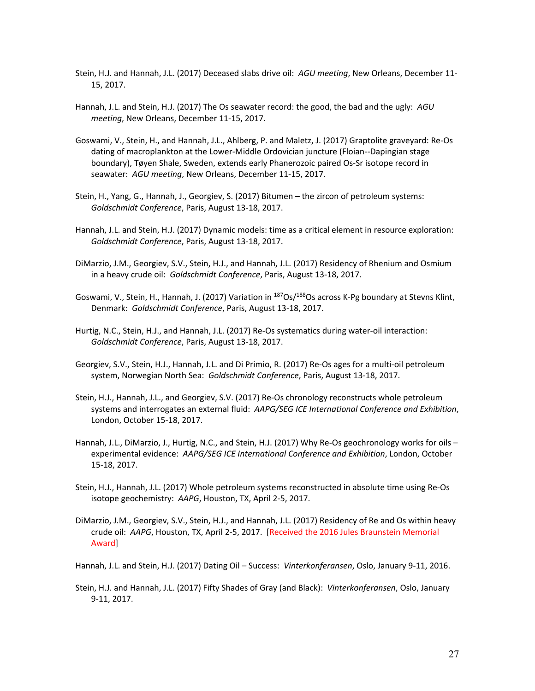- Stein, H.J. and Hannah, J.L. (2017) Deceased slabs drive oil: *AGU meeting*, New Orleans, December 11‐ 15, 2017.
- Hannah, J.L. and Stein, H.J. (2017) The Os seawater record: the good, the bad and the ugly: *AGU meeting*, New Orleans, December 11‐15, 2017.
- Goswami, V., Stein, H., and Hannah, J.L., Ahlberg, P. and Maletz, J. (2017) Graptolite graveyard: Re‐Os dating of macroplankton at the Lower‐Middle Ordovician juncture (Floian‐‐Dapingian stage boundary), Tøyen Shale, Sweden, extends early Phanerozoic paired Os‐Sr isotope record in seawater: *AGU meeting*, New Orleans, December 11‐15, 2017.
- Stein, H., Yang, G., Hannah, J., Georgiev, S. (2017) Bitumen the zircon of petroleum systems: *Goldschmidt Conference*, Paris, August 13‐18, 2017.
- Hannah, J.L. and Stein, H.J. (2017) Dynamic models: time as a critical element in resource exploration: *Goldschmidt Conference*, Paris, August 13‐18, 2017.
- DiMarzio, J.M., Georgiev, S.V., Stein, H.J., and Hannah, J.L. (2017) Residency of Rhenium and Osmium in a heavy crude oil: *Goldschmidt Conference*, Paris, August 13‐18, 2017.
- Goswami, V., Stein, H., Hannah, J. (2017) Variation in <sup>187</sup>Os/<sup>188</sup>Os across K-Pg boundary at Stevns Klint, Denmark: *Goldschmidt Conference*, Paris, August 13‐18, 2017.
- Hurtig, N.C., Stein, H.J., and Hannah, J.L. (2017) Re‐Os systematics during water‐oil interaction: *Goldschmidt Conference*, Paris, August 13‐18, 2017.
- Georgiev, S.V., Stein, H.J., Hannah, J.L. and Di Primio, R. (2017) Re‐Os ages for a multi‐oil petroleum system, Norwegian North Sea: *Goldschmidt Conference*, Paris, August 13‐18, 2017.
- Stein, H.J., Hannah, J.L., and Georgiev, S.V. (2017) Re‐Os chronology reconstructs whole petroleum systems and interrogates an external fluid: *AAPG/SEG ICE International Conference and Exhibition*, London, October 15‐18, 2017.
- Hannah, J.L., DiMarzio, J., Hurtig, N.C., and Stein, H.J. (2017) Why Re-Os geochronology works for oils experimental evidence: *AAPG/SEG ICE International Conference and Exhibition*, London, October 15‐18, 2017.
- Stein, H.J., Hannah, J.L. (2017) Whole petroleum systems reconstructed in absolute time using Re‐Os isotope geochemistry: *AAPG*, Houston, TX, April 2‐5, 2017.
- DiMarzio, J.M., Georgiev, S.V., Stein, H.J., and Hannah, J.L. (2017) Residency of Re and Os within heavy crude oil: *AAPG*, Houston, TX, April 2‐5, 2017. [Received the 2016 Jules Braunstein Memorial Award]

Hannah, J.L. and Stein, H.J. (2017) Dating Oil – Success: *Vinterkonferansen*, Oslo, January 9‐11, 2016.

Stein, H.J. and Hannah, J.L. (2017) Fifty Shades of Gray (and Black): *Vinterkonferansen*, Oslo, January 9‐11, 2017.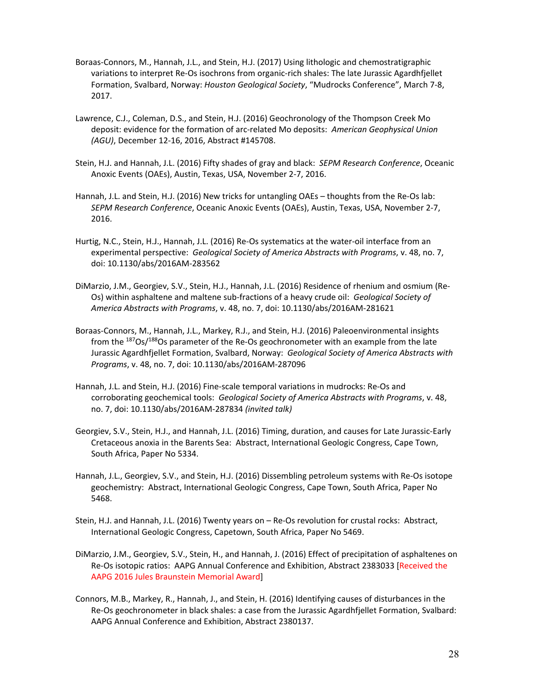- Boraas‐Connors, M., Hannah, J.L., and Stein, H.J. (2017) Using lithologic and chemostratigraphic variations to interpret Re‐Os isochrons from organic‐rich shales: The late Jurassic Agardhfjellet Formation, Svalbard, Norway: *Houston Geological Society*, "Mudrocks Conference", March 7‐8, 2017.
- Lawrence, C.J., Coleman, D.S., and Stein, H.J. (2016) Geochronology of the Thompson Creek Mo deposit: evidence for the formation of arc‐related Mo deposits: *American Geophysical Union (AGU)*, December 12‐16, 2016, Abstract #145708.
- Stein, H.J. and Hannah, J.L. (2016) Fifty shades of gray and black: *SEPM Research Conference*, Oceanic Anoxic Events (OAEs), Austin, Texas, USA, November 2‐7, 2016.
- Hannah, J.L. and Stein, H.J. (2016) New tricks for untangling OAEs thoughts from the Re‐Os lab: *SEPM Research Conference*, Oceanic Anoxic Events (OAEs), Austin, Texas, USA, November 2‐7, 2016.
- Hurtig, N.C., Stein, H.J., Hannah, J.L. (2016) Re‐Os systematics at the water‐oil interface from an experimental perspective: *Geological Society of America Abstracts with Programs*, v. 48, no. 7, doi: 10.1130/abs/2016AM‐283562
- DiMarzio, J.M., Georgiev, S.V., Stein, H.J., Hannah, J.L. (2016) Residence of rhenium and osmium (Re‐ Os) within asphaltene and maltene sub‐fractions of a heavy crude oil: *Geological Society of America Abstracts with Programs*, v. 48, no. 7, doi: 10.1130/abs/2016AM‐281621
- Boraas‐Connors, M., Hannah, J.L., Markey, R.J., and Stein, H.J. (2016) Paleoenvironmental insights from the  $187Os/188Os$  parameter of the Re-Os geochronometer with an example from the late Jurassic Agardhfjellet Formation, Svalbard, Norway: *Geological Society of America Abstracts with Programs*, v. 48, no. 7, doi: 10.1130/abs/2016AM‐287096
- Hannah, J.L. and Stein, H.J. (2016) Fine‐scale temporal variations in mudrocks: Re‐Os and corroborating geochemical tools: *Geological Society of America Abstracts with Programs*, v. 48, no. 7, doi: 10.1130/abs/2016AM‐287834 *(invited talk)*
- Georgiev, S.V., Stein, H.J., and Hannah, J.L. (2016) Timing, duration, and causes for Late Jurassic‐Early Cretaceous anoxia in the Barents Sea: Abstract, International Geologic Congress, Cape Town, South Africa, Paper No 5334.
- Hannah, J.L., Georgiev, S.V., and Stein, H.J. (2016) Dissembling petroleum systems with Re‐Os isotope geochemistry: Abstract, International Geologic Congress, Cape Town, South Africa, Paper No 5468.
- Stein, H.J. and Hannah, J.L. (2016) Twenty years on Re‐Os revolution for crustal rocks: Abstract, International Geologic Congress, Capetown, South Africa, Paper No 5469.
- DiMarzio, J.M., Georgiev, S.V., Stein, H., and Hannah, J. (2016) Effect of precipitation of asphaltenes on Re-Os isotopic ratios: AAPG Annual Conference and Exhibition, Abstract 2383033 [Received the AAPG 2016 Jules Braunstein Memorial Award]
- Connors, M.B., Markey, R., Hannah, J., and Stein, H. (2016) Identifying causes of disturbances in the Re‐Os geochronometer in black shales: a case from the Jurassic Agardhfjellet Formation, Svalbard: AAPG Annual Conference and Exhibition, Abstract 2380137.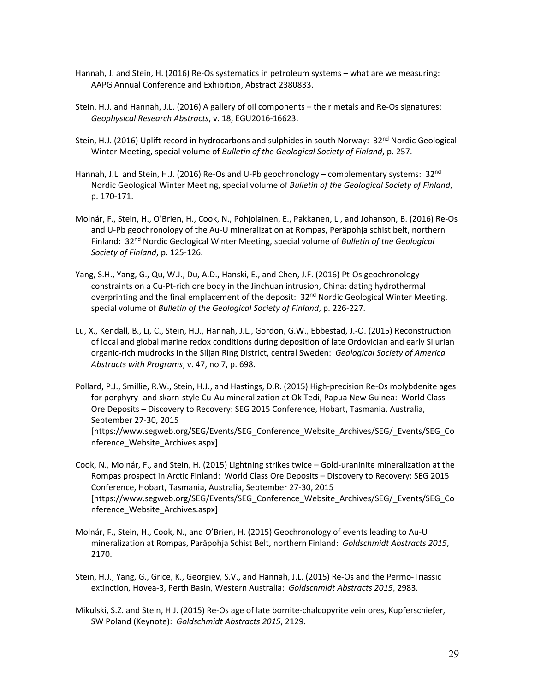- Hannah, J. and Stein, H. (2016) Re‐Os systematics in petroleum systems what are we measuring: AAPG Annual Conference and Exhibition, Abstract 2380833.
- Stein, H.J. and Hannah, J.L. (2016) A gallery of oil components their metals and Re‐Os signatures: *Geophysical Research Abstracts*, v. 18, EGU2016‐16623.
- Stein, H.J. (2016) Uplift record in hydrocarbons and sulphides in south Norway: 32<sup>nd</sup> Nordic Geological Winter Meeting, special volume of *Bulletin of the Geological Society of Finland*, p. 257.
- Hannah, J.L. and Stein, H.J. (2016) Re-Os and U-Pb geochronology complementary systems: 32<sup>nd</sup> Nordic Geological Winter Meeting, special volume of *Bulletin of the Geological Society of Finland*, p. 170‐171.
- Molnár, F., Stein, H., O'Brien, H., Cook, N., Pohjolainen, E., Pakkanen, L., and Johanson, B. (2016) Re‐Os and U‐Pb geochronology of the Au‐U mineralization at Rompas, Peräpohja schist belt, northern Finland: 32nd Nordic Geological Winter Meeting, special volume of *Bulletin of the Geological Society of Finland*, p. 125‐126.
- Yang, S.H., Yang, G., Qu, W.J., Du, A.D., Hanski, E., and Chen, J.F. (2016) Pt‐Os geochronology constraints on a Cu‐Pt‐rich ore body in the Jinchuan intrusion, China: dating hydrothermal overprinting and the final emplacement of the deposit: 32<sup>nd</sup> Nordic Geological Winter Meeting, special volume of *Bulletin of the Geological Society of Finland*, p. 226‐227.
- Lu, X., Kendall, B., Li, C., Stein, H.J., Hannah, J.L., Gordon, G.W., Ebbestad, J.‐O. (2015) Reconstruction of local and global marine redox conditions during deposition of late Ordovician and early Silurian organic‐rich mudrocks in the Siljan Ring District, central Sweden: *Geological Society of America Abstracts with Programs*, v. 47, no 7, p. 698.
- Pollard, P.J., Smillie, R.W., Stein, H.J., and Hastings, D.R. (2015) High‐precision Re‐Os molybdenite ages for porphyry‐ and skarn‐style Cu‐Au mineralization at Ok Tedi, Papua New Guinea: World Class Ore Deposits – Discovery to Recovery: SEG 2015 Conference, Hobart, Tasmania, Australia, September 27‐30, 2015 [https://www.segweb.org/SEG/Events/SEG\_Conference\_Website\_Archives/SEG/\_Events/SEG\_Co nference\_Website\_Archives.aspx]
- Cook, N., Molnár, F., and Stein, H. (2015) Lightning strikes twice Gold‐uraninite mineralization at the Rompas prospect in Arctic Finland: World Class Ore Deposits – Discovery to Recovery: SEG 2015 Conference, Hobart, Tasmania, Australia, September 27‐30, 2015 [https://www.segweb.org/SEG/Events/SEG\_Conference\_Website\_Archives/SEG/\_Events/SEG\_Co nference Website Archives.aspx]
- Molnár, F., Stein, H., Cook, N., and O'Brien, H. (2015) Geochronology of events leading to Au‐U mineralization at Rompas, Paräpohja Schist Belt, northern Finland: *Goldschmidt Abstracts 2015*, 2170.
- Stein, H.J., Yang, G., Grice, K., Georgiev, S.V., and Hannah, J.L. (2015) Re‐Os and the Permo‐Triassic extinction, Hovea‐3, Perth Basin, Western Australia: *Goldschmidt Abstracts 2015*, 2983.
- Mikulski, S.Z. and Stein, H.J. (2015) Re‐Os age of late bornite‐chalcopyrite vein ores, Kupferschiefer, SW Poland (Keynote): *Goldschmidt Abstracts 2015*, 2129.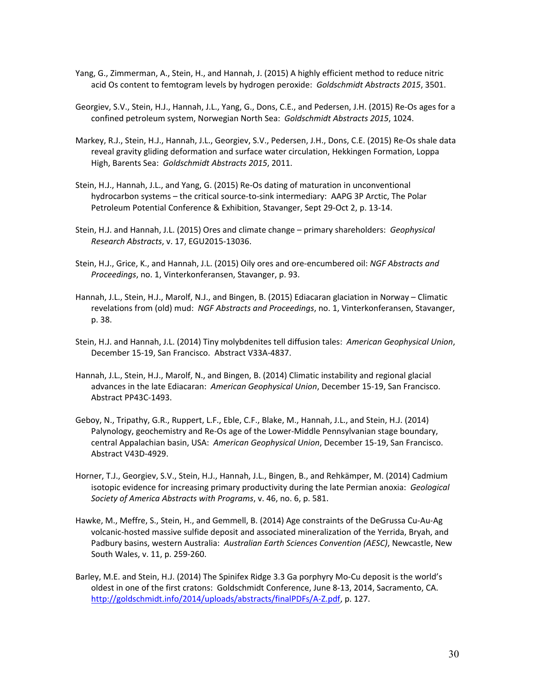- Yang, G., Zimmerman, A., Stein, H., and Hannah, J. (2015) A highly efficient method to reduce nitric acid Os content to femtogram levels by hydrogen peroxide: *Goldschmidt Abstracts 2015*, 3501.
- Georgiev, S.V., Stein, H.J., Hannah, J.L., Yang, G., Dons, C.E., and Pedersen, J.H. (2015) Re‐Os ages for a confined petroleum system, Norwegian North Sea: *Goldschmidt Abstracts 2015*, 1024.
- Markey, R.J., Stein, H.J., Hannah, J.L., Georgiev, S.V., Pedersen, J.H., Dons, C.E. (2015) Re‐Os shale data reveal gravity gliding deformation and surface water circulation, Hekkingen Formation, Loppa High, Barents Sea: *Goldschmidt Abstracts 2015*, 2011.
- Stein, H.J., Hannah, J.L., and Yang, G. (2015) Re‐Os dating of maturation in unconventional hydrocarbon systems – the critical source-to-sink intermediary: AAPG 3P Arctic, The Polar Petroleum Potential Conference & Exhibition, Stavanger, Sept 29‐Oct 2, p. 13‐14.
- Stein, H.J. and Hannah, J.L. (2015) Ores and climate change primary shareholders: *Geophysical Research Abstracts*, v. 17, EGU2015‐13036.
- Stein, H.J., Grice, K., and Hannah, J.L. (2015) Oily ores and ore‐encumbered oil: *NGF Abstracts and Proceedings*, no. 1, Vinterkonferansen, Stavanger, p. 93.
- Hannah, J.L., Stein, H.J., Marolf, N.J., and Bingen, B. (2015) Ediacaran glaciation in Norway Climatic revelations from (old) mud: *NGF Abstracts and Proceedings*, no. 1, Vinterkonferansen, Stavanger, p. 38.
- Stein, H.J. and Hannah, J.L. (2014) Tiny molybdenites tell diffusion tales: *American Geophysical Union*, December 15‐19, San Francisco. Abstract V33A‐4837.
- Hannah, J.L., Stein, H.J., Marolf, N., and Bingen, B. (2014) Climatic instability and regional glacial advances in the late Ediacaran: *American Geophysical Union*, December 15‐19, San Francisco. Abstract PP43C‐1493.
- Geboy, N., Tripathy, G.R., Ruppert, L.F., Eble, C.F., Blake, M., Hannah, J.L., and Stein, H.J. (2014) Palynology, geochemistry and Re‐Os age of the Lower‐Middle Pennsylvanian stage boundary, central Appalachian basin, USA: *American Geophysical Union*, December 15‐19, San Francisco. Abstract V43D‐4929.
- Horner, T.J., Georgiev, S.V., Stein, H.J., Hannah, J.L., Bingen, B., and Rehkämper, M. (2014) Cadmium isotopic evidence for increasing primary productivity during the late Permian anoxia: *Geological Society of America Abstracts with Programs*, v. 46, no. 6, p. 581.
- Hawke, M., Meffre, S., Stein, H., and Gemmell, B. (2014) Age constraints of the DeGrussa Cu‐Au‐Ag volcanic‐hosted massive sulfide deposit and associated mineralization of the Yerrida, Bryah, and Padbury basins, western Australia: *Australian Earth Sciences Convention (AESC)*, Newcastle, New South Wales, v. 11, p. 259‐260.
- Barley, M.E. and Stein, H.J. (2014) The Spinifex Ridge 3.3 Ga porphyry Mo‐Cu deposit is the world's oldest in one of the first cratons: Goldschmidt Conference, June 8‐13, 2014, Sacramento, CA. http://goldschmidt.info/2014/uploads/abstracts/finalPDFs/A‐Z.pdf, p. 127.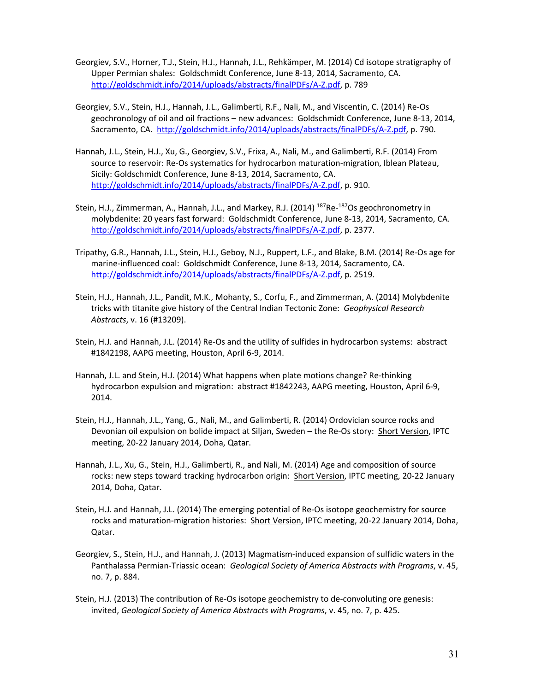- Georgiev, S.V., Horner, T.J., Stein, H.J., Hannah, J.L., Rehkämper, M. (2014) Cd isotope stratigraphy of Upper Permian shales: Goldschmidt Conference, June 8‐13, 2014, Sacramento, CA. http://goldschmidt.info/2014/uploads/abstracts/finalPDFs/A‐Z.pdf, p. 789
- Georgiev, S.V., Stein, H.J., Hannah, J.L., Galimberti, R.F., Nali, M., and Viscentin, C. (2014) Re‐Os geochronology of oil and oil fractions – new advances: Goldschmidt Conference, June 8‐13, 2014, Sacramento, CA. http://goldschmidt.info/2014/uploads/abstracts/finalPDFs/A‐Z.pdf, p. 790.
- Hannah, J.L., Stein, H.J., Xu, G., Georgiev, S.V., Frixa, A., Nali, M., and Galimberti, R.F. (2014) From source to reservoir: Re-Os systematics for hydrocarbon maturation-migration, Iblean Plateau, Sicily: Goldschmidt Conference, June 8‐13, 2014, Sacramento, CA. http://goldschmidt.info/2014/uploads/abstracts/finalPDFs/A‐Z.pdf, p. 910.
- Stein, H.J., Zimmerman, A., Hannah, J.L., and Markey, R.J. (2014) <sup>187</sup>Re-<sup>187</sup>Os geochronometry in molybdenite: 20 years fast forward: Goldschmidt Conference, June 8‐13, 2014, Sacramento, CA. http://goldschmidt.info/2014/uploads/abstracts/finalPDFs/A‐Z.pdf, p. 2377.
- Tripathy, G.R., Hannah, J.L., Stein, H.J., Geboy, N.J., Ruppert, L.F., and Blake, B.M. (2014) Re‐Os age for marine‐influenced coal: Goldschmidt Conference, June 8‐13, 2014, Sacramento, CA. http://goldschmidt.info/2014/uploads/abstracts/finalPDFs/A‐Z.pdf, p. 2519.
- Stein, H.J., Hannah, J.L., Pandit, M.K., Mohanty, S., Corfu, F., and Zimmerman, A. (2014) Molybdenite tricks with titanite give history of the Central Indian Tectonic Zone: *Geophysical Research Abstracts*, v. 16 (#13209).
- Stein, H.J. and Hannah, J.L. (2014) Re‐Os and the utility of sulfides in hydrocarbon systems: abstract #1842198, AAPG meeting, Houston, April 6‐9, 2014.
- Hannah, J.L. and Stein, H.J. (2014) What happens when plate motions change? Re‐thinking hydrocarbon expulsion and migration: abstract #1842243, AAPG meeting, Houston, April 6‐9, 2014.
- Stein, H.J., Hannah, J.L., Yang, G., Nali, M., and Galimberti, R. (2014) Ordovician source rocks and Devonian oil expulsion on bolide impact at Siljan, Sweden - the Re-Os story: Short Version, IPTC meeting, 20‐22 January 2014, Doha, Qatar.
- Hannah, J.L., Xu, G., Stein, H.J., Galimberti, R., and Nali, M. (2014) Age and composition of source rocks: new steps toward tracking hydrocarbon origin: Short Version, IPTC meeting, 20‐22 January 2014, Doha, Qatar.
- Stein, H.J. and Hannah, J.L. (2014) The emerging potential of Re‐Os isotope geochemistry for source rocks and maturation‐migration histories: Short Version, IPTC meeting, 20‐22 January 2014, Doha, Qatar.
- Georgiev, S., Stein, H.J., and Hannah, J. (2013) Magmatism‐induced expansion of sulfidic waters in the Panthalassa Permian‐Triassic ocean: *Geological Society of America Abstracts with Programs*, v. 45, no. 7, p. 884.
- Stein, H.J. (2013) The contribution of Re‐Os isotope geochemistry to de‐convoluting ore genesis: invited, *Geological Society of America Abstracts with Programs*, v. 45, no. 7, p. 425.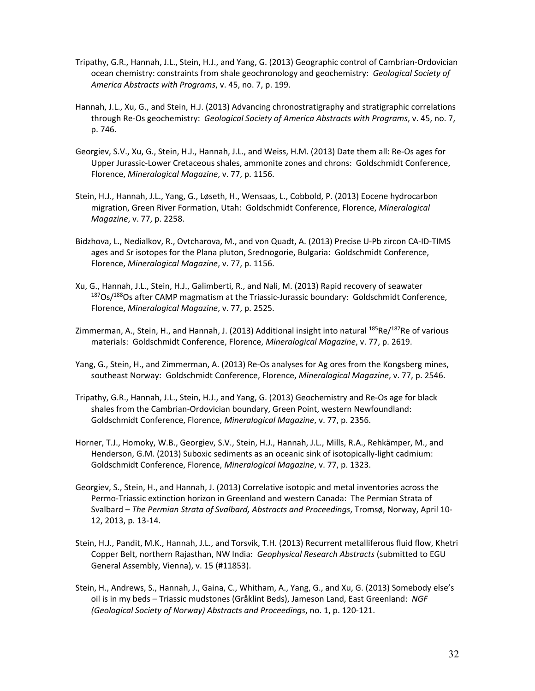- Tripathy, G.R., Hannah, J.L., Stein, H.J., and Yang, G. (2013) Geographic control of Cambrian‐Ordovician ocean chemistry: constraints from shale geochronology and geochemistry: *Geological Society of America Abstracts with Programs*, v. 45, no. 7, p. 199.
- Hannah, J.L., Xu, G., and Stein, H.J. (2013) Advancing chronostratigraphy and stratigraphic correlations through Re‐Os geochemistry: *Geological Society of America Abstracts with Programs*, v. 45, no. 7, p. 746.
- Georgiev, S.V., Xu, G., Stein, H.J., Hannah, J.L., and Weiss, H.M. (2013) Date them all: Re‐Os ages for Upper Jurassic‐Lower Cretaceous shales, ammonite zones and chrons: Goldschmidt Conference, Florence, *Mineralogical Magazine*, v. 77, p. 1156.
- Stein, H.J., Hannah, J.L., Yang, G., Løseth, H., Wensaas, L., Cobbold, P. (2013) Eocene hydrocarbon migration, Green River Formation, Utah: Goldschmidt Conference, Florence, *Mineralogical Magazine*, v. 77, p. 2258.
- Bidzhova, L., Nedialkov, R., Ovtcharova, M., and von Quadt, A. (2013) Precise U‐Pb zircon CA‐ID‐TIMS ages and Sr isotopes for the Plana pluton, Srednogorie, Bulgaria: Goldschmidt Conference, Florence, *Mineralogical Magazine*, v. 77, p. 1156.
- Xu, G., Hannah, J.L., Stein, H.J., Galimberti, R., and Nali, M. (2013) Rapid recovery of seawater <sup>187</sup>Os/<sup>188</sup>Os after CAMP magmatism at the Triassic-Jurassic boundary: Goldschmidt Conference, Florence, *Mineralogical Magazine*, v. 77, p. 2525.
- Zimmerman, A., Stein, H., and Hannah, J. (2013) Additional insight into natural <sup>185</sup>Re/<sup>187</sup>Re of various materials: Goldschmidt Conference, Florence, *Mineralogical Magazine*, v. 77, p. 2619.
- Yang, G., Stein, H., and Zimmerman, A. (2013) Re-Os analyses for Ag ores from the Kongsberg mines, southeast Norway: Goldschmidt Conference, Florence, *Mineralogical Magazine*, v. 77, p. 2546.
- Tripathy, G.R., Hannah, J.L., Stein, H.J., and Yang, G. (2013) Geochemistry and Re‐Os age for black shales from the Cambrian‐Ordovician boundary, Green Point, western Newfoundland: Goldschmidt Conference, Florence, *Mineralogical Magazine*, v. 77, p. 2356.
- Horner, T.J., Homoky, W.B., Georgiev, S.V., Stein, H.J., Hannah, J.L., Mills, R.A., Rehkämper, M., and Henderson, G.M. (2013) Suboxic sediments as an oceanic sink of isotopically-light cadmium: Goldschmidt Conference, Florence, *Mineralogical Magazine*, v. 77, p. 1323.
- Georgiev, S., Stein, H., and Hannah, J. (2013) Correlative isotopic and metal inventories across the Permo‐Triassic extinction horizon in Greenland and western Canada: The Permian Strata of Svalbard – *The Permian Strata of Svalbard, Abstracts and Proceedings*, Tromsø, Norway, April 10‐ 12, 2013, p. 13‐14.
- Stein, H.J., Pandit, M.K., Hannah, J.L., and Torsvik, T.H. (2013) Recurrent metalliferous fluid flow, Khetri Copper Belt, northern Rajasthan, NW India: *Geophysical Research Abstracts* (submitted to EGU General Assembly, Vienna), v. 15 (#11853).
- Stein, H., Andrews, S., Hannah, J., Gaina, C., Whitham, A., Yang, G., and Xu, G. (2013) Somebody else's oil is in my beds – Triassic mudstones (Gråklint Beds), Jameson Land, East Greenland: *NGF (Geological Society of Norway) Abstracts and Proceedings*, no. 1, p. 120‐121.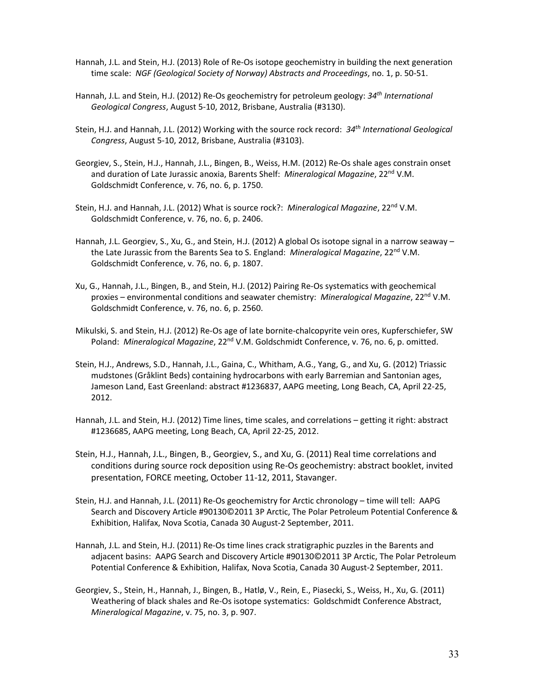- Hannah, J.L. and Stein, H.J. (2013) Role of Re‐Os isotope geochemistry in building the next generation time scale: *NGF (Geological Society of Norway) Abstracts and Proceedings*, no. 1, p. 50‐51.
- Hannah, J.L. and Stein, H.J. (2012) Re‐Os geochemistry for petroleum geology: *34th International Geological Congress*, August 5‐10, 2012, Brisbane, Australia (#3130).
- Stein, H.J. and Hannah, J.L. (2012) Working with the source rock record: *34th International Geological Congress*, August 5‐10, 2012, Brisbane, Australia (#3103).
- Georgiev, S., Stein, H.J., Hannah, J.L., Bingen, B., Weiss, H.M. (2012) Re‐Os shale ages constrain onset and duration of Late Jurassic anoxia, Barents Shelf: *Mineralogical Magazine*, 22nd V.M. Goldschmidt Conference, v. 76, no. 6, p. 1750.
- Stein, H.J. and Hannah, J.L. (2012) What is source rock?: *Mineralogical Magazine*, 22nd V.M. Goldschmidt Conference, v. 76, no. 6, p. 2406.
- Hannah, J.L. Georgiev, S., Xu, G., and Stein, H.J. (2012) A global Os isotope signal in a narrow seaway the Late Jurassic from the Barents Sea to S. England: *Mineralogical Magazine*, 22nd V.M. Goldschmidt Conference, v. 76, no. 6, p. 1807.
- Xu, G., Hannah, J.L., Bingen, B., and Stein, H.J. (2012) Pairing Re‐Os systematics with geochemical proxies – environmental conditions and seawater chemistry: *Mineralogical Magazine*, 22nd V.M. Goldschmidt Conference, v. 76, no. 6, p. 2560.
- Mikulski, S. and Stein, H.J. (2012) Re‐Os age of late bornite‐chalcopyrite vein ores, Kupferschiefer, SW Poland: Mineralogical Magazine, 22<sup>nd</sup> V.M. Goldschmidt Conference, v. 76, no. 6, p. omitted.
- Stein, H.J., Andrews, S.D., Hannah, J.L., Gaina, C., Whitham, A.G., Yang, G., and Xu, G. (2012) Triassic mudstones (Gråklint Beds) containing hydrocarbons with early Barremian and Santonian ages, Jameson Land, East Greenland: abstract #1236837, AAPG meeting, Long Beach, CA, April 22‐25, 2012.
- Hannah, J.L. and Stein, H.J. (2012) Time lines, time scales, and correlations getting it right: abstract #1236685, AAPG meeting, Long Beach, CA, April 22‐25, 2012.
- Stein, H.J., Hannah, J.L., Bingen, B., Georgiev, S., and Xu, G. (2011) Real time correlations and conditions during source rock deposition using Re‐Os geochemistry: abstract booklet, invited presentation, FORCE meeting, October 11‐12, 2011, Stavanger.
- Stein, H.J. and Hannah, J.L. (2011) Re‐Os geochemistry for Arctic chronology time will tell: AAPG Search and Discovery Article #90130©2011 3P Arctic, The Polar Petroleum Potential Conference & Exhibition, Halifax, Nova Scotia, Canada 30 August‐2 September, 2011.
- Hannah, J.L. and Stein, H.J. (2011) Re‐Os time lines crack stratigraphic puzzles in the Barents and adjacent basins: AAPG Search and Discovery Article #90130©2011 3P Arctic, The Polar Petroleum Potential Conference & Exhibition, Halifax, Nova Scotia, Canada 30 August‐2 September, 2011.
- Georgiev, S., Stein, H., Hannah, J., Bingen, B., Hatlø, V., Rein, E., Piasecki, S., Weiss, H., Xu, G. (2011) Weathering of black shales and Re‐Os isotope systematics: Goldschmidt Conference Abstract, *Mineralogical Magazine*, v. 75, no. 3, p. 907.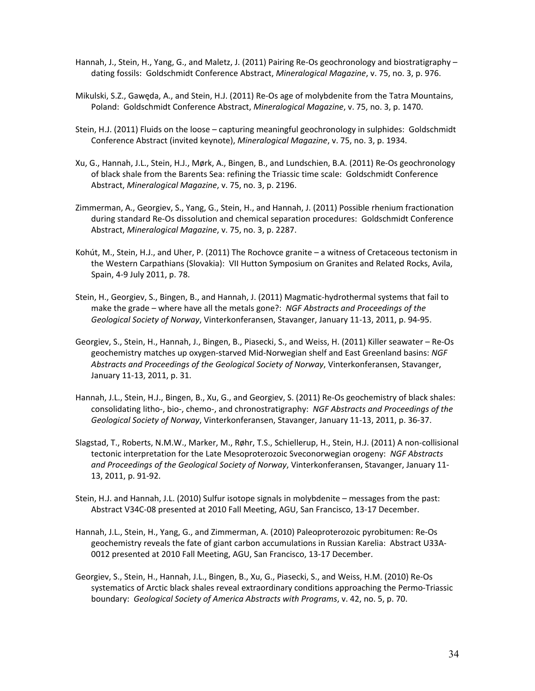- Hannah, J., Stein, H., Yang, G., and Maletz, J. (2011) Pairing Re-Os geochronology and biostratigraphy dating fossils: Goldschmidt Conference Abstract, *Mineralogical Magazine*, v. 75, no. 3, p. 976.
- Mikulski, S.Z., Gawęda, A., and Stein, H.J. (2011) Re‐Os age of molybdenite from the Tatra Mountains, Poland: Goldschmidt Conference Abstract, *Mineralogical Magazine*, v. 75, no. 3, p. 1470.
- Stein, H.J. (2011) Fluids on the loose capturing meaningful geochronology in sulphides: Goldschmidt Conference Abstract (invited keynote), *Mineralogical Magazine*, v. 75, no. 3, p. 1934.
- Xu, G., Hannah, J.L., Stein, H.J., Mørk, A., Bingen, B., and Lundschien, B.A. (2011) Re‐Os geochronology of black shale from the Barents Sea: refining the Triassic time scale: Goldschmidt Conference Abstract, *Mineralogical Magazine*, v. 75, no. 3, p. 2196.
- Zimmerman, A., Georgiev, S., Yang, G., Stein, H., and Hannah, J. (2011) Possible rhenium fractionation during standard Re‐Os dissolution and chemical separation procedures: Goldschmidt Conference Abstract, *Mineralogical Magazine*, v. 75, no. 3, p. 2287.
- Kohút, M., Stein, H.J., and Uher, P. (2011) The Rochovce granite a witness of Cretaceous tectonism in the Western Carpathians (Slovakia): VII Hutton Symposium on Granites and Related Rocks, Avila, Spain, 4‐9 July 2011, p. 78.
- Stein, H., Georgiev, S., Bingen, B., and Hannah, J. (2011) Magmatic‐hydrothermal systems that fail to make the grade – where have all the metals gone?: *NGF Abstracts and Proceedings of the Geological Society of Norway*, Vinterkonferansen, Stavanger, January 11‐13, 2011, p. 94‐95.
- Georgiev, S., Stein, H., Hannah, J., Bingen, B., Piasecki, S., and Weiss, H. (2011) Killer seawater Re‐Os geochemistry matches up oxygen‐starved Mid‐Norwegian shelf and East Greenland basins: *NGF Abstracts and Proceedings of the Geological Society of Norway*, Vinterkonferansen, Stavanger, January 11‐13, 2011, p. 31.
- Hannah, J.L., Stein, H.J., Bingen, B., Xu, G., and Georgiev, S. (2011) Re-Os geochemistry of black shales: consolidating litho‐, bio‐, chemo‐, and chronostratigraphy: *NGF Abstracts and Proceedings of the Geological Society of Norway*, Vinterkonferansen, Stavanger, January 11‐13, 2011, p. 36‐37.
- Slagstad, T., Roberts, N.M.W., Marker, M., Røhr, T.S., Schiellerup, H., Stein, H.J. (2011) A non‐collisional tectonic interpretation for the Late Mesoproterozoic Sveconorwegian orogeny: *NGF Abstracts and Proceedings of the Geological Society of Norway*, Vinterkonferansen, Stavanger, January 11‐ 13, 2011, p. 91‐92.
- Stein, H.J. and Hannah, J.L. (2010) Sulfur isotope signals in molybdenite messages from the past: Abstract V34C‐08 presented at 2010 Fall Meeting, AGU, San Francisco, 13‐17 December.
- Hannah, J.L., Stein, H., Yang, G., and Zimmerman, A. (2010) Paleoproterozoic pyrobitumen: Re‐Os geochemistry reveals the fate of giant carbon accumulations in Russian Karelia: Abstract U33A‐ 0012 presented at 2010 Fall Meeting, AGU, San Francisco, 13‐17 December.
- Georgiev, S., Stein, H., Hannah, J.L., Bingen, B., Xu, G., Piasecki, S., and Weiss, H.M. (2010) Re‐Os systematics of Arctic black shales reveal extraordinary conditions approaching the Permo‐Triassic boundary: *Geological Society of America Abstracts with Programs*, v. 42, no. 5, p. 70.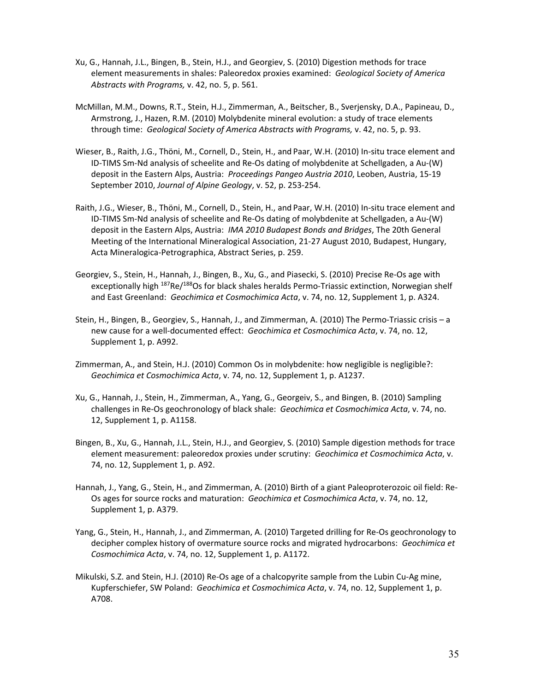- Xu, G., Hannah, J.L., Bingen, B., Stein, H.J., and Georgiev, S. (2010) Digestion methods for trace element measurements in shales: Paleoredox proxies examined: *Geological Society of America Abstracts with Programs,* v. 42, no. 5, p. 561.
- McMillan, M.M., Downs, R.T., Stein, H.J., Zimmerman, A., Beitscher, B., Sverjensky, D.A., Papineau, D., Armstrong, J., Hazen, R.M. (2010) Molybdenite mineral evolution: a study of trace elements through time: *Geological Society of America Abstracts with Programs,* v. 42, no. 5, p. 93.
- Wieser, B., Raith, J.G., Thöni, M., Cornell, D., Stein, H., and Paar, W.H. (2010) In‐situ trace element and ID‐TIMS Sm‐Nd analysis of scheelite and Re‐Os dating of molybdenite at Schellgaden, a Au‐(W) deposit in the Eastern Alps, Austria: *Proceedings Pangeo Austria 2010*, Leoben, Austria, 15‐19 September 2010, *Journal of Alpine Geology*, v. 52, p. 253‐254.
- Raith, J.G., Wieser, B., Thöni, M., Cornell, D., Stein, H., and Paar, W.H. (2010) In‐situ trace element and ID‐TIMS Sm‐Nd analysis of scheelite and Re‐Os dating of molybdenite at Schellgaden, a Au‐(W) deposit in the Eastern Alps, Austria: *IMA 2010 Budapest Bonds and Bridges*, The 20th General Meeting of the International Mineralogical Association, 21‐27 August 2010, Budapest, Hungary, Acta Mineralogica‐Petrographica, Abstract Series, p. 259.
- Georgiev, S., Stein, H., Hannah, J., Bingen, B., Xu, G., and Piasecki, S. (2010) Precise Re‐Os age with exceptionally high <sup>187</sup>Re/<sup>188</sup>Os for black shales heralds Permo-Triassic extinction, Norwegian shelf and East Greenland: *Geochimica et Cosmochimica Acta*, v. 74, no. 12, Supplement 1, p. A324.
- Stein, H., Bingen, B., Georgiev, S., Hannah, J., and Zimmerman, A. (2010) The Permo‐Triassic crisis a new cause for a well‐documented effect: *Geochimica et Cosmochimica Acta*, v. 74, no. 12, Supplement 1, p. A992.
- Zimmerman, A., and Stein, H.J. (2010) Common Os in molybdenite: how negligible is negligible?: *Geochimica et Cosmochimica Acta*, v. 74, no. 12, Supplement 1, p. A1237.
- Xu, G., Hannah, J., Stein, H., Zimmerman, A., Yang, G., Georgeiv, S., and Bingen, B. (2010) Sampling challenges in Re‐Os geochronology of black shale: *Geochimica et Cosmochimica Acta*, v. 74, no. 12, Supplement 1, p. A1158.
- Bingen, B., Xu, G., Hannah, J.L., Stein, H.J., and Georgiev, S. (2010) Sample digestion methods for trace element measurement: paleoredox proxies under scrutiny: *Geochimica et Cosmochimica Acta*, v. 74, no. 12, Supplement 1, p. A92.
- Hannah, J., Yang, G., Stein, H., and Zimmerman, A. (2010) Birth of a giant Paleoproterozoic oil field: Re‐ Os ages for source rocks and maturation: *Geochimica et Cosmochimica Acta*, v. 74, no. 12, Supplement 1, p. A379.
- Yang, G., Stein, H., Hannah, J., and Zimmerman, A. (2010) Targeted drilling for Re‐Os geochronology to decipher complex history of overmature source rocks and migrated hydrocarbons: *Geochimica et Cosmochimica Acta*, v. 74, no. 12, Supplement 1, p. A1172.
- Mikulski, S.Z. and Stein, H.J. (2010) Re‐Os age of a chalcopyrite sample from the Lubin Cu‐Ag mine, Kupferschiefer, SW Poland: *Geochimica et Cosmochimica Acta*, v. 74, no. 12, Supplement 1, p. A708.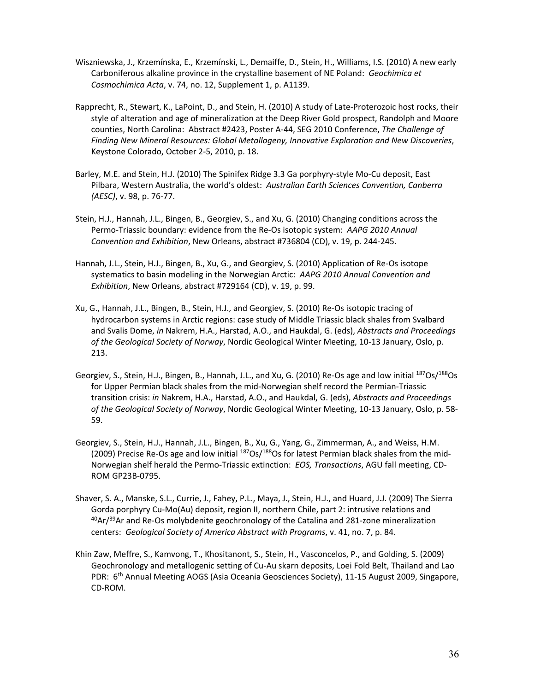- Wiszniewska, J., Krzemínska, E., Krzemínski, L., Demaiffe, D., Stein, H., Williams, I.S. (2010) A new early Carboniferous alkaline province in the crystalline basement of NE Poland: *Geochimica et Cosmochimica Acta*, v. 74, no. 12, Supplement 1, p. A1139.
- Rapprecht, R., Stewart, K., LaPoint, D., and Stein, H. (2010) A study of Late‐Proterozoic host rocks, their style of alteration and age of mineralization at the Deep River Gold prospect, Randolph and Moore counties, North Carolina: Abstract #2423, Poster A‐44, SEG 2010 Conference, *The Challenge of Finding New Mineral Resources: Global Metallogeny, Innovative Exploration and New Discoveries*, Keystone Colorado, October 2‐5, 2010, p. 18.
- Barley, M.E. and Stein, H.J. (2010) The Spinifex Ridge 3.3 Ga porphyry‐style Mo‐Cu deposit, East Pilbara, Western Australia, the world's oldest: *Australian Earth Sciences Convention, Canberra (AESC)*, v. 98, p. 76‐77.
- Stein, H.J., Hannah, J.L., Bingen, B., Georgiev, S., and Xu, G. (2010) Changing conditions across the Permo‐Triassic boundary: evidence from the Re‐Os isotopic system: *AAPG 2010 Annual Convention and Exhibition*, New Orleans, abstract #736804 (CD), v. 19, p. 244‐245.
- Hannah, J.L., Stein, H.J., Bingen, B., Xu, G., and Georgiev, S. (2010) Application of Re‐Os isotope systematics to basin modeling in the Norwegian Arctic: *AAPG 2010 Annual Convention and Exhibition*, New Orleans, abstract #729164 (CD), v. 19, p. 99.
- Xu, G., Hannah, J.L., Bingen, B., Stein, H.J., and Georgiev, S. (2010) Re‐Os isotopic tracing of hydrocarbon systems in Arctic regions: case study of Middle Triassic black shales from Svalbard and Svalis Dome, *in* Nakrem, H.A., Harstad, A.O., and Haukdal, G. (eds), *Abstracts and Proceedings of the Geological Society of Norway*, Nordic Geological Winter Meeting, 10‐13 January, Oslo, p. 213.
- Georgiev, S., Stein, H.J., Bingen, B., Hannah, J.L., and Xu, G. (2010) Re-Os age and low initial <sup>187</sup>Os/<sup>188</sup>Os for Upper Permian black shales from the mid‐Norwegian shelf record the Permian‐Triassic transition crisis: *in* Nakrem, H.A., Harstad, A.O., and Haukdal, G. (eds), *Abstracts and Proceedings of the Geological Society of Norway*, Nordic Geological Winter Meeting, 10‐13 January, Oslo, p. 58‐ 59.
- Georgiev, S., Stein, H.J., Hannah, J.L., Bingen, B., Xu, G., Yang, G., Zimmerman, A., and Weiss, H.M. (2009) Precise Re-Os age and low initial  $187Os/188Os$  for latest Permian black shales from the mid-Norwegian shelf herald the Permo‐Triassic extinction: *EOS, Transactions*, AGU fall meeting, CD‐ ROM GP23B‐0795.
- Shaver, S. A., Manske, S.L., Currie, J., Fahey, P.L., Maya, J., Stein, H.J., and Huard, J.J. (2009) The Sierra Gorda porphyry Cu‐Mo(Au) deposit, region II, northern Chile, part 2: intrusive relations and  $^{40}$ Ar/ $^{39}$ Ar and Re-Os molybdenite geochronology of the Catalina and 281-zone mineralization centers: *Geological Society of America Abstract with Programs*, v. 41, no. 7, p. 84.
- Khin Zaw, Meffre, S., Kamvong, T., Khositanont, S., Stein, H., Vasconcelos, P., and Golding, S. (2009) Geochronology and metallogenic setting of Cu‐Au skarn deposits, Loei Fold Belt, Thailand and Lao PDR: 6<sup>th</sup> Annual Meeting AOGS (Asia Oceania Geosciences Society), 11-15 August 2009, Singapore, CD‐ROM.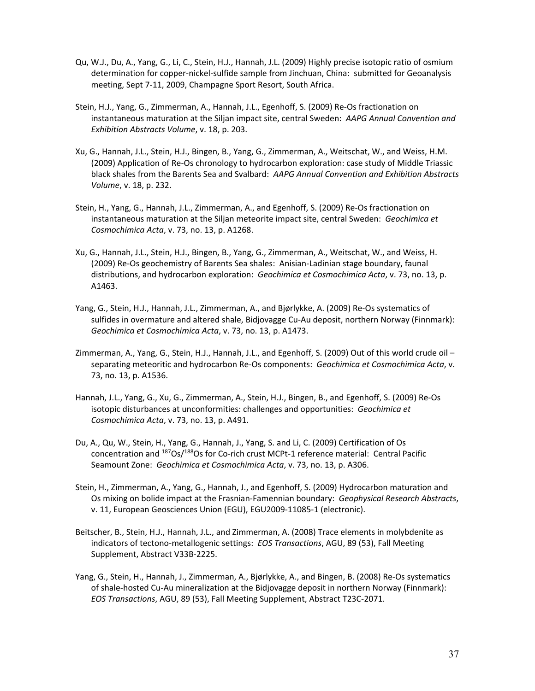- Qu, W.J., Du, A., Yang, G., Li, C., Stein, H.J., Hannah, J.L. (2009) Highly precise isotopic ratio of osmium determination for copper‐nickel‐sulfide sample from Jinchuan, China: submitted for Geoanalysis meeting, Sept 7‐11, 2009, Champagne Sport Resort, South Africa.
- Stein, H.J., Yang, G., Zimmerman, A., Hannah, J.L., Egenhoff, S. (2009) Re‐Os fractionation on instantaneous maturation at the Siljan impact site, central Sweden: *AAPG Annual Convention and Exhibition Abstracts Volume*, v. 18, p. 203.
- Xu, G., Hannah, J.L., Stein, H.J., Bingen, B., Yang, G., Zimmerman, A., Weitschat, W., and Weiss, H.M. (2009) Application of Re‐Os chronology to hydrocarbon exploration: case study of Middle Triassic black shales from the Barents Sea and Svalbard: *AAPG Annual Convention and Exhibition Abstracts Volume*, v. 18, p. 232.
- Stein, H., Yang, G., Hannah, J.L., Zimmerman, A., and Egenhoff, S. (2009) Re‐Os fractionation on instantaneous maturation at the Siljan meteorite impact site, central Sweden: *Geochimica et Cosmochimica Acta*, v. 73, no. 13, p. A1268.
- Xu, G., Hannah, J.L., Stein, H.J., Bingen, B., Yang, G., Zimmerman, A., Weitschat, W., and Weiss, H. (2009) Re‐Os geochemistry of Barents Sea shales: Anisian‐Ladinian stage boundary, faunal distributions, and hydrocarbon exploration: *Geochimica et Cosmochimica Acta*, v. 73, no. 13, p. A1463.
- Yang, G., Stein, H.J., Hannah, J.L., Zimmerman, A., and Bjørlykke, A. (2009) Re‐Os systematics of sulfides in overmature and altered shale, Bidjovagge Cu‐Au deposit, northern Norway (Finnmark): *Geochimica et Cosmochimica Acta*, v. 73, no. 13, p. A1473.
- Zimmerman, A., Yang, G., Stein, H.J., Hannah, J.L., and Egenhoff, S. (2009) Out of this world crude oil separating meteoritic and hydrocarbon Re‐Os components: *Geochimica et Cosmochimica Acta*, v. 73, no. 13, p. A1536.
- Hannah, J.L., Yang, G., Xu, G., Zimmerman, A., Stein, H.J., Bingen, B., and Egenhoff, S. (2009) Re‐Os isotopic disturbances at unconformities: challenges and opportunities: *Geochimica et Cosmochimica Acta*, v. 73, no. 13, p. A491.
- Du, A., Qu, W., Stein, H., Yang, G., Hannah, J., Yang, S. and Li, C. (2009) Certification of Os concentration and <sup>187</sup>Os/<sup>188</sup>Os for Co-rich crust MCPt-1 reference material: Central Pacific Seamount Zone: *Geochimica et Cosmochimica Acta*, v. 73, no. 13, p. A306.
- Stein, H., Zimmerman, A., Yang, G., Hannah, J., and Egenhoff, S. (2009) Hydrocarbon maturation and Os mixing on bolide impact at the Frasnian‐Famennian boundary: *Geophysical Research Abstracts*, v. 11, European Geosciences Union (EGU), EGU2009‐11085‐1 (electronic).
- Beitscher, B., Stein, H.J., Hannah, J.L., and Zimmerman, A. (2008) Trace elements in molybdenite as indicators of tectono‐metallogenic settings: *EOS Transactions*, AGU, 89 (53), Fall Meeting Supplement, Abstract V33B‐2225.
- Yang, G., Stein, H., Hannah, J., Zimmerman, A., Bjørlykke, A., and Bingen, B. (2008) Re‐Os systematics of shale-hosted Cu-Au mineralization at the Bidjovagge deposit in northern Norway (Finnmark): *EOS Transactions*, AGU, 89 (53), Fall Meeting Supplement, Abstract T23C‐2071.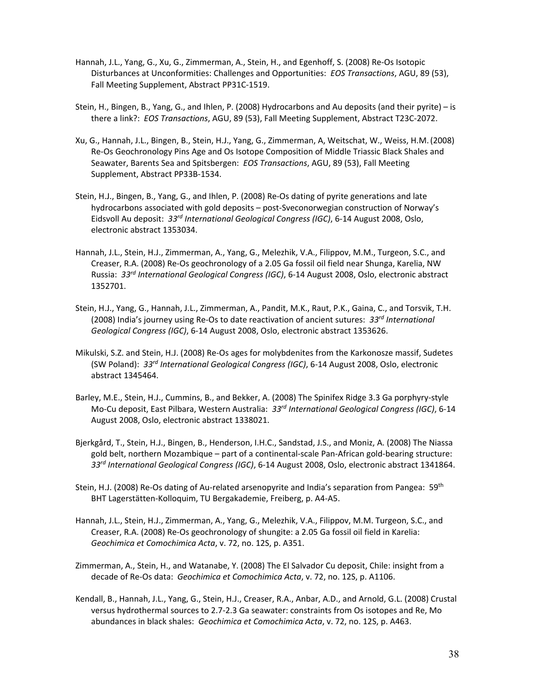- Hannah, J.L., Yang, G., Xu, G., Zimmerman, A., Stein, H., and Egenhoff, S. (2008) Re‐Os Isotopic Disturbances at Unconformities: Challenges and Opportunities: *EOS Transactions*, AGU, 89 (53), Fall Meeting Supplement, Abstract PP31C‐1519.
- Stein, H., Bingen, B., Yang, G., and Ihlen, P. (2008) Hydrocarbons and Au deposits (and their pyrite) is there a link?: *EOS Transactions*, AGU, 89 (53), Fall Meeting Supplement, Abstract T23C‐2072.
- Xu, G., Hannah, J.L., Bingen, B., Stein, H.J., Yang, G., Zimmerman, A, Weitschat, W., Weiss, H.M.(2008) Re‐Os Geochronology Pins Age and Os Isotope Composition of Middle Triassic Black Shales and Seawater, Barents Sea and Spitsbergen: *EOS Transactions*, AGU, 89 (53), Fall Meeting Supplement, Abstract PP33B‐1534.
- Stein, H.J., Bingen, B., Yang, G., and Ihlen, P. (2008) Re‐Os dating of pyrite generations and late hydrocarbons associated with gold deposits – post‐Sveconorwegian construction of Norway's Eidsvoll Au deposit: *33rd International Geological Congress (IGC)*, 6‐14 August 2008, Oslo, electronic abstract 1353034.
- Hannah, J.L., Stein, H.J., Zimmerman, A., Yang, G., Melezhik, V.A., Filippov, M.M., Turgeon, S.C., and Creaser, R.A. (2008) Re‐Os geochronology of a 2.05 Ga fossil oil field near Shunga, Karelia, NW Russia: *33rd International Geological Congress (IGC)*, 6‐14 August 2008, Oslo, electronic abstract 1352701.
- Stein, H.J., Yang, G., Hannah, J.L., Zimmerman, A., Pandit, M.K., Raut, P.K., Gaina, C., and Torsvik, T.H. (2008) India's journey using Re‐Os to date reactivation of ancient sutures: *33rd International Geological Congress (IGC)*, 6‐14 August 2008, Oslo, electronic abstract 1353626.
- Mikulski, S.Z. and Stein, H.J. (2008) Re‐Os ages for molybdenites from the Karkonosze massif, Sudetes (SW Poland): *33rd International Geological Congress (IGC)*, 6‐14 August 2008, Oslo, electronic abstract 1345464.
- Barley, M.E., Stein, H.J., Cummins, B., and Bekker, A. (2008) The Spinifex Ridge 3.3 Ga porphyry‐style Mo‐Cu deposit, East Pilbara, Western Australia: *33rd International Geological Congress (IGC)*, 6‐14 August 2008, Oslo, electronic abstract 1338021.
- Bjerkgård, T., Stein, H.J., Bingen, B., Henderson, I.H.C., Sandstad, J.S., and Moniz, A. (2008) The Niassa gold belt, northern Mozambique – part of a continental‐scale Pan‐African gold‐bearing structure: *33rd International Geological Congress (IGC)*, 6‐14 August 2008, Oslo, electronic abstract 1341864.
- Stein, H.J. (2008) Re-Os dating of Au-related arsenopyrite and India's separation from Pangea: 59<sup>th</sup> BHT Lagerstätten‐Kolloquim, TU Bergakademie, Freiberg, p. A4‐A5.
- Hannah, J.L., Stein, H.J., Zimmerman, A., Yang, G., Melezhik, V.A., Filippov, M.M. Turgeon, S.C., and Creaser, R.A. (2008) Re‐Os geochronology of shungite: a 2.05 Ga fossil oil field in Karelia: *Geochimica et Comochimica Acta*, v. 72, no. 12S, p. A351.
- Zimmerman, A., Stein, H., and Watanabe, Y. (2008) The El Salvador Cu deposit, Chile: insight from a decade of Re‐Os data: *Geochimica et Comochimica Acta*, v. 72, no. 12S, p. A1106.
- Kendall, B., Hannah, J.L., Yang, G., Stein, H.J., Creaser, R.A., Anbar, A.D., and Arnold, G.L. (2008) Crustal versus hydrothermal sources to 2.7‐2.3 Ga seawater: constraints from Os isotopes and Re, Mo abundances in black shales: *Geochimica et Comochimica Acta*, v. 72, no. 12S, p. A463.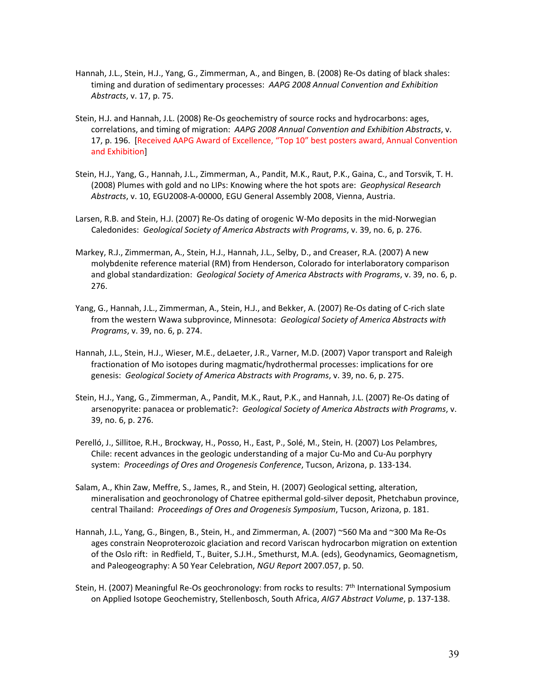- Hannah, J.L., Stein, H.J., Yang, G., Zimmerman, A., and Bingen, B. (2008) Re‐Os dating of black shales: timing and duration of sedimentary processes: *AAPG 2008 Annual Convention and Exhibition Abstracts*, v. 17, p. 75.
- Stein, H.J. and Hannah, J.L. (2008) Re‐Os geochemistry of source rocks and hydrocarbons: ages, correlations, and timing of migration: *AAPG 2008 Annual Convention and Exhibition Abstracts*, v. 17, p. 196. [Received AAPG Award of Excellence, "Top 10" best posters award, Annual Convention and Exhibition]
- Stein, H.J., Yang, G., Hannah, J.L., Zimmerman, A., Pandit, M.K., Raut, P.K., Gaina, C., and Torsvik, T. H. (2008) Plumes with gold and no LIPs: Knowing where the hot spots are: *Geophysical Research Abstracts*, v. 10, EGU2008‐A‐00000, EGU General Assembly 2008, Vienna, Austria.
- Larsen, R.B. and Stein, H.J. (2007) Re‐Os dating of orogenic W‐Mo deposits in the mid‐Norwegian Caledonides: *Geological Society of America Abstracts with Programs*, v. 39, no. 6, p. 276.
- Markey, R.J., Zimmerman, A., Stein, H.J., Hannah, J.L., Selby, D., and Creaser, R.A. (2007) A new molybdenite reference material (RM) from Henderson, Colorado for interlaboratory comparison and global standardization: *Geological Society of America Abstracts with Programs*, v. 39, no. 6, p. 276.
- Yang, G., Hannah, J.L., Zimmerman, A., Stein, H.J., and Bekker, A. (2007) Re‐Os dating of C‐rich slate from the western Wawa subprovince, Minnesota: *Geological Society of America Abstracts with Programs*, v. 39, no. 6, p. 274.
- Hannah, J.L., Stein, H.J., Wieser, M.E., deLaeter, J.R., Varner, M.D. (2007) Vapor transport and Raleigh fractionation of Mo isotopes during magmatic/hydrothermal processes: implications for ore genesis: *Geological Society of America Abstracts with Programs*, v. 39, no. 6, p. 275.
- Stein, H.J., Yang, G., Zimmerman, A., Pandit, M.K., Raut, P.K., and Hannah, J.L. (2007) Re‐Os dating of arsenopyrite: panacea or problematic?: *Geological Society of America Abstracts with Programs*, v. 39, no. 6, p. 276.
- Perelló, J., Sillitoe, R.H., Brockway, H., Posso, H., East, P., Solé, M., Stein, H. (2007) Los Pelambres, Chile: recent advances in the geologic understanding of a major Cu‐Mo and Cu‐Au porphyry system: *Proceedings of Ores and Orogenesis Conference*, Tucson, Arizona, p. 133‐134.
- Salam, A., Khin Zaw, Meffre, S., James, R., and Stein, H. (2007) Geological setting, alteration, mineralisation and geochronology of Chatree epithermal gold‐silver deposit, Phetchabun province, central Thailand: *Proceedings of Ores and Orogenesis Symposium*, Tucson, Arizona, p. 181.
- Hannah, J.L., Yang, G., Bingen, B., Stein, H., and Zimmerman, A. (2007) ~560 Ma and ~300 Ma Re‐Os ages constrain Neoproterozoic glaciation and record Variscan hydrocarbon migration on extention of the Oslo rift: in Redfield, T., Buiter, S.J.H., Smethurst, M.A. (eds), Geodynamics, Geomagnetism, and Paleogeography: A 50 Year Celebration, *NGU Report* 2007.057, p. 50.
- Stein, H. (2007) Meaningful Re-Os geochronology: from rocks to results: 7<sup>th</sup> International Symposium on Applied Isotope Geochemistry, Stellenbosch, South Africa, *AIG7 Abstract Volume*, p. 137‐138.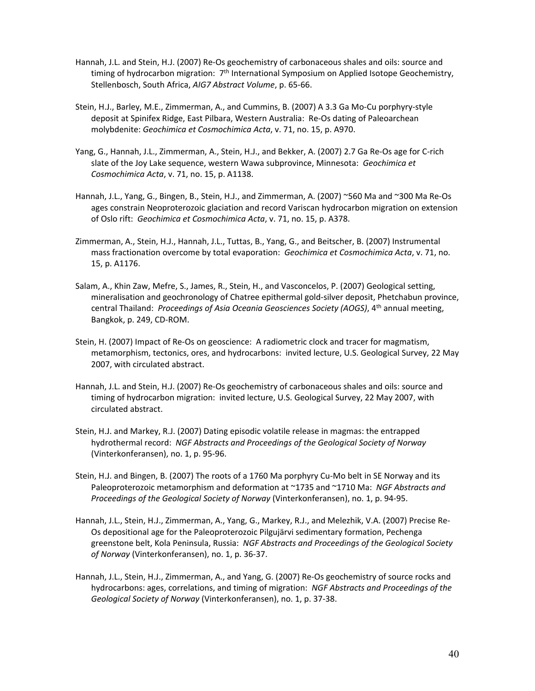- Hannah, J.L. and Stein, H.J. (2007) Re-Os geochemistry of carbonaceous shales and oils: source and timing of hydrocarbon migration:  $7<sup>th</sup>$  International Symposium on Applied Isotope Geochemistry, Stellenbosch, South Africa, *AIG7 Abstract Volume*, p. 65‐66.
- Stein, H.J., Barley, M.E., Zimmerman, A., and Cummins, B. (2007) A 3.3 Ga Mo‐Cu porphyry‐style deposit at Spinifex Ridge, East Pilbara, Western Australia: Re‐Os dating of Paleoarchean molybdenite: *Geochimica et Cosmochimica Acta*, v. 71, no. 15, p. A970.
- Yang, G., Hannah, J.L., Zimmerman, A., Stein, H.J., and Bekker, A. (2007) 2.7 Ga Re‐Os age for C‐rich slate of the Joy Lake sequence, western Wawa subprovince, Minnesota: *Geochimica et Cosmochimica Acta*, v. 71, no. 15, p. A1138.
- Hannah, J.L., Yang, G., Bingen, B., Stein, H.J., and Zimmerman, A. (2007) ~560 Ma and ~300 Ma Re‐Os ages constrain Neoproterozoic glaciation and record Variscan hydrocarbon migration on extension of Oslo rift: *Geochimica et Cosmochimica Acta*, v. 71, no. 15, p. A378.
- Zimmerman, A., Stein, H.J., Hannah, J.L., Tuttas, B., Yang, G., and Beitscher, B. (2007) Instrumental mass fractionation overcome by total evaporation: *Geochimica et Cosmochimica Acta*, v. 71, no. 15, p. A1176.
- Salam, A., Khin Zaw, Mefre, S., James, R., Stein, H., and Vasconcelos, P. (2007) Geological setting, mineralisation and geochronology of Chatree epithermal gold‐silver deposit, Phetchabun province, central Thailand: *Proceedings of Asia Oceania Geosciences Society (AOGS)*, 4th annual meeting, Bangkok, p. 249, CD‐ROM.
- Stein, H. (2007) Impact of Re‐Os on geoscience: A radiometric clock and tracer for magmatism, metamorphism, tectonics, ores, and hydrocarbons: invited lecture, U.S. Geological Survey, 22 May 2007, with circulated abstract.
- Hannah, J.L. and Stein, H.J. (2007) Re‐Os geochemistry of carbonaceous shales and oils: source and timing of hydrocarbon migration: invited lecture, U.S. Geological Survey, 22 May 2007, with circulated abstract.
- Stein, H.J. and Markey, R.J. (2007) Dating episodic volatile release in magmas: the entrapped hydrothermal record: *NGF Abstracts and Proceedings of the Geological Society of Norway* (Vinterkonferansen), no. 1, p. 95‐96.
- Stein, H.J. and Bingen, B. (2007) The roots of a 1760 Ma porphyry Cu-Mo belt in SE Norway and its Paleoproterozoic metamorphism and deformation at ~1735 and ~1710 Ma: *NGF Abstracts and Proceedings of the Geological Society of Norway* (Vinterkonferansen), no. 1, p. 94‐95.
- Hannah, J.L., Stein, H.J., Zimmerman, A., Yang, G., Markey, R.J., and Melezhik, V.A. (2007) Precise Re‐ Os depositional age for the Paleoproterozoic Pilgujärvi sedimentary formation, Pechenga greenstone belt, Kola Peninsula, Russia: *NGF Abstracts and Proceedings of the Geological Society of Norway* (Vinterkonferansen), no. 1, p. 36‐37.
- Hannah, J.L., Stein, H.J., Zimmerman, A., and Yang, G. (2007) Re‐Os geochemistry of source rocks and hydrocarbons: ages, correlations, and timing of migration: *NGF Abstracts and Proceedings of the Geological Society of Norway* (Vinterkonferansen), no. 1, p. 37‐38.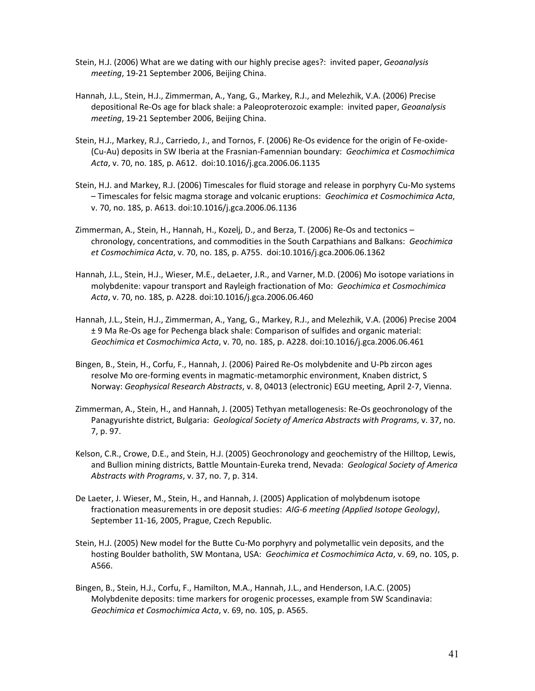- Stein, H.J. (2006) What are we dating with our highly precise ages?: invited paper, *Geoanalysis meeting*, 19‐21 September 2006, Beijing China.
- Hannah, J.L., Stein, H.J., Zimmerman, A., Yang, G., Markey, R.J., and Melezhik, V.A. (2006) Precise depositional Re‐Os age for black shale: a Paleoproterozoic example: invited paper, *Geoanalysis meeting*, 19‐21 September 2006, Beijing China.
- Stein, H.J., Markey, R.J., Carriedo, J., and Tornos, F. (2006) Re‐Os evidence for the origin of Fe‐oxide‐ (Cu‐Au) deposits in SW Iberia at the Frasnian‐Famennian boundary: *Geochimica et Cosmochimica Acta*, v. 70, no. 18S, p. A612. doi:10.1016/j.gca.2006.06.1135
- Stein, H.J. and Markey, R.J. (2006) Timescales for fluid storage and release in porphyry Cu‐Mo systems – Timescales for felsic magma storage and volcanic eruptions: *Geochimica et Cosmochimica Acta*, v. 70, no. 18S, p. A613. doi:10.1016/j.gca.2006.06.1136
- Zimmerman, A., Stein, H., Hannah, H., Kozelj, D., and Berza, T. (2006) Re‐Os and tectonics chronology, concentrations, and commodities in the South Carpathians and Balkans: *Geochimica et Cosmochimica Acta*, v. 70, no. 18S, p. A755. doi:10.1016/j.gca.2006.06.1362
- Hannah, J.L., Stein, H.J., Wieser, M.E., deLaeter, J.R., and Varner, M.D. (2006) Mo isotope variations in molybdenite: vapour transport and Rayleigh fractionation of Mo: *Geochimica et Cosmochimica Acta*, v. 70, no. 18S, p. A228. doi:10.1016/j.gca.2006.06.460
- Hannah, J.L., Stein, H.J., Zimmerman, A., Yang, G., Markey, R.J., and Melezhik, V.A. (2006) Precise 2004 ± 9 Ma Re‐Os age for Pechenga black shale: Comparison of sulfides and organic material: *Geochimica et Cosmochimica Acta*, v. 70, no. 18S, p. A228. doi:10.1016/j.gca.2006.06.461
- Bingen, B., Stein, H., Corfu, F., Hannah, J. (2006) Paired Re‐Os molybdenite and U‐Pb zircon ages resolve Mo ore‐forming events in magmatic‐metamorphic environment, Knaben district, S Norway: *Geophysical Research Abstracts*, v. 8, 04013 (electronic) EGU meeting, April 2‐7, Vienna.
- Zimmerman, A., Stein, H., and Hannah, J. (2005) Tethyan metallogenesis: Re‐Os geochronology of the Panagyurishte district, Bulgaria: *Geological Society of America Abstracts with Programs*, v. 37, no. 7, p. 97.
- Kelson, C.R., Crowe, D.E., and Stein, H.J. (2005) Geochronology and geochemistry of the Hilltop, Lewis, and Bullion mining districts, Battle Mountain‐Eureka trend, Nevada: *Geological Society of America Abstracts with Programs*, v. 37, no. 7, p. 314.
- De Laeter, J. Wieser, M., Stein, H., and Hannah, J. (2005) Application of molybdenum isotope fractionation measurements in ore deposit studies: *AIG‐6 meeting (Applied Isotope Geology)*, September 11‐16, 2005, Prague, Czech Republic.
- Stein, H.J. (2005) New model for the Butte Cu‐Mo porphyry and polymetallic vein deposits, and the hosting Boulder batholith, SW Montana, USA: *Geochimica et Cosmochimica Acta*, v. 69, no. 10S, p. A566.
- Bingen, B., Stein, H.J., Corfu, F., Hamilton, M.A., Hannah, J.L., and Henderson, I.A.C. (2005) Molybdenite deposits: time markers for orogenic processes, example from SW Scandinavia: *Geochimica et Cosmochimica Acta*, v. 69, no. 10S, p. A565.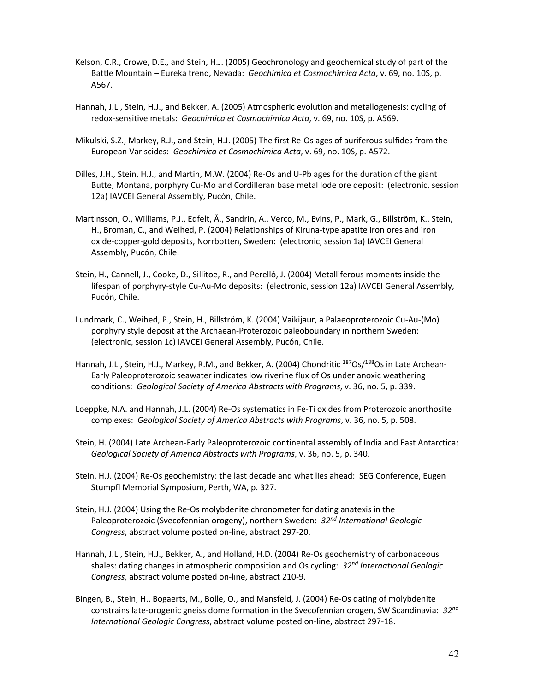- Kelson, C.R., Crowe, D.E., and Stein, H.J. (2005) Geochronology and geochemical study of part of the Battle Mountain – Eureka trend, Nevada: *Geochimica et Cosmochimica Acta*, v. 69, no. 10S, p. A567.
- Hannah, J.L., Stein, H.J., and Bekker, A. (2005) Atmospheric evolution and metallogenesis: cycling of redox‐sensitive metals: *Geochimica et Cosmochimica Acta*, v. 69, no. 10S, p. A569.
- Mikulski, S.Z., Markey, R.J., and Stein, H.J. (2005) The first Re‐Os ages of auriferous sulfides from the European Variscides: *Geochimica et Cosmochimica Acta*, v. 69, no. 10S, p. A572.
- Dilles, J.H., Stein, H.J., and Martin, M.W. (2004) Re‐Os and U‐Pb ages for the duration of the giant Butte, Montana, porphyry Cu‐Mo and Cordilleran base metal lode ore deposit: (electronic, session 12a) IAVCEI General Assembly, Pucón, Chile.
- Martinsson, O., Williams, P.J., Edfelt, Å., Sandrin, A., Verco, M., Evins, P., Mark, G., Billström, K., Stein, H., Broman, C., and Weihed, P. (2004) Relationships of Kiruna-type apatite iron ores and iron oxide‐copper‐gold deposits, Norrbotten, Sweden: (electronic, session 1a) IAVCEI General Assembly, Pucón, Chile.
- Stein, H., Cannell, J., Cooke, D., Sillitoe, R., and Perelló, J. (2004) Metalliferous moments inside the lifespan of porphyry‐style Cu‐Au‐Mo deposits: (electronic, session 12a) IAVCEI General Assembly, Pucón, Chile.
- Lundmark, C., Weihed, P., Stein, H., Billström, K. (2004) Vaikijaur, a Palaeoproterozoic Cu‐Au‐(Mo) porphyry style deposit at the Archaean‐Proterozoic paleoboundary in northern Sweden: (electronic, session 1c) IAVCEI General Assembly, Pucón, Chile.
- Hannah, J.L., Stein, H.J., Markey, R.M., and Bekker, A. (2004) Chondritic <sup>187</sup>Os/<sup>188</sup>Os in Late Archean-Early Paleoproterozoic seawater indicates low riverine flux of Os under anoxic weathering conditions: *Geological Society of America Abstracts with Programs*, v. 36, no. 5, p. 339.
- Loeppke, N.A. and Hannah, J.L. (2004) Re‐Os systematics in Fe‐Ti oxides from Proterozoic anorthosite complexes: *Geological Society of America Abstracts with Programs*, v. 36, no. 5, p. 508.
- Stein, H. (2004) Late Archean‐Early Paleoproterozoic continental assembly of India and East Antarctica: *Geological Society of America Abstracts with Programs*, v. 36, no. 5, p. 340.
- Stein, H.J. (2004) Re‐Os geochemistry: the last decade and what lies ahead: SEG Conference, Eugen Stumpfl Memorial Symposium, Perth, WA, p. 327.
- Stein, H.J. (2004) Using the Re‐Os molybdenite chronometer for dating anatexis in the Paleoproterozoic (Svecofennian orogeny), northern Sweden: *32nd International Geologic Congress*, abstract volume posted on‐line, abstract 297‐20.
- Hannah, J.L., Stein, H.J., Bekker, A., and Holland, H.D. (2004) Re‐Os geochemistry of carbonaceous shales: dating changes in atmospheric composition and Os cycling: *32nd International Geologic Congress*, abstract volume posted on‐line, abstract 210‐9.
- Bingen, B., Stein, H., Bogaerts, M., Bolle, O., and Mansfeld, J. (2004) Re‐Os dating of molybdenite constrains late‐orogenic gneiss dome formation in the Svecofennian orogen, SW Scandinavia: *32nd International Geologic Congress*, abstract volume posted on‐line, abstract 297‐18.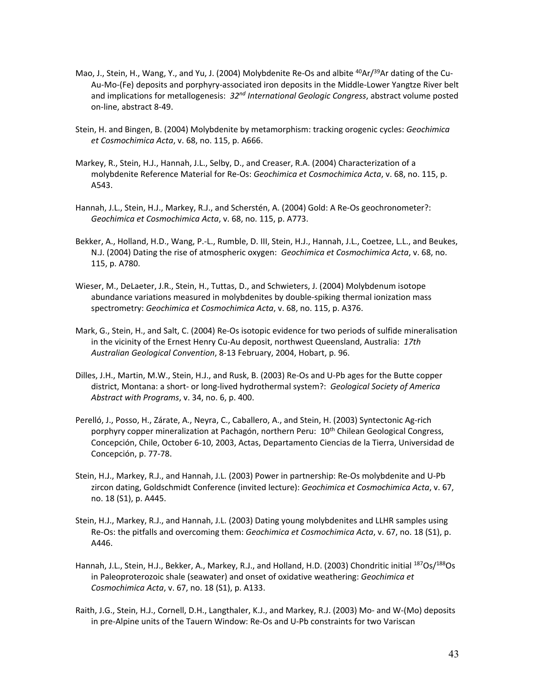- Mao, J., Stein, H., Wang, Y., and Yu, J. (2004) Molybdenite Re-Os and albite <sup>40</sup>Ar/<sup>39</sup>Ar dating of the Cu-Au‐Mo‐(Fe) deposits and porphyry‐associated iron deposits in the Middle‐Lower Yangtze River belt and implications for metallogenesis: *32nd International Geologic Congress*, abstract volume posted on‐line, abstract 8‐49.
- Stein, H. and Bingen, B. (2004) Molybdenite by metamorphism: tracking orogenic cycles: *Geochimica et Cosmochimica Acta*, v. 68, no. 115, p. A666.
- Markey, R., Stein, H.J., Hannah, J.L., Selby, D., and Creaser, R.A. (2004) Characterization of a molybdenite Reference Material for Re‐Os: *Geochimica et Cosmochimica Acta*, v. 68, no. 115, p. A543.
- Hannah, J.L., Stein, H.J., Markey, R.J., and Scherstén, A. (2004) Gold: A Re‐Os geochronometer?: *Geochimica et Cosmochimica Acta*, v. 68, no. 115, p. A773.
- Bekker, A., Holland, H.D., Wang, P.‐L., Rumble, D. III, Stein, H.J., Hannah, J.L., Coetzee, L.L., and Beukes, N.J. (2004) Dating the rise of atmospheric oxygen: *Geochimica et Cosmochimica Acta*, v. 68, no. 115, p. A780.
- Wieser, M., DeLaeter, J.R., Stein, H., Tuttas, D., and Schwieters, J. (2004) Molybdenum isotope abundance variations measured in molybdenites by double‐spiking thermal ionization mass spectrometry: *Geochimica et Cosmochimica Acta*, v. 68, no. 115, p. A376.
- Mark, G., Stein, H., and Salt, C. (2004) Re‐Os isotopic evidence for two periods of sulfide mineralisation in the vicinity of the Ernest Henry Cu‐Au deposit, northwest Queensland, Australia: *17th Australian Geological Convention*, 8‐13 February, 2004, Hobart, p. 96.
- Dilles, J.H., Martin, M.W., Stein, H.J., and Rusk, B. (2003) Re‐Os and U‐Pb ages for the Butte copper district, Montana: a short‐ or long‐lived hydrothermal system?: *Geological Society of America Abstract with Programs*, v. 34, no. 6, p. 400.
- Perelló, J., Posso, H., Zárate, A., Neyra, C., Caballero, A., and Stein, H. (2003) Syntectonic Ag‐rich porphyry copper mineralization at Pachagón, northern Peru: 10<sup>th</sup> Chilean Geological Congress, Concepción, Chile, October 6‐10, 2003, Actas, Departamento Ciencias de la Tierra, Universidad de Concepción, p. 77‐78.
- Stein, H.J., Markey, R.J., and Hannah, J.L. (2003) Power in partnership: Re‐Os molybdenite and U‐Pb zircon dating, Goldschmidt Conference (invited lecture): *Geochimica et Cosmochimica Acta*, v. 67, no. 18 (S1), p. A445.
- Stein, H.J., Markey, R.J., and Hannah, J.L. (2003) Dating young molybdenites and LLHR samples using Re‐Os: the pitfalls and overcoming them: *Geochimica et Cosmochimica Acta*, v. 67, no. 18 (S1), p. A446.
- Hannah, J.L., Stein, H.J., Bekker, A., Markey, R.J., and Holland, H.D. (2003) Chondritic initial <sup>187</sup>Os/<sup>188</sup>Os in Paleoproterozoic shale (seawater) and onset of oxidative weathering: *Geochimica et Cosmochimica Acta*, v. 67, no. 18 (S1), p. A133.
- Raith, J.G., Stein, H.J., Cornell, D.H., Langthaler, K.J., and Markey, R.J. (2003) Mo‐ and W‐(Mo) deposits in pre‐Alpine units of the Tauern Window: Re‐Os and U‐Pb constraints for two Variscan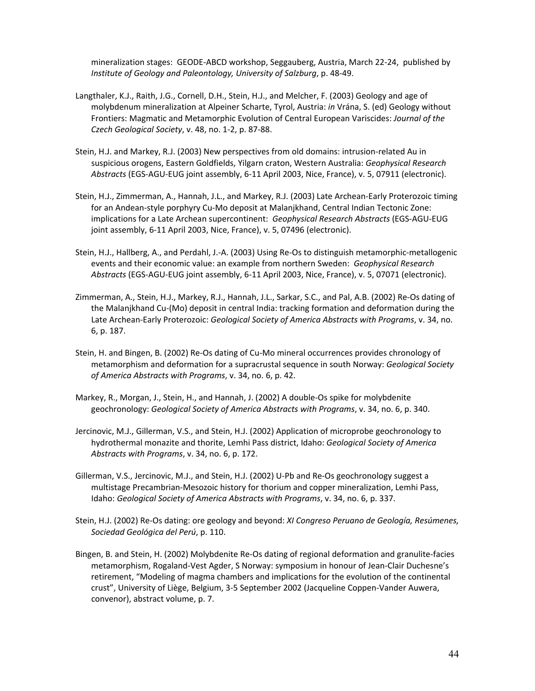mineralization stages: GEODE‐ABCD workshop, Seggauberg, Austria, March 22‐24, published by *Institute of Geology and Paleontology, University of Salzburg*, p. 48‐49.

- Langthaler, K.J., Raith, J.G., Cornell, D.H., Stein, H.J., and Melcher, F. (2003) Geology and age of molybdenum mineralization at Alpeiner Scharte, Tyrol, Austria: *in* Vrána, S. (ed) Geology without Frontiers: Magmatic and Metamorphic Evolution of Central European Variscides: *Journal of the Czech Geological Society*, v. 48, no. 1‐2, p. 87‐88.
- Stein, H.J. and Markey, R.J. (2003) New perspectives from old domains: intrusion‐related Au in suspicious orogens, Eastern Goldfields, Yilgarn craton, Western Australia: *Geophysical Research Abstracts* (EGS‐AGU‐EUG joint assembly, 6‐11 April 2003, Nice, France), v. 5, 07911 (electronic).
- Stein, H.J., Zimmerman, A., Hannah, J.L., and Markey, R.J. (2003) Late Archean‐Early Proterozoic timing for an Andean‐style porphyry Cu‐Mo deposit at Malanjkhand, Central Indian Tectonic Zone: implications for a Late Archean supercontinent: *Geophysical Research Abstracts* (EGS‐AGU‐EUG joint assembly, 6‐11 April 2003, Nice, France), v. 5, 07496 (electronic).
- Stein, H.J., Hallberg, A., and Perdahl, J.‐A. (2003) Using Re‐Os to distinguish metamorphic‐metallogenic events and their economic value: an example from northern Sweden: *Geophysical Research Abstracts* (EGS‐AGU‐EUG joint assembly, 6‐11 April 2003, Nice, France), v. 5, 07071 (electronic).
- Zimmerman, A., Stein, H.J., Markey, R.J., Hannah, J.L., Sarkar, S.C., and Pal, A.B. (2002) Re‐Os dating of the Malanjkhand Cu‐(Mo) deposit in central India: tracking formation and deformation during the Late Archean‐Early Proterozoic: *Geological Society of America Abstracts with Programs*, v. 34, no. 6, p. 187.
- Stein, H. and Bingen, B. (2002) Re‐Os dating of Cu‐Mo mineral occurrences provides chronology of metamorphism and deformation for a supracrustal sequence in south Norway: *Geological Society of America Abstracts with Programs*, v. 34, no. 6, p. 42.
- Markey, R., Morgan, J., Stein, H., and Hannah, J. (2002) A double‐Os spike for molybdenite geochronology: *Geological Society of America Abstracts with Programs*, v. 34, no. 6, p. 340.
- Jercinovic, M.J., Gillerman, V.S., and Stein, H.J. (2002) Application of microprobe geochronology to hydrothermal monazite and thorite, Lemhi Pass district, Idaho: *Geological Society of America Abstracts with Programs*, v. 34, no. 6, p. 172.
- Gillerman, V.S., Jercinovic, M.J., and Stein, H.J. (2002) U‐Pb and Re‐Os geochronology suggest a multistage Precambrian‐Mesozoic history for thorium and copper mineralization, Lemhi Pass, Idaho: *Geological Society of America Abstracts with Programs*, v. 34, no. 6, p. 337.
- Stein, H.J. (2002) Re‐Os dating: ore geology and beyond: *XI Congreso Peruano de Geología, Resúmenes, Sociedad Geológica del Perú*, p. 110.
- Bingen, B. and Stein, H. (2002) Molybdenite Re‐Os dating of regional deformation and granulite‐facies metamorphism, Rogaland‐Vest Agder, S Norway: symposium in honour of Jean‐Clair Duchesne's retirement, "Modeling of magma chambers and implications for the evolution of the continental crust", University of Liège, Belgium, 3‐5 September 2002 (Jacqueline Coppen‐Vander Auwera, convenor), abstract volume, p. 7.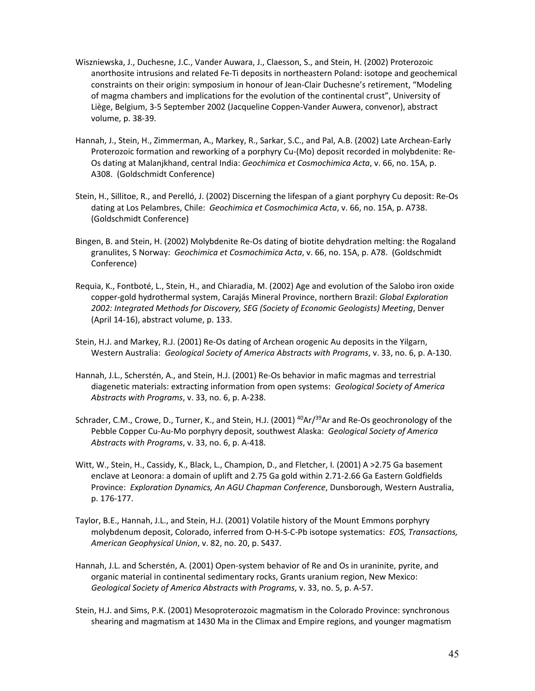- Wiszniewska, J., Duchesne, J.C., Vander Auwara, J., Claesson, S., and Stein, H. (2002) Proterozoic anorthosite intrusions and related Fe‐Ti deposits in northeastern Poland: isotope and geochemical constraints on their origin: symposium in honour of Jean‐Clair Duchesne's retirement, "Modeling of magma chambers and implications for the evolution of the continental crust", University of Liège, Belgium, 3‐5 September 2002 (Jacqueline Coppen‐Vander Auwera, convenor), abstract volume, p. 38‐39.
- Hannah, J., Stein, H., Zimmerman, A., Markey, R., Sarkar, S.C., and Pal, A.B. (2002) Late Archean‐Early Proterozoic formation and reworking of a porphyry Cu‐(Mo) deposit recorded in molybdenite: Re‐ Os dating at Malanjkhand, central India: *Geochimica et Cosmochimica Acta*, v. 66, no. 15A, p. A308. (Goldschmidt Conference)
- Stein, H., Sillitoe, R., and Perelló, J. (2002) Discerning the lifespan of a giant porphyry Cu deposit: Re‐Os dating at Los Pelambres, Chile: *Geochimica et Cosmochimica Acta*, v. 66, no. 15A, p. A738. (Goldschmidt Conference)
- Bingen, B. and Stein, H. (2002) Molybdenite Re‐Os dating of biotite dehydration melting: the Rogaland granulites, S Norway: *Geochimica et Cosmochimica Acta*, v. 66, no. 15A, p. A78. (Goldschmidt Conference)
- Requia, K., Fontboté, L., Stein, H., and Chiaradia, M. (2002) Age and evolution of the Salobo iron oxide copper‐gold hydrothermal system, Carajás Mineral Province, northern Brazil: *Global Exploration 2002: Integrated Methods for Discovery, SEG (Society of Economic Geologists) Meeting*, Denver (April 14‐16), abstract volume, p. 133.
- Stein, H.J. and Markey, R.J. (2001) Re‐Os dating of Archean orogenic Au deposits in the Yilgarn, Western Australia: *Geological Society of America Abstracts with Programs*, v. 33, no. 6, p. A‐130.
- Hannah, J.L., Scherstén, A., and Stein, H.J. (2001) Re‐Os behavior in mafic magmas and terrestrial diagenetic materials: extracting information from open systems: *Geological Society of America Abstracts with Programs*, v. 33, no. 6, p. A‐238.
- Schrader, C.M., Crowe, D., Turner, K., and Stein, H.J. (2001) <sup>40</sup>Ar/<sup>39</sup>Ar and Re-Os geochronology of the Pebble Copper Cu‐Au‐Mo porphyry deposit, southwest Alaska: *Geological Society of America Abstracts with Programs*, v. 33, no. 6, p. A‐418.
- Witt, W., Stein, H., Cassidy, K., Black, L., Champion, D., and Fletcher, I. (2001) A >2.75 Ga basement enclave at Leonora: a domain of uplift and 2.75 Ga gold within 2.71‐2.66 Ga Eastern Goldfields Province: *Exploration Dynamics, An AGU Chapman Conference*, Dunsborough, Western Australia, p. 176‐177.
- Taylor, B.E., Hannah, J.L., and Stein, H.J. (2001) Volatile history of the Mount Emmons porphyry molybdenum deposit, Colorado, inferred from O‐H‐S‐C‐Pb isotope systematics: *EOS, Transactions, American Geophysical Union*, v. 82, no. 20, p. S437.
- Hannah, J.L. and Scherstén, A. (2001) Open‐system behavior of Re and Os in uraninite, pyrite, and organic material in continental sedimentary rocks, Grants uranium region, New Mexico: *Geological Society of America Abstracts with Programs*, v. 33, no. 5, p. A‐57.
- Stein, H.J. and Sims, P.K. (2001) Mesoproterozoic magmatism in the Colorado Province: synchronous shearing and magmatism at 1430 Ma in the Climax and Empire regions, and younger magmatism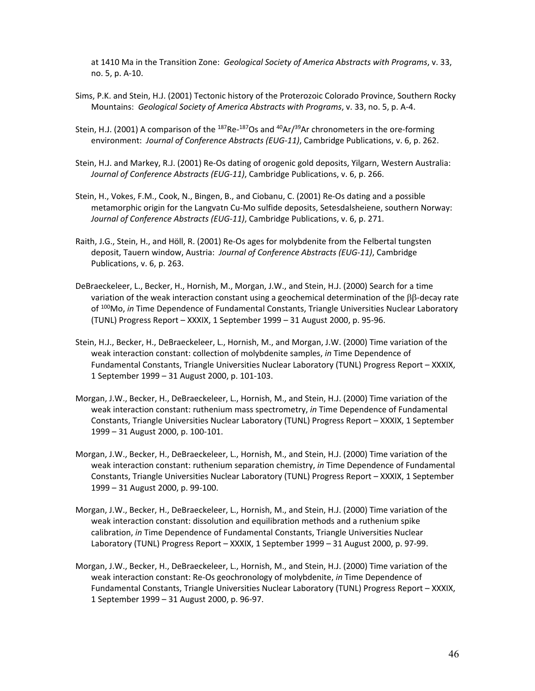at 1410 Ma in the Transition Zone: *Geological Society of America Abstracts with Programs*, v. 33, no. 5, p. A‐10.

- Sims, P.K. and Stein, H.J. (2001) Tectonic history of the Proterozoic Colorado Province, Southern Rocky Mountains: *Geological Society of America Abstracts with Programs*, v. 33, no. 5, p. A‐4.
- Stein, H.J. (2001) A comparison of the <sup>187</sup>Re-<sup>187</sup>Os and <sup>40</sup>Ar/<sup>39</sup>Ar chronometers in the ore-forming environment: *Journal of Conference Abstracts (EUG‐11)*, Cambridge Publications, v. 6, p. 262.
- Stein, H.J. and Markey, R.J. (2001) Re‐Os dating of orogenic gold deposits, Yilgarn, Western Australia: *Journal of Conference Abstracts (EUG‐11)*, Cambridge Publications, v. 6, p. 266.
- Stein, H., Vokes, F.M., Cook, N., Bingen, B., and Ciobanu, C. (2001) Re‐Os dating and a possible metamorphic origin for the Langvatn Cu‐Mo sulfide deposits, Setesdalsheiene, southern Norway: *Journal of Conference Abstracts (EUG‐11)*, Cambridge Publications, v. 6, p. 271.
- Raith, J.G., Stein, H., and Höll, R. (2001) Re‐Os ages for molybdenite from the Felbertal tungsten deposit, Tauern window, Austria: *Journal of Conference Abstracts (EUG‐11)*, Cambridge Publications, v. 6, p. 263.
- DeBraeckeleer, L., Becker, H., Hornish, M., Morgan, J.W., and Stein, H.J. (2000) Search for a time variation of the weak interaction constant using a geochemical determination of the  $\beta\beta$ -decay rate of 100Mo, *in* Time Dependence of Fundamental Constants, Triangle Universities Nuclear Laboratory (TUNL) Progress Report – XXXIX, 1 September 1999 – 31 August 2000, p. 95‐96.
- Stein, H.J., Becker, H., DeBraeckeleer, L., Hornish, M., and Morgan, J.W. (2000) Time variation of the weak interaction constant: collection of molybdenite samples, *in* Time Dependence of Fundamental Constants, Triangle Universities Nuclear Laboratory (TUNL) Progress Report – XXXIX, 1 September 1999 – 31 August 2000, p. 101‐103.
- Morgan, J.W., Becker, H., DeBraeckeleer, L., Hornish, M., and Stein, H.J. (2000) Time variation of the weak interaction constant: ruthenium mass spectrometry, *in* Time Dependence of Fundamental Constants, Triangle Universities Nuclear Laboratory (TUNL) Progress Report – XXXIX, 1 September 1999 – 31 August 2000, p. 100‐101.
- Morgan, J.W., Becker, H., DeBraeckeleer, L., Hornish, M., and Stein, H.J. (2000) Time variation of the weak interaction constant: ruthenium separation chemistry, *in* Time Dependence of Fundamental Constants, Triangle Universities Nuclear Laboratory (TUNL) Progress Report – XXXIX, 1 September 1999 – 31 August 2000, p. 99‐100.
- Morgan, J.W., Becker, H., DeBraeckeleer, L., Hornish, M., and Stein, H.J. (2000) Time variation of the weak interaction constant: dissolution and equilibration methods and a ruthenium spike calibration, *in* Time Dependence of Fundamental Constants, Triangle Universities Nuclear Laboratory (TUNL) Progress Report – XXXIX, 1 September 1999 – 31 August 2000, p. 97‐99.
- Morgan, J.W., Becker, H., DeBraeckeleer, L., Hornish, M., and Stein, H.J. (2000) Time variation of the weak interaction constant: Re‐Os geochronology of molybdenite, *in* Time Dependence of Fundamental Constants, Triangle Universities Nuclear Laboratory (TUNL) Progress Report – XXXIX, 1 September 1999 – 31 August 2000, p. 96‐97.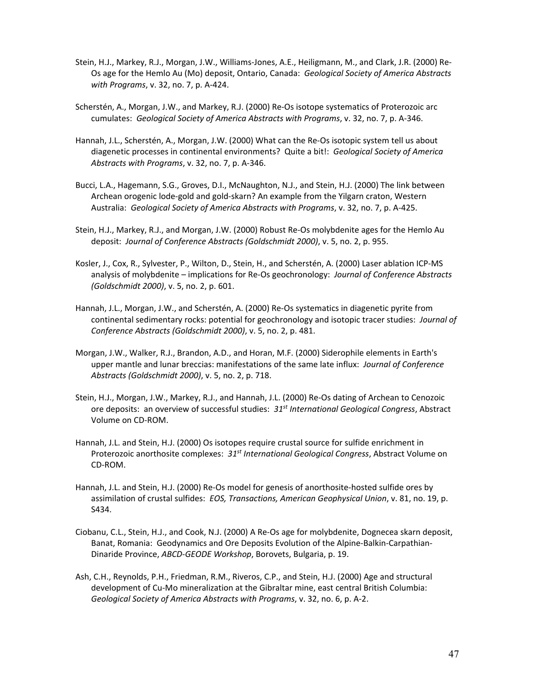- Stein, H.J., Markey, R.J., Morgan, J.W., Williams‐Jones, A.E., Heiligmann, M., and Clark, J.R. (2000) Re‐ Os age for the Hemlo Au (Mo) deposit, Ontario, Canada: *Geological Society of America Abstracts with Programs*, v. 32, no. 7, p. A‐424.
- Scherstén, A., Morgan, J.W., and Markey, R.J. (2000) Re‐Os isotope systematics of Proterozoic arc cumulates: *Geological Society of America Abstracts with Programs*, v. 32, no. 7, p. A‐346.
- Hannah, J.L., Scherstén, A., Morgan, J.W. (2000) What can the Re‐Os isotopic system tell us about diagenetic processes in continental environments? Quite a bit!: *Geological Society of America Abstracts with Programs*, v. 32, no. 7, p. A‐346.
- Bucci, L.A., Hagemann, S.G., Groves, D.I., McNaughton, N.J., and Stein, H.J. (2000) The link between Archean orogenic lode‐gold and gold‐skarn? An example from the Yilgarn craton, Western Australia: *Geological Society of America Abstracts with Programs*, v. 32, no. 7, p. A‐425.
- Stein, H.J., Markey, R.J., and Morgan, J.W. (2000) Robust Re‐Os molybdenite ages for the Hemlo Au deposit: *Journal of Conference Abstracts (Goldschmidt 2000)*, v. 5, no. 2, p. 955.
- Kosler, J., Cox, R., Sylvester, P., Wilton, D., Stein, H., and Scherstén, A. (2000) Laser ablation ICP‐MS analysis of molybdenite – implications for Re‐Os geochronology: *Journal of Conference Abstracts (Goldschmidt 2000)*, v. 5, no. 2, p. 601.
- Hannah, J.L., Morgan, J.W., and Scherstén, A. (2000) Re‐Os systematics in diagenetic pyrite from continental sedimentary rocks: potential for geochronology and isotopic tracer studies: *Journal of Conference Abstracts (Goldschmidt 2000)*, v. 5, no. 2, p. 481.
- Morgan, J.W., Walker, R.J., Brandon, A.D., and Horan, M.F. (2000) Siderophile elements in Earth's upper mantle and lunar breccias: manifestations of the same late influx: *Journal of Conference Abstracts (Goldschmidt 2000)*, v. 5, no. 2, p. 718.
- Stein, H.J., Morgan, J.W., Markey, R.J., and Hannah, J.L. (2000) Re‐Os dating of Archean to Cenozoic ore deposits: an overview of successful studies: *31st International Geological Congress*, Abstract Volume on CD‐ROM.
- Hannah, J.L. and Stein, H.J. (2000) Os isotopes require crustal source for sulfide enrichment in Proterozoic anorthosite complexes: *31st International Geological Congress*, Abstract Volume on CD‐ROM.
- Hannah, J.L. and Stein, H.J. (2000) Re-Os model for genesis of anorthosite-hosted sulfide ores by assimilation of crustal sulfides: *EOS, Transactions, American Geophysical Union*, v. 81, no. 19, p. S434.
- Ciobanu, C.L., Stein, H.J., and Cook, N.J. (2000) A Re‐Os age for molybdenite, Dognecea skarn deposit, Banat, Romania: Geodynamics and Ore Deposits Evolution of the Alpine‐Balkin‐Carpathian‐ Dinaride Province, *ABCD‐GEODE Workshop*, Borovets, Bulgaria, p. 19.
- Ash, C.H., Reynolds, P.H., Friedman, R.M., Riveros, C.P., and Stein, H.J. (2000) Age and structural development of Cu‐Mo mineralization at the Gibraltar mine, east central British Columbia: *Geological Society of America Abstracts with Programs*, v. 32, no. 6, p. A‐2.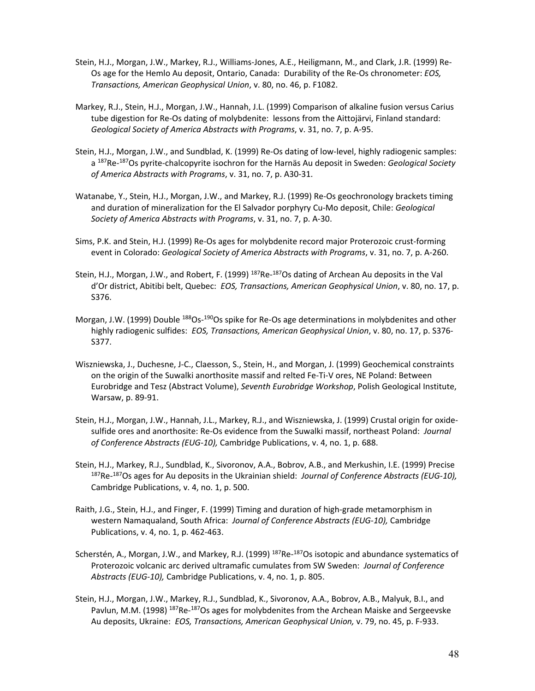- Stein, H.J., Morgan, J.W., Markey, R.J., Williams‐Jones, A.E., Heiligmann, M., and Clark, J.R. (1999) Re‐ Os age for the Hemlo Au deposit, Ontario, Canada: Durability of the Re‐Os chronometer: *EOS, Transactions, American Geophysical Union*, v. 80, no. 46, p. F1082.
- Markey, R.J., Stein, H.J., Morgan, J.W., Hannah, J.L. (1999) Comparison of alkaline fusion versus Carius tube digestion for Re‐Os dating of molybdenite: lessons from the Aittojärvi, Finland standard: *Geological Society of America Abstracts with Programs*, v. 31, no. 7, p. A‐95.
- Stein, H.J., Morgan, J.W., and Sundblad, K. (1999) Re‐Os dating of low‐level, highly radiogenic samples: a 187Re‐ 187Os pyrite‐chalcopyrite isochron for the Harnäs Au deposit in Sweden: *Geological Society of America Abstracts with Programs*, v. 31, no. 7, p. A30‐31.
- Watanabe, Y., Stein, H.J., Morgan, J.W., and Markey, R.J. (1999) Re-Os geochronology brackets timing and duration of mineralization for the El Salvador porphyry Cu‐Mo deposit, Chile: *Geological Society of America Abstracts with Programs*, v. 31, no. 7, p. A‐30.
- Sims, P.K. and Stein, H.J. (1999) Re‐Os ages for molybdenite record major Proterozoic crust‐forming event in Colorado: *Geological Society of America Abstracts with Programs*, v. 31, no. 7, p. A‐260.
- Stein, H.J., Morgan, J.W., and Robert, F. (1999) <sup>187</sup>Re-<sup>187</sup>Os dating of Archean Au deposits in the Val d'Or district, Abitibi belt, Quebec: *EOS, Transactions, American Geophysical Union*, v. 80, no. 17, p. S376.
- Morgan, J.W. (1999) Double <sup>188</sup>Os-<sup>190</sup>Os spike for Re-Os age determinations in molybdenites and other highly radiogenic sulfides: *EOS, Transactions, American Geophysical Union*, v. 80, no. 17, p. S376‐ S377.
- Wiszniewska, J., Duchesne, J‐C., Claesson, S., Stein, H., and Morgan, J. (1999) Geochemical constraints on the origin of the Suwalki anorthosite massif and relted Fe‐Ti‐V ores, NE Poland: Between Eurobridge and Tesz (Abstract Volume), *Seventh Eurobridge Workshop*, Polish Geological Institute, Warsaw, p. 89‐91.
- Stein, H.J., Morgan, J.W., Hannah, J.L., Markey, R.J., and Wiszniewska, J. (1999) Crustal origin for oxide‐ sulfide ores and anorthosite: Re‐Os evidence from the Suwalki massif, northeast Poland: *Journal of Conference Abstracts (EUG‐10),* Cambridge Publications, v. 4, no. 1, p. 688.
- Stein, H.J., Markey, R.J., Sundblad, K., Sivoronov, A.A., Bobrov, A.B., and Merkushin, I.E. (1999) Precise 187Re‐ 187Os ages for Au deposits in the Ukrainian shield: *Journal of Conference Abstracts (EUG‐10),* Cambridge Publications, v. 4, no. 1, p. 500.
- Raith, J.G., Stein, H.J., and Finger, F. (1999) Timing and duration of high‐grade metamorphism in western Namaqualand, South Africa: *Journal of Conference Abstracts (EUG‐10),* Cambridge Publications, v. 4, no. 1, p. 462‐463.
- Scherstén, A., Morgan, J.W., and Markey, R.J. (1999) <sup>187</sup>Re-<sup>187</sup>Os isotopic and abundance systematics of Proterozoic volcanic arc derived ultramafic cumulates from SW Sweden: *Journal of Conference Abstracts (EUG‐10),* Cambridge Publications, v. 4, no. 1, p. 805.
- Stein, H.J., Morgan, J.W., Markey, R.J., Sundblad, K., Sivoronov, A.A., Bobrov, A.B., Malyuk, B.I., and Pavlun, M.M. (1998) <sup>187</sup>Re-<sup>187</sup>Os ages for molybdenites from the Archean Maiske and Sergeevske Au deposits, Ukraine: *EOS, Transactions, American Geophysical Union,* v. 79, no. 45, p. F‐933.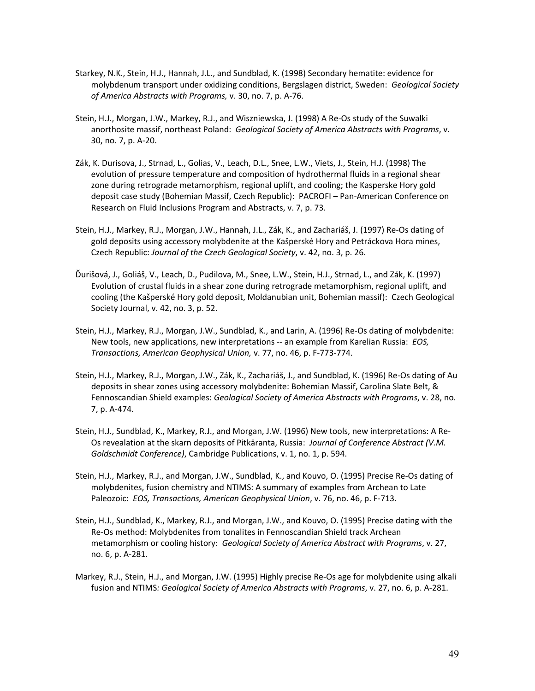- Starkey, N.K., Stein, H.J., Hannah, J.L., and Sundblad, K. (1998) Secondary hematite: evidence for molybdenum transport under oxidizing conditions, Bergslagen district, Sweden: *Geological Society of America Abstracts with Programs,* v. 30, no. 7, p. A‐76.
- Stein, H.J., Morgan, J.W., Markey, R.J., and Wiszniewska, J. (1998) A Re‐Os study of the Suwalki anorthosite massif, northeast Poland: *Geological Society of America Abstracts with Programs*, v. 30, no. 7, p. A‐20.
- Zák, K. Durisova, J., Strnad, L., Golias, V., Leach, D.L., Snee, L.W., Viets, J., Stein, H.J. (1998) The evolution of pressure temperature and composition of hydrothermal fluids in a regional shear zone during retrograde metamorphism, regional uplift, and cooling; the Kasperske Hory gold deposit case study (Bohemian Massif, Czech Republic): PACROFI – Pan‐American Conference on Research on Fluid Inclusions Program and Abstracts, v. 7, p. 73.
- Stein, H.J., Markey, R.J., Morgan, J.W., Hannah, J.L., Zák, K., and Zachariáš, J. (1997) Re‐Os dating of gold deposits using accessory molybdenite at the Kašperské Hory and Petráckova Hora mines, Czech Republic: *Journal of the Czech Geological Society*, v. 42, no. 3, p. 26.
- Ďurišová, J., Goliáš, V., Leach, D., Pudilova, M., Snee, L.W., Stein, H.J., Strnad, L., and Zák, K. (1997) Evolution of crustal fluids in a shear zone during retrograde metamorphism, regional uplift, and cooling (the Kašperské Hory gold deposit, Moldanubian unit, Bohemian massif): Czech Geological Society Journal, v. 42, no. 3, p. 52.
- Stein, H.J., Markey, R.J., Morgan, J.W., Sundblad, K., and Larin, A. (1996) Re‐Os dating of molybdenite: New tools, new applications, new interpretations ‐‐ an example from Karelian Russia: *EOS, Transactions, American Geophysical Union,* v. 77, no. 46, p. F‐773‐774.
- Stein, H.J., Markey, R.J., Morgan, J.W., Zák, K., Zachariáš, J., and Sundblad, K. (1996) Re‐Os dating of Au deposits in shear zones using accessory molybdenite: Bohemian Massif, Carolina Slate Belt, & Fennoscandian Shield examples: *Geological Society of America Abstracts with Programs*, v. 28, no. 7, p. A‐474.
- Stein, H.J., Sundblad, K., Markey, R.J., and Morgan, J.W. (1996) New tools, new interpretations: A Re‐ Os revealation at the skarn deposits of Pitkäranta, Russia: *Journal of Conference Abstract (V.M. Goldschmidt Conference)*, Cambridge Publications, v. 1, no. 1, p. 594.
- Stein, H.J., Markey, R.J., and Morgan, J.W., Sundblad, K., and Kouvo, O. (1995) Precise Re‐Os dating of molybdenites, fusion chemistry and NTIMS: A summary of examples from Archean to Late Paleozoic: *EOS, Transactions, American Geophysical Union*, v. 76, no. 46, p. F‐713.
- Stein, H.J., Sundblad, K., Markey, R.J., and Morgan, J.W., and Kouvo, O. (1995) Precise dating with the Re‐Os method: Molybdenites from tonalites in Fennoscandian Shield track Archean metamorphism or cooling history: *Geological Society of America Abstract with Programs*, v. 27, no. 6, p. A‐281.
- Markey, R.J., Stein, H.J., and Morgan, J.W. (1995) Highly precise Re‐Os age for molybdenite using alkali fusion and NTIMS*: Geological Society of America Abstracts with Programs*, v. 27, no. 6, p. A‐281.